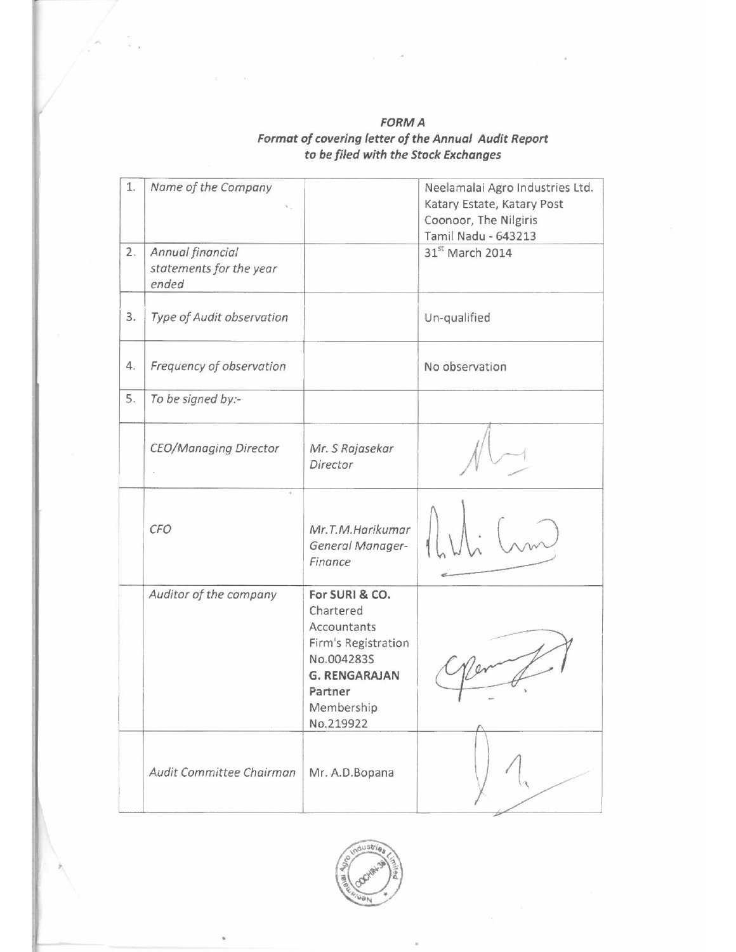| 1. | Name of the Company<br>٦.,                           |                                                                                                                                               | Neelamalai Agro Industries Ltd.<br>Katary Estate, Katary Post<br>Coonoor, The Nilgiris<br>Tamil Nadu - 643213 |
|----|------------------------------------------------------|-----------------------------------------------------------------------------------------------------------------------------------------------|---------------------------------------------------------------------------------------------------------------|
| 2. | Annual financial<br>statements for the year<br>ended |                                                                                                                                               | 31 <sup>st</sup> March 2014                                                                                   |
| 3. | Type of Audit observation                            |                                                                                                                                               | Un-qualified                                                                                                  |
| 4. | Frequency of observation                             |                                                                                                                                               | No observation                                                                                                |
| 5. | To be signed by:-                                    |                                                                                                                                               |                                                                                                               |
|    | <b>CEO/Managing Director</b>                         | Mr. S Rajasekar<br>Director                                                                                                                   |                                                                                                               |
|    | $\epsilon_3$<br>CFO                                  | Mr.T.M.Harikumar<br>General Manager-<br>Finance                                                                                               |                                                                                                               |
|    | Auditor of the company                               | For SURI & CO.<br>Chartered<br>Accountants<br>Firm's Registration<br>No.004283S<br><b>G. RENGARAJAN</b><br>Partner<br>Membership<br>No.219922 |                                                                                                               |
|    | Audit Committee Chairman                             | Mr. A.D.Bopana                                                                                                                                |                                                                                                               |

FORM A Format of covering letter of the Annual Audit Report<br>to be filed with the Stock Exchanges

 $\langle \Psi \rangle$ 

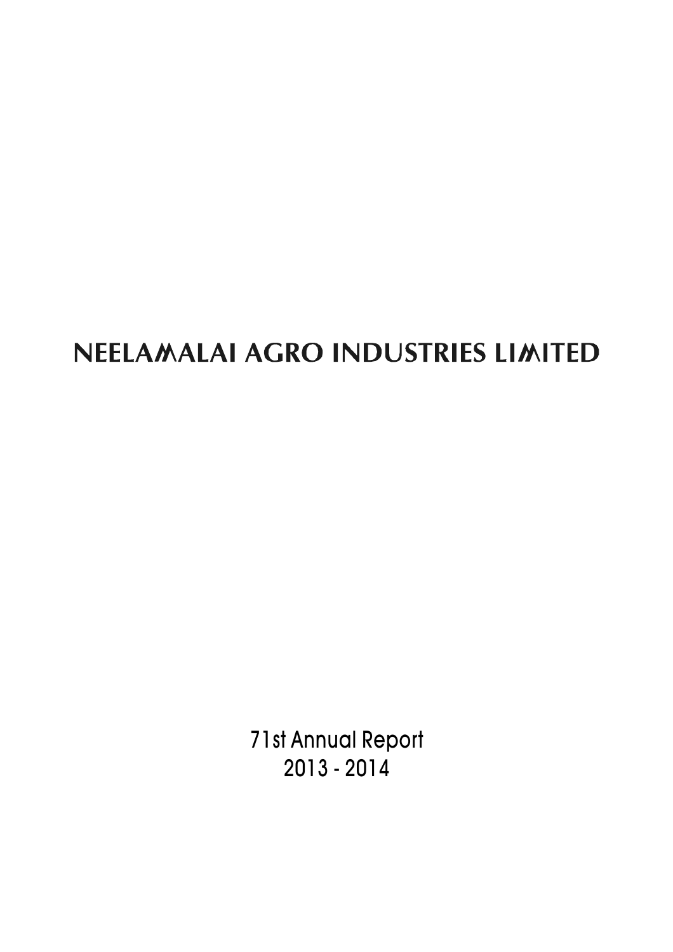# NEELAMALAI AGRO INDUSTRIES LIMITED

71st Annual Report 2013 - 2014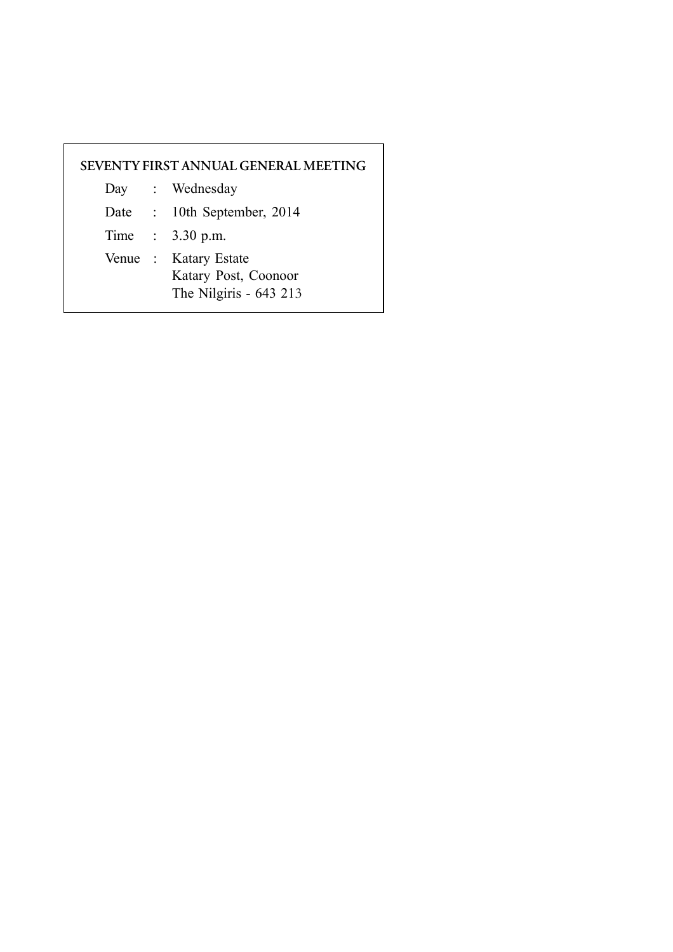# **SEVENTY FIRST ANNUAL GENERAL MEETING**

- Day : Wednesday
- Date : 10th September, 2014

Time : 3.30 p.m.

Venue : Katary Estate Katary Post, Coonoor The Nilgiris - 643 213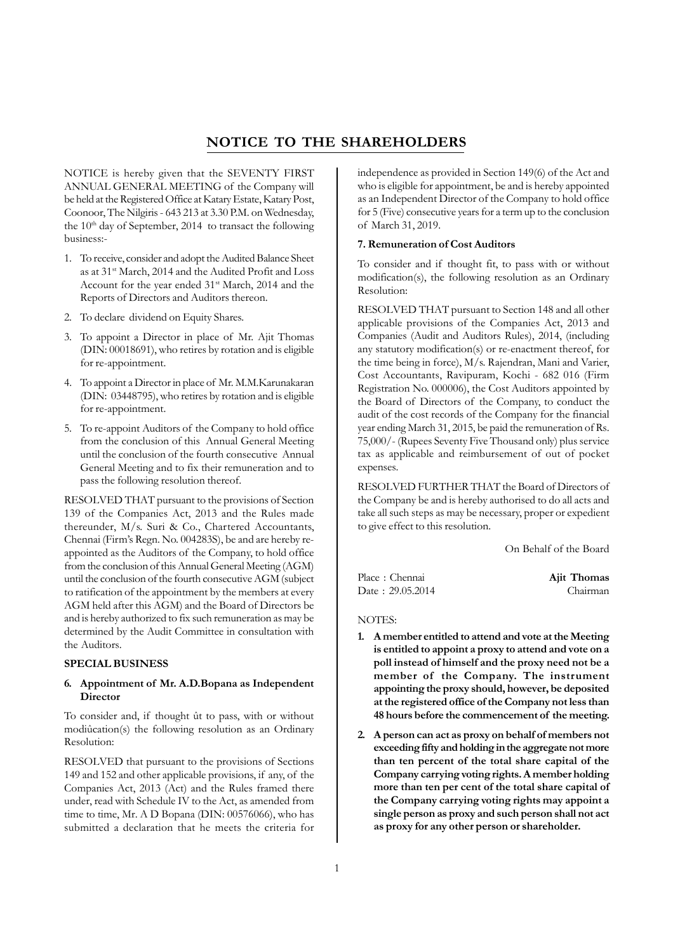# **NOTICE TO THE SHAREHOLDERS**

NOTICE is hereby given that the SEVENTY FIRST ANNUAL GENERAL MEETING of the Company will be held at the Registered Office at Katary Estate, Katary Post, Coonoor, The Nilgiris - 643 213 at 3.30 P.M. on Wednesday, the  $10<sup>th</sup>$  day of September, 2014 to transact the following business:-

- 1. To receive, consider and adopt the Audited Balance Sheet as at 31<sup>st</sup> March, 2014 and the Audited Profit and Loss Account for the year ended 31<sup>st</sup> March, 2014 and the Reports of Directors and Auditors thereon.
- 2. To declare dividend on Equity Shares.
- 3. To appoint a Director in place of Mr. Ajit Thomas (DIN: 00018691), who retires by rotation and is eligible for re-appointment.
- 4. To appoint a Director in place of Mr. M.M.Karunakaran (DIN: 03448795), who retires by rotation and is eligible for re-appointment.
- 5. To re-appoint Auditors of the Company to hold office from the conclusion of this Annual General Meeting until the conclusion of the fourth consecutive Annual General Meeting and to fix their remuneration and to pass the following resolution thereof.

RESOLVED THAT pursuant to the provisions of Section 139 of the Companies Act, 2013 and the Rules made thereunder, M/s. Suri & Co., Chartered Accountants, Chennai (Firm's Regn. No. 004283S), be and are hereby reappointed as the Auditors of the Company, to hold office from the conclusion of this Annual General Meeting (AGM) until the conclusion of the fourth consecutive AGM (subject to ratification of the appointment by the members at every AGM held after this AGM) and the Board of Directors be and is hereby authorized to fix such remuneration as may be determined by the Audit Committee in consultation with the Auditors.

### **SPECIAL BUSINESS**

### **6. Appointment of Mr. A.D.Bopana as Independent Director**

To consider and, if thought ût to pass, with or without modiûcation(s) the following resolution as an Ordinary Resolution:

RESOLVED that pursuant to the provisions of Sections 149 and 152 and other applicable provisions, if any, of the Companies Act, 2013 (Act) and the Rules framed there under, read with Schedule IV to the Act, as amended from time to time, Mr. A D Bopana (DIN: 00576066), who has submitted a declaration that he meets the criteria for

independence as provided in Section 149(6) of the Act and who is eligible for appointment, be and is hereby appointed as an Independent Director of the Company to hold office for 5 (Five) consecutive years for a term up to the conclusion of March 31, 2019.

### **7. Remuneration of Cost Auditors**

To consider and if thought fit, to pass with or without modification(s), the following resolution as an Ordinary Resolution:

RESOLVED THAT pursuant to Section 148 and all other applicable provisions of the Companies Act, 2013 and Companies (Audit and Auditors Rules), 2014, (including any statutory modification(s) or re-enactment thereof, for the time being in force), M/s. Rajendran, Mani and Varier, Cost Accountants, Ravipuram, Kochi - 682 016 (Firm Registration No. 000006), the Cost Auditors appointed by the Board of Directors of the Company, to conduct the audit of the cost records of the Company for the financial year ending March 31, 2015, be paid the remuneration of Rs. 75,000/- (Rupees Seventy Five Thousand only) plus service tax as applicable and reimbursement of out of pocket expenses.

RESOLVED FURTHER THAT the Board of Directors of the Company be and is hereby authorised to do all acts and take all such steps as may be necessary, proper or expedient to give effect to this resolution.

On Behalf of the Board

| Place: Chennai   | Ajit Thomas |
|------------------|-------------|
| Date: 29.05.2014 | Chairman    |

### NOTES:

- **1. A member entitled to attend and vote at the Meeting is entitled to appoint a proxy to attend and vote on a poll instead of himself and the proxy need not be a member of the Company. The instrument appointing the proxy should, however, be deposited at the registered office of the Company not less than 48 hours before the commencement of the meeting.**
- **2. A person can act as proxy on behalf of members not exceeding fifty and holding in the aggregate not more than ten percent of the total share capital of the Company carrying voting rights. A member holding more than ten per cent of the total share capital of the Company carrying voting rights may appoint a single person as proxy and such person shall not act as proxy for any other person or shareholder.**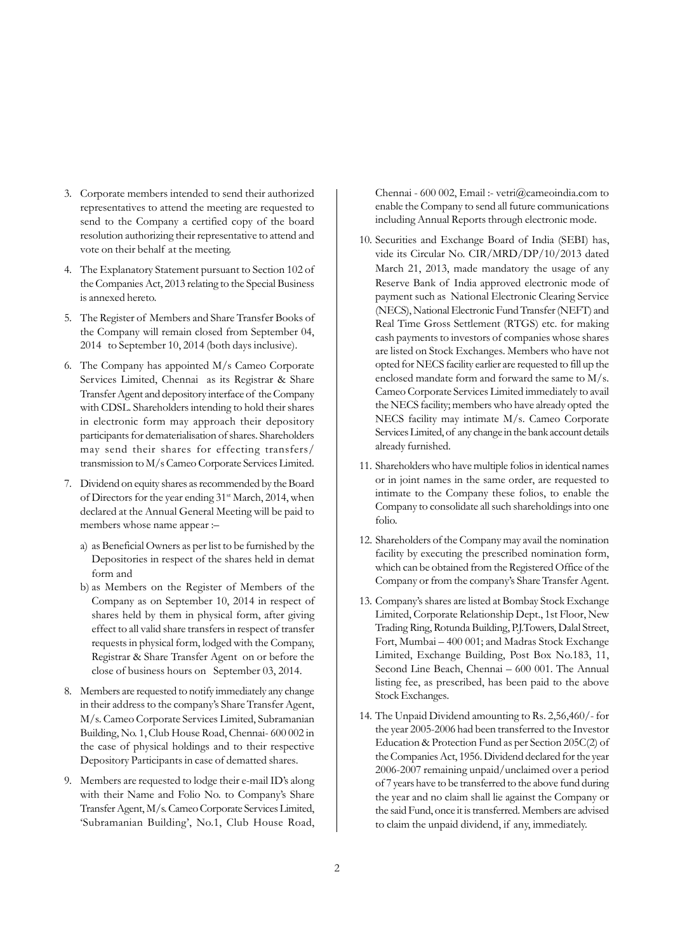- 3. Corporate members intended to send their authorized representatives to attend the meeting are requested to send to the Company a certified copy of the board resolution authorizing their representative to attend and vote on their behalf at the meeting.
- 4. The Explanatory Statement pursuant to Section 102 of the Companies Act, 2013 relating to the Special Business is annexed hereto.
- 5. The Register of Members and Share Transfer Books of the Company will remain closed from September 04, 2014 to September 10, 2014 (both days inclusive).
- 6. The Company has appointed M/s Cameo Corporate Services Limited, Chennai as its Registrar & Share Transfer Agent and depository interface of the Company with CDSL. Shareholders intending to hold their shares in electronic form may approach their depository participants for dematerialisation of shares. Shareholders may send their shares for effecting transfers/ transmission to M/s Cameo Corporate Services Limited.
- 7. Dividend on equity shares as recommended by the Board of Directors for the year ending 31<sup>st</sup> March, 2014, when declared at the Annual General Meeting will be paid to members whose name appear :–
	- a) as Beneficial Owners as per list to be furnished by the Depositories in respect of the shares held in demat form and
	- b) as Members on the Register of Members of the Company as on September 10, 2014 in respect of shares held by them in physical form, after giving effect to all valid share transfers in respect of transfer requests in physical form, lodged with the Company, Registrar & Share Transfer Agent on or before the close of business hours on September 03, 2014.
- 8. Members are requested to notify immediately any change in their address to the company's Share Transfer Agent, M/s. Cameo Corporate Services Limited, Subramanian Building, No. 1, Club House Road, Chennai- 600 002 in the case of physical holdings and to their respective Depository Participants in case of dematted shares.
- 9. Members are requested to lodge their e-mail ID's along with their Name and Folio No. to Company's Share Transfer Agent, M/s. Cameo Corporate Services Limited, 'Subramanian Building', No.1, Club House Road,

Chennai - 600 002, Email :- vetri@cameoindia.com to enable the Company to send all future communications including Annual Reports through electronic mode.

- 10. Securities and Exchange Board of India (SEBI) has, vide its Circular No. CIR/MRD/DP/10/2013 dated March 21, 2013, made mandatory the usage of any Reserve Bank of India approved electronic mode of payment such as National Electronic Clearing Service (NECS), National Electronic Fund Transfer (NEFT) and Real Time Gross Settlement (RTGS) etc. for making cash payments to investors of companies whose shares are listed on Stock Exchanges. Members who have not opted for NECS facility earlier are requested to fill up the enclosed mandate form and forward the same to M/s. Cameo Corporate Services Limited immediately to avail the NECS facility; members who have already opted the NECS facility may intimate M/s. Cameo Corporate Services Limited, of any change in the bank account details already furnished.
- 11. Shareholders who have multiple folios in identical names or in joint names in the same order, are requested to intimate to the Company these folios, to enable the Company to consolidate all such shareholdings into one folio.
- 12. Shareholders of the Company may avail the nomination facility by executing the prescribed nomination form, which can be obtained from the Registered Office of the Company or from the company's Share Transfer Agent.
- 13. Company's shares are listed at Bombay Stock Exchange Limited, Corporate Relationship Dept., 1st Floor, New Trading Ring, Rotunda Building, P.J.Towers, Dalal Street, Fort, Mumbai – 400 001; and Madras Stock Exchange Limited, Exchange Building, Post Box No.183, 11, Second Line Beach, Chennai – 600 001. The Annual listing fee, as prescribed, has been paid to the above Stock Exchanges.
- 14. The Unpaid Dividend amounting to Rs. 2,56,460/- for the year 2005-2006 had been transferred to the Investor Education & Protection Fund as per Section 205C(2) of the Companies Act, 1956. Dividend declared for the year 2006-2007 remaining unpaid/unclaimed over a period of 7 years have to be transferred to the above fund during the year and no claim shall lie against the Company or the said Fund, once it is transferred. Members are advised to claim the unpaid dividend, if any, immediately.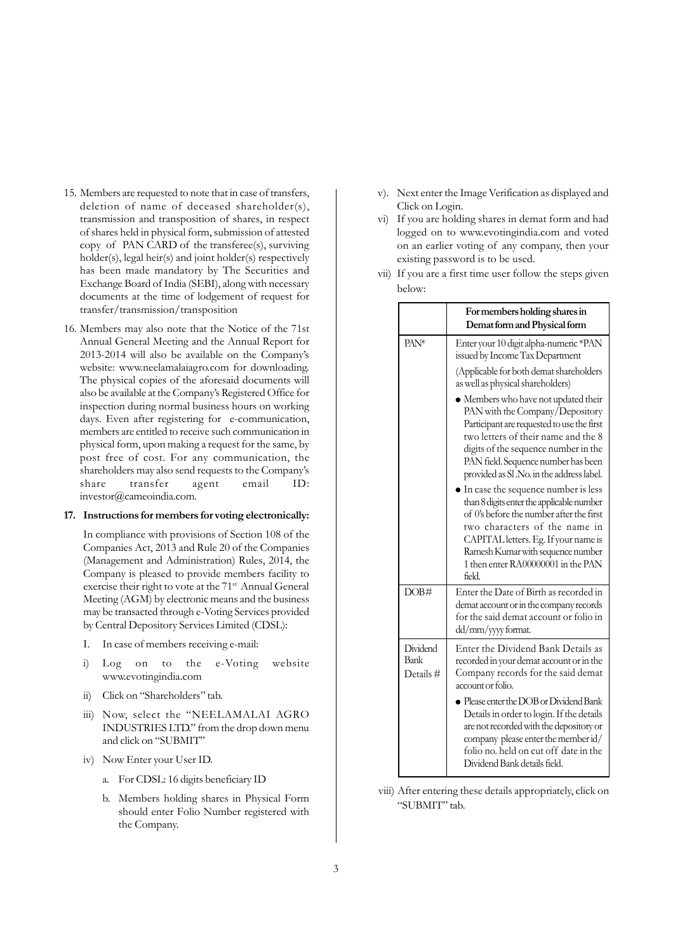- 15. Members are requested to note that in case of transfers, deletion of name of deceased shareholder(s), transmission and transposition of shares, in respect of shares held in physical form, submission of attested copy of PAN CARD of the transferee(s), surviving holder(s), legal heir(s) and joint holder(s) respectively has been made mandatory by The Securities and Exchange Board of India (SEBI), along with necessary documents at the time of lodgement of request for transfer/transmission/transposition
- 16. Members may also note that the Notice of the 71st Annual General Meeting and the Annual Report for 2013-2014 will also be available on the Company's website: www.neelamalaiagro.com for downloading. The physical copies of the aforesaid documents will also be available at the Company's Registered Office for inspection during normal business hours on working days. Even after registering for e-communication, members are entitled to receive such communication in physical form, upon making a request for the same, by post free of cost. For any communication, the shareholders may also send requests to the Company's share transfer agent email ID: investor@cameoindia.com.

### **17. Instructions for members for voting electronically:**

In compliance with provisions of Section 108 of the Companies Act, 2013 and Rule 20 of the Companies (Management and Administration) Rules, 2014, the Company is pleased to provide members facility to exercise their right to vote at the 71<sup>st</sup> Annual General Meeting (AGM) by electronic means and the business may be transacted through e-Voting Services provided by Central Depository Services Limited (CDSL):

- I. In case of members receiving e-mail:
- i) Log on to the e-Voting website www.evotingindia.com
- ii) Click on "Shareholders" tab.
- iii) Now, select the "NEELAMALAI AGRO INDUSTRIES LTD." from the drop down menu and click on "SUBMIT"
- iv) Now Enter your User ID.
	- a. For CDSL: 16 digits beneficiary ID
	- b. Members holding shares in Physical Form should enter Folio Number registered with the Company.
- v). Next enter the Image Verification as displayed and Click on Login.
- vi) If you are holding shares in demat form and had logged on to www.evotingindia.com and voted on an earlier voting of any company, then your existing password is to be used.
- vii) If you are a first time user follow the steps given below:

|                               | For members holding shares in<br>Demat form and Physical form                                                                                                                                                                                                                                |
|-------------------------------|----------------------------------------------------------------------------------------------------------------------------------------------------------------------------------------------------------------------------------------------------------------------------------------------|
| PAN*                          | Enter your 10 digit alpha-numeric *PAN<br>issued by Income Tax Department                                                                                                                                                                                                                    |
|                               | (Applicable for both demat shareholders<br>as well as physical shareholders)                                                                                                                                                                                                                 |
|                               | • Members who have not updated their<br>PAN with the Company/Depository<br>Participant are requested to use the first<br>two letters of their name and the 8<br>digits of the sequence number in the<br>PAN field. Sequence number has been<br>provided as Sl.No. in the address label.      |
|                               | • In case the sequence number is less<br>than 8 digits enter the applicable number<br>of 0's before the number after the first<br>two characters of the name in<br>CAPITAL letters. Eg. If your name is<br>Ramesh Kumar with sequence number<br>1 then enter RA00000001 in the PAN<br>field. |
| DOB#                          | Enter the Date of Birth as recorded in<br>demat account or in the company records<br>for the said demat account or folio in<br>dd/mm/yyyy format.                                                                                                                                            |
| Dividend<br>Bank<br>Details # | Enter the Dividend Bank Details as<br>recorded in your demat account or in the<br>Company records for the said demat<br>account or folio.                                                                                                                                                    |
|                               | • Please enter the DOB or Dividend Bank<br>Details in order to login. If the details<br>are not recorded with the depository or<br>company please enter the member id/<br>folio no. held on cut off date in the<br>Dividend Bank details field.                                              |

viii) After entering these details appropriately, click on "SUBMIT" tab.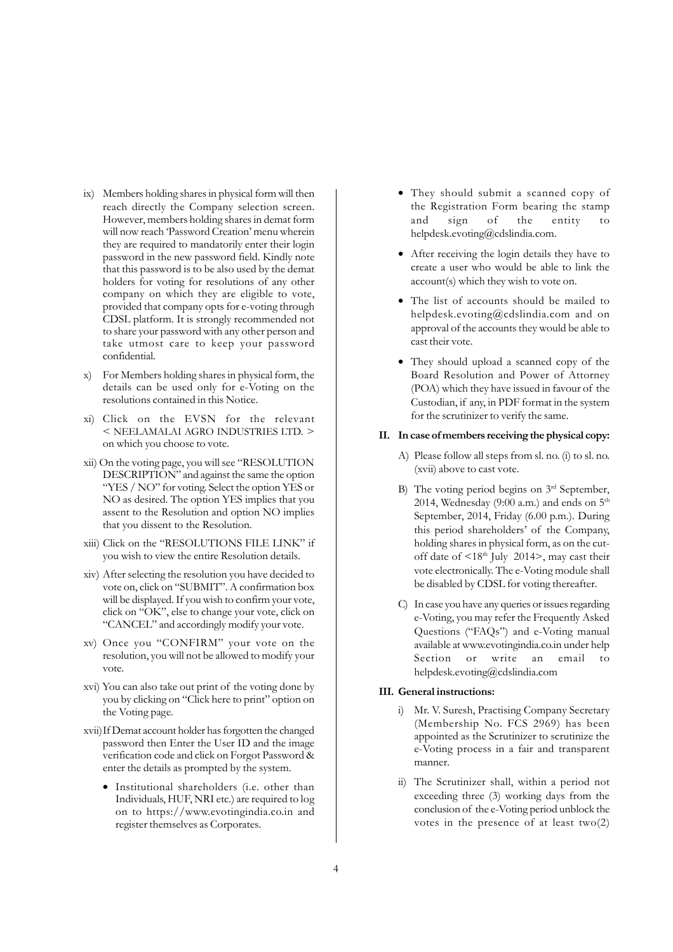- ix) Members holding shares in physical form will then reach directly the Company selection screen. However, members holding shares in demat form will now reach 'Password Creation' menu wherein they are required to mandatorily enter their login password in the new password field. Kindly note that this password is to be also used by the demat holders for voting for resolutions of any other company on which they are eligible to vote, provided that company opts for e-voting through CDSL platform. It is strongly recommended not to share your password with any other person and take utmost care to keep your password confidential.
- x) For Members holding shares in physical form, the details can be used only for e-Voting on the resolutions contained in this Notice.
- xi) Click on the EVSN for the relevant < NEELAMALAI AGRO INDUSTRIES LTD. > on which you choose to vote.
- xii) On the voting page, you will see "RESOLUTION DESCRIPTION" and against the same the option "YES / NO" for voting. Select the option YES or NO as desired. The option YES implies that you assent to the Resolution and option NO implies that you dissent to the Resolution.
- xiii) Click on the "RESOLUTIONS FILE LINK" if you wish to view the entire Resolution details.
- xiv) After selecting the resolution you have decided to vote on, click on "SUBMIT". A confirmation box will be displayed. If you wish to confirm your vote, click on "OK", else to change your vote, click on "CANCEL" and accordingly modify your vote.
- xv) Once you "CONFIRM" your vote on the resolution, you will not be allowed to modify your vote.
- xvi) You can also take out print of the voting done by you by clicking on "Click here to print" option on the Voting page.
- xvii)If Demat account holder has forgotten the changed password then Enter the User ID and the image verification code and click on Forgot Password & enter the details as prompted by the system.
	- Institutional shareholders (i.e. other than Individuals, HUF, NRI etc.) are required to log on to https://www.evotingindia.co.in and register themselves as Corporates.
- They should submit a scanned copy of the Registration Form bearing the stamp and sign of the entity to helpdesk.evoting@cdslindia.com.
- After receiving the login details they have to create a user who would be able to link the account(s) which they wish to vote on.
- The list of accounts should be mailed to helpdesk.evoting@cdslindia.com and on approval of the accounts they would be able to cast their vote.
- They should upload a scanned copy of the Board Resolution and Power of Attorney (POA) which they have issued in favour of the Custodian, if any, in PDF format in the system for the scrutinizer to verify the same.

### **II. In case of members receiving the physical copy:**

- A) Please follow all steps from sl. no. (i) to sl. no. (xvii) above to cast vote.
- B) The voting period begins on 3<sup>rd</sup> September, 2014, Wednesday (9:00 a.m.) and ends on 5<sup>th</sup> September, 2014, Friday (6.00 p.m.). During this period shareholders' of the Company, holding shares in physical form, as on the cutoff date of  $\leq 18^{\text{th}}$  July 2014>, may cast their vote electronically. The e-Voting module shall be disabled by CDSL for voting thereafter.
- C) In case you have any queries or issues regarding e-Voting, you may refer the Frequently Asked Questions ("FAQs") and e-Voting manual available at www.evotingindia.co.in under help Section or write an email to helpdesk.evoting@cdslindia.com

### **III. General instructions:**

- i) Mr. V. Suresh, Practising Company Secretary (Membership No. FCS 2969) has been appointed as the Scrutinizer to scrutinize the e-Voting process in a fair and transparent manner.
- ii) The Scrutinizer shall, within a period not exceeding three (3) working days from the conclusion of the e-Voting period unblock the votes in the presence of at least two(2)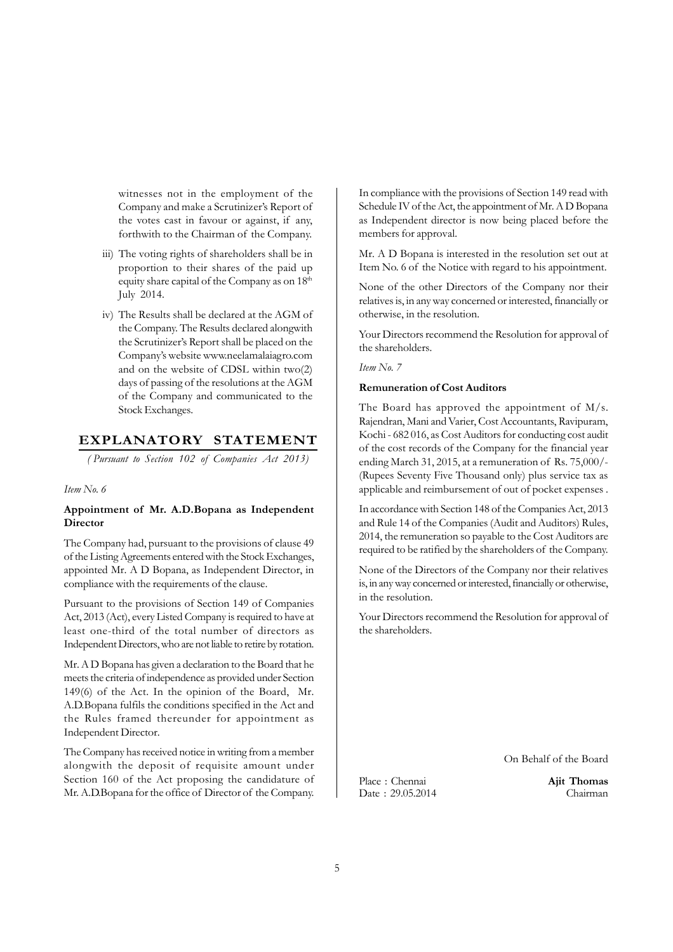witnesses not in the employment of the Company and make a Scrutinizer's Report of the votes cast in favour or against, if any, forthwith to the Chairman of the Company.

- iii) The voting rights of shareholders shall be in proportion to their shares of the paid up equity share capital of the Company as on 18<sup>th</sup> July 2014.
- iv) The Results shall be declared at the AGM of the Company. The Results declared alongwith the Scrutinizer's Report shall be placed on the Company's website www.neelamalaiagro.com and on the website of CDSL within two(2) days of passing of the resolutions at the AGM of the Company and communicated to the Stock Exchanges.

# **EXPLANATORY STATEMENT**

*( Pursuant to Section 102 of Companies Act 2013)*

### *Item No. 6*

### **Appointment of Mr. A.D.Bopana as Independent Director**

The Company had, pursuant to the provisions of clause 49 of the Listing Agreements entered with the Stock Exchanges, appointed Mr. A D Bopana, as Independent Director, in compliance with the requirements of the clause.

Pursuant to the provisions of Section 149 of Companies Act, 2013 (Act), every Listed Company is required to have at least one-third of the total number of directors as Independent Directors, who are not liable to retire by rotation.

Mr. A D Bopana has given a declaration to the Board that he meets the criteria of independence as provided under Section 149(6) of the Act. In the opinion of the Board, Mr. A.D.Bopana fulfils the conditions specified in the Act and the Rules framed thereunder for appointment as Independent Director.

The Company has received notice in writing from a member alongwith the deposit of requisite amount under Section 160 of the Act proposing the candidature of Mr. A.D.Bopana for the office of Director of the Company.

In compliance with the provisions of Section 149 read with Schedule IV of the Act, the appointment of Mr. A D Bopana as Independent director is now being placed before the members for approval.

Mr. A D Bopana is interested in the resolution set out at Item No. 6 of the Notice with regard to his appointment.

None of the other Directors of the Company nor their relatives is, in any way concerned or interested, financially or otherwise, in the resolution.

Your Directors recommend the Resolution for approval of the shareholders.

*Item No. 7*

### **Remuneration of Cost Auditors**

The Board has approved the appointment of M/s. Rajendran, Mani and Varier, Cost Accountants, Ravipuram, Kochi - 682 016, as Cost Auditors for conducting cost audit of the cost records of the Company for the financial year ending March 31, 2015, at a remuneration of Rs. 75,000/- (Rupees Seventy Five Thousand only) plus service tax as applicable and reimbursement of out of pocket expenses .

In accordance with Section 148 of the Companies Act, 2013 and Rule 14 of the Companies (Audit and Auditors) Rules, 2014, the remuneration so payable to the Cost Auditors are required to be ratified by the shareholders of the Company.

None of the Directors of the Company nor their relatives is, in any way concerned or interested, financially or otherwise, in the resolution.

Your Directors recommend the Resolution for approval of the shareholders.

On Behalf of the Board

Place : Chennai **Ajit Thomas** Date : 29.05.2014 Chairman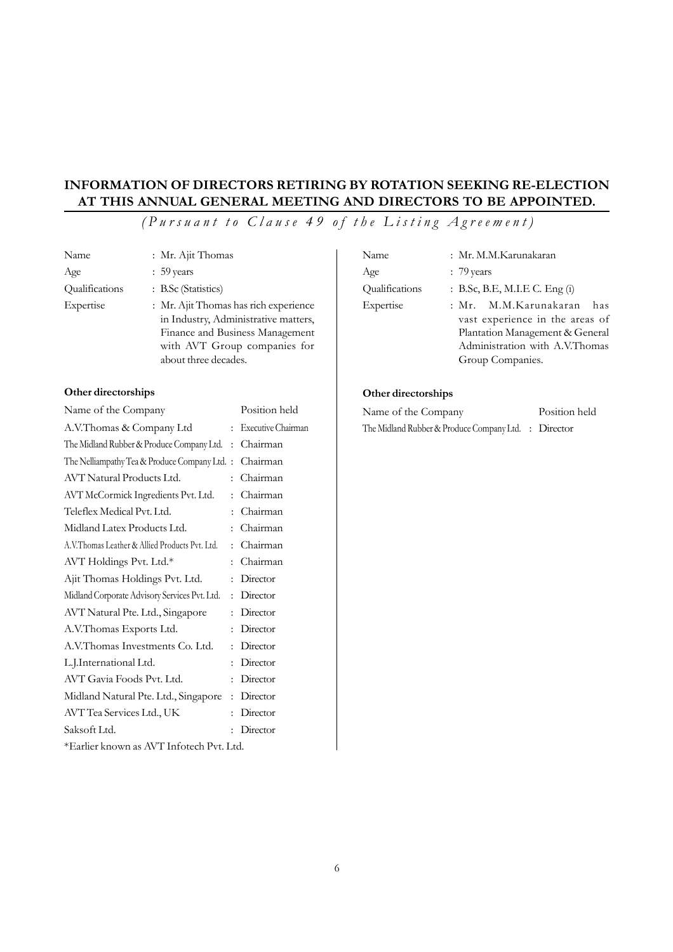# **INFORMATION OF DIRECTORS RETIRING BY ROTATION SEEKING RE-ELECTION AT THIS ANNUAL GENERAL MEETING AND DIRECTORS TO BE APPOINTED.**

# *(Pursuant to Clause 49 of the Listing Agreement)*

| Name           | : Mr. Ajit Thomas                     |
|----------------|---------------------------------------|
| Age            | $: 59$ years                          |
| Qualifications | : B.Sc (Statistics)                   |
| Expertise      | : Mr. Ajit Thomas has rich experience |
|                | in Industry, Administrative matters,  |
|                | Finance and Business Management       |
|                | with AVT Group companies for          |
|                | about three decades.                  |

# Name : Mr. M.M.Karunakaran Age : 79 years Qualifications : B.Sc, B.E, M.I.E C. Eng (i) Expertise : Mr. M.M.Karunakaran has vast experience in the areas of Plantation Management & General Administration with A.V.Thomas Group Companies.

### **Other directorships**

| Name of the Company                                  | Position held |
|------------------------------------------------------|---------------|
| The Midland Rubber & Produce Company Ltd. : Director |               |

### **Other directorships**

| Name of the Company                            |                      | Position held      |
|------------------------------------------------|----------------------|--------------------|
| A.V.Thomas & Company Ltd                       | $\ddot{\phantom{0}}$ | Executive Chairman |
| The Midland Rubber & Produce Company Ltd. :    |                      | Chairman           |
| The Nelliampathy Tea & Produce Company Ltd. :  |                      | Chairman           |
| AVT Natural Products Ltd.                      | ÷                    | Chairman           |
| AVT McCormick Ingredients Pvt. Ltd.            | $\ddot{\cdot}$       | Chairman           |
| Teleflex Medical Pvt. Ltd.                     |                      | Chairman           |
| Midland Latex Products Ltd.                    | t                    | Chairman           |
| A.V.Thomas Leather & Allied Products Pvt. Ltd. |                      | : Chairman         |
| AVT Holdings Pvt. Ltd.*                        |                      | Chairman           |
| Ajit Thomas Holdings Pvt. Ltd.                 | ÷.                   | Director           |
| Midland Corporate Advisory Services Pvt. Ltd.  | $\mathbf{r}$         | Director           |
| AVT Natural Pte. Ltd., Singapore               |                      | Director           |
| A.V.Thomas Exports Ltd.                        |                      | Director           |
| A.V.Thomas Investments Co. Ltd.                |                      | Director           |
| L.J.International Ltd.                         | ÷                    | Director           |
| AVT Gavia Foods Pvt. Ltd.                      | $\ddot{\cdot}$       | Director           |
| Midland Natural Pte. Ltd., Singapore           | $\ddot{\phantom{a}}$ | Director           |
| AVT Tea Services Ltd., UK                      | ÷.                   | Director           |
| Saksoft Ltd.                                   |                      | Director           |
| *Earlier known as AVT Infotech Pvt. Ltd.       |                      |                    |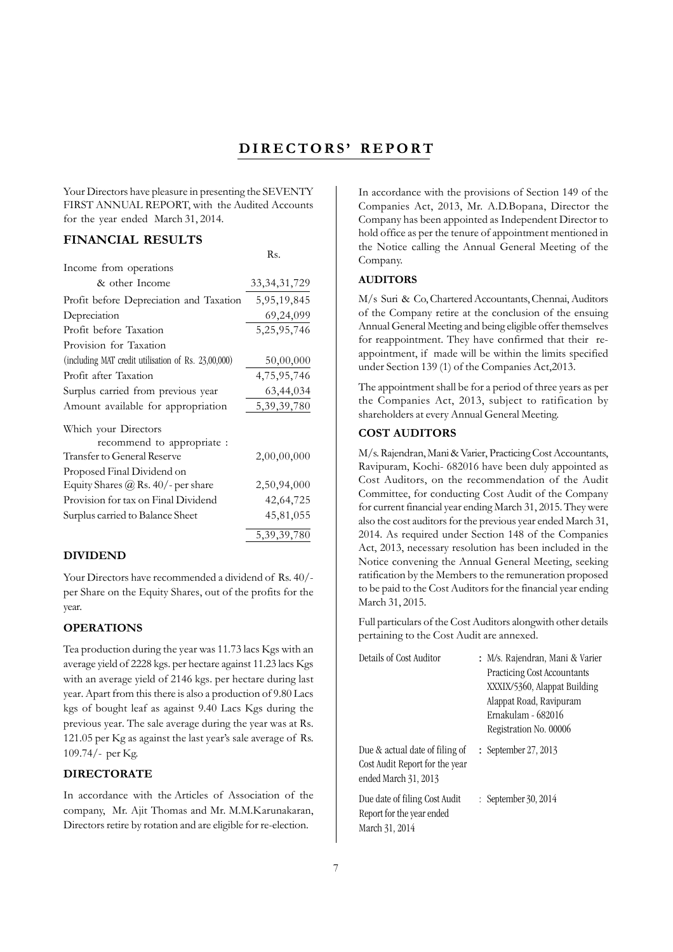# **DIRECTORS' REPORT**

R<sub>c</sub>

Your Directors have pleasure in presenting the SEVENTY FIRST ANNUAL REPORT, with the Audited Accounts for the year ended March 31, 2014.

### **FINANCIAL RESULTS**

| Income from operations                              |                 |
|-----------------------------------------------------|-----------------|
| & other Income                                      | 33, 34, 31, 729 |
| Profit before Depreciation and Taxation             | 5,95,19,845     |
| Depreciation                                        | 69,24,099       |
| Profit before Taxation                              | 5,25,95,746     |
| Provision for Taxation                              |                 |
| (including MAT credit utilisation of Rs. 23,00,000) | 50,00,000       |
| Profit after Taxation                               | 4,75,95,746     |
| Surplus carried from previous year                  | 63,44,034       |
| Amount available for appropriation                  | 5,39,39,780     |
| Which your Directors                                |                 |
| recommend to appropriate :                          |                 |
| Transfer to General Reserve                         | 2,00,00,000     |
| Proposed Final Dividend on                          |                 |
| Equity Shares $@$ Rs. 40/- per share                | 2,50,94,000     |
| Provision for tax on Final Dividend                 | 42,64,725       |
| Surplus carried to Balance Sheet                    | 45,81,055       |
|                                                     | 5, 39, 39, 780  |

### **DIVIDEND**

Your Directors have recommended a dividend of Rs. 40/ per Share on the Equity Shares, out of the profits for the year.

### **OPERATIONS**

Tea production during the year was 11.73 lacs Kgs with an average yield of 2228 kgs. per hectare against 11.23 lacs Kgs with an average yield of 2146 kgs. per hectare during last year. Apart from this there is also a production of 9.80 Lacs kgs of bought leaf as against 9.40 Lacs Kgs during the previous year. The sale average during the year was at Rs. 121.05 per Kg as against the last year's sale average of Rs. 109.74/- per Kg.

### **DIRECTORATE**

In accordance with the Articles of Association of the company, Mr. Ajit Thomas and Mr. M.M.Karunakaran, Directors retire by rotation and are eligible for re-election.

In accordance with the provisions of Section 149 of the Companies Act, 2013, Mr. A.D.Bopana, Director the Company has been appointed as Independent Director to hold office as per the tenure of appointment mentioned in the Notice calling the Annual General Meeting of the Company.

### **AUDITORS**

M/s Suri & Co, Chartered Accountants, Chennai, Auditors of the Company retire at the conclusion of the ensuing Annual General Meeting and being eligible offer themselves for reappointment. They have confirmed that their reappointment, if made will be within the limits specified under Section 139 (1) of the Companies Act,2013.

The appointment shall be for a period of three years as per the Companies Act, 2013, subject to ratification by shareholders at every Annual General Meeting.

### **COST AUDITORS**

M/s. Rajendran, Mani & Varier, Practicing Cost Accountants, Ravipuram, Kochi- 682016 have been duly appointed as Cost Auditors, on the recommendation of the Audit Committee, for conducting Cost Audit of the Company for current financial year ending March 31, 2015. They were also the cost auditors for the previous year ended March 31, 2014. As required under Section 148 of the Companies Act, 2013, necessary resolution has been included in the Notice convening the Annual General Meeting, seeking ratification by the Members to the remuneration proposed to be paid to the Cost Auditors for the financial year ending March 31, 2015.

Full particulars of the Cost Auditors alongwith other details pertaining to the Cost Audit are annexed.

| Details of Cost Auditor                                                                  | : M/s. Rajendran, Mani & Varier<br><b>Practicing Cost Accountants</b><br>XXXIX/5360, Alappat Building<br>Alappat Road, Ravipuram<br>Ernakulam - 682016<br>Registration No. 00006 |
|------------------------------------------------------------------------------------------|----------------------------------------------------------------------------------------------------------------------------------------------------------------------------------|
| Due & actual date of filing of<br>Cost Audit Report for the year<br>ended March 31, 2013 | : September 27, 2013                                                                                                                                                             |
| Due date of filing Cost Audit<br>Report for the year ended<br>March 31, 2014             | $\therefore$ September 30, 2014                                                                                                                                                  |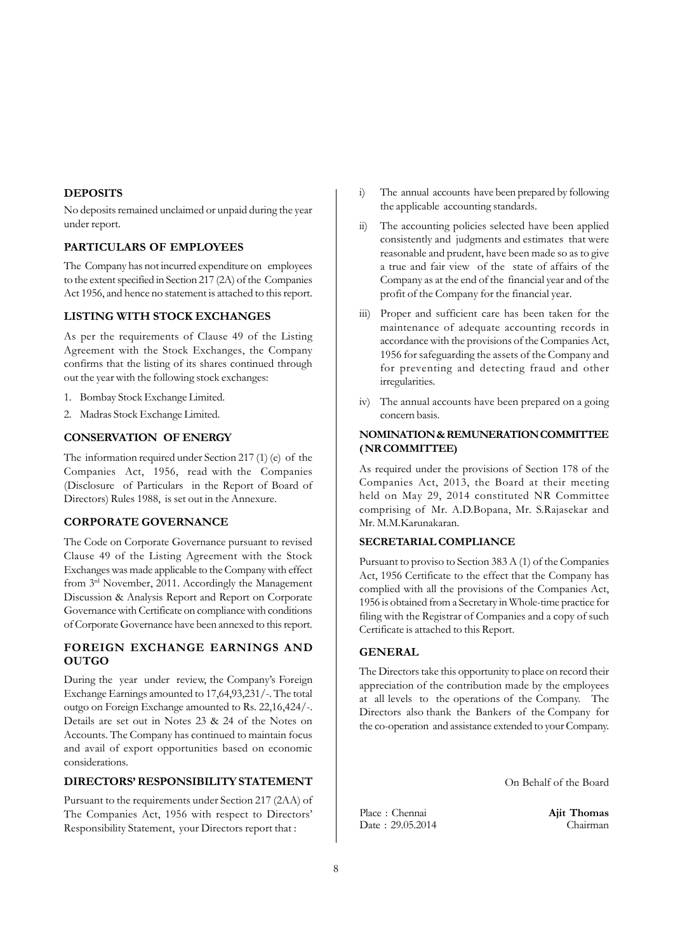### **DEPOSITS**

No deposits remained unclaimed or unpaid during the year under report.

### **PARTICULARS OF EMPLOYEES**

The Company has not incurred expenditure on employees to the extent specified in Section 217 (2A) of the Companies Act 1956, and hence no statement is attached to this report.

### **LISTING WITH STOCK EXCHANGES**

As per the requirements of Clause 49 of the Listing Agreement with the Stock Exchanges, the Company confirms that the listing of its shares continued through out the year with the following stock exchanges:

- 1. Bombay Stock Exchange Limited.
- 2. Madras Stock Exchange Limited.

### **CONSERVATION OF ENERGY**

The information required under Section 217 (1) (e) of the Companies Act, 1956, read with the Companies (Disclosure of Particulars in the Report of Board of Directors) Rules 1988, is set out in the Annexure.

### **CORPORATE GOVERNANCE**

The Code on Corporate Governance pursuant to revised Clause 49 of the Listing Agreement with the Stock Exchanges was made applicable to the Company with effect from 3rd November, 2011. Accordingly the Management Discussion & Analysis Report and Report on Corporate Governance with Certificate on compliance with conditions of Corporate Governance have been annexed to this report.

### **FOREIGN EXCHANGE EARNINGS AND OUTGO**

During the year under review, the Company's Foreign Exchange Earnings amounted to 17,64,93,231/-. The total outgo on Foreign Exchange amounted to Rs. 22,16,424/-. Details are set out in Notes 23 & 24 of the Notes on Accounts. The Company has continued to maintain focus and avail of export opportunities based on economic considerations.

### **DIRECTORS' RESPONSIBILITY STATEMENT**

Pursuant to the requirements under Section 217 (2AA) of The Companies Act, 1956 with respect to Directors' Responsibility Statement, your Directors report that :

- i) The annual accounts have been prepared by following the applicable accounting standards.
- ii) The accounting policies selected have been applied consistently and judgments and estimates that were reasonable and prudent, have been made so as to give a true and fair view of the state of affairs of the Company as at the end of the financial year and of the profit of the Company for the financial year.
- iii) Proper and sufficient care has been taken for the maintenance of adequate accounting records in accordance with the provisions of the Companies Act, 1956 for safeguarding the assets of the Company and for preventing and detecting fraud and other irregularities.
- iv) The annual accounts have been prepared on a going concern basis.

### **NOMINATION & REMUNERATION COMMITTEE ( NR COMMITTEE)**

As required under the provisions of Section 178 of the Companies Act, 2013, the Board at their meeting held on May 29, 2014 constituted NR Committee comprising of Mr. A.D.Bopana, Mr. S.Rajasekar and Mr. M.M.Karunakaran.

### **SECRETARIAL COMPLIANCE**

Pursuant to proviso to Section 383 A (1) of the Companies Act, 1956 Certificate to the effect that the Company has complied with all the provisions of the Companies Act, 1956 is obtained from a Secretary in Whole-time practice for filing with the Registrar of Companies and a copy of such Certificate is attached to this Report.

### **GENERAL**

The Directors take this opportunity to place on record their appreciation of the contribution made by the employees at all levels to the operations of the Company. The Directors also thank the Bankers of the Company for the co-operation and assistance extended to your Company.

On Behalf of the Board

Place : Chennai **Aijt Thomas** Date : 29.05.2014 Chairman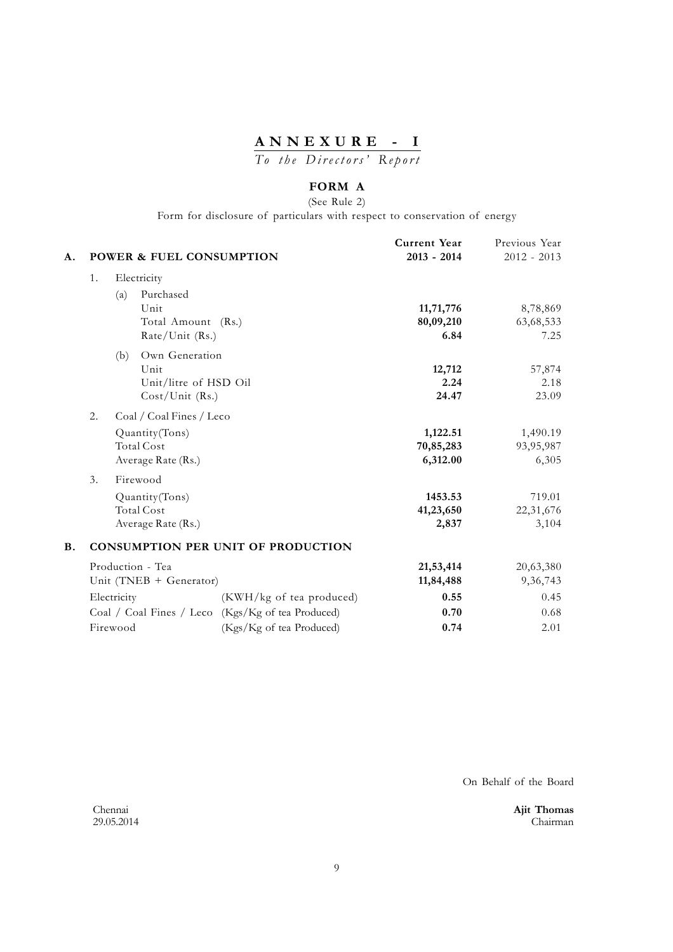# **ANNEXURE - I**

*To the Directors' Report*

# **FORM A**

(See Rule 2)

Form for disclosure of particulars with respect to conservation of energy

| A.        |    | <b>POWER &amp; FUEL CONSUMPTION</b> |                                           | <b>Current Year</b><br>$2013 - 2014$ | Previous Year<br>$2012 - 2013$ |
|-----------|----|-------------------------------------|-------------------------------------------|--------------------------------------|--------------------------------|
|           | 1. | Electricity                         |                                           |                                      |                                |
|           |    | Purchased<br>(a)                    |                                           |                                      |                                |
|           |    | Unit                                |                                           | 11,71,776                            | 8,78,869                       |
|           |    | Total Amount (Rs.)                  |                                           | 80,09,210                            | 63, 68, 533                    |
|           |    | Rate/Unit (Rs.)                     |                                           | 6.84                                 | 7.25                           |
|           |    | Own Generation<br>(b)               |                                           |                                      |                                |
|           |    | Unit                                |                                           | 12,712                               | 57,874                         |
|           |    | Unit/litre of HSD Oil               |                                           | 2.24                                 | 2.18                           |
|           |    | $Cost/Unit$ (Rs.)                   |                                           | 24.47                                | 23.09                          |
|           | 2. | Coal / Coal Fines / Leco            |                                           |                                      |                                |
|           |    | Quantity(Tons)                      |                                           | 1,122.51                             | 1,490.19                       |
|           |    | <b>Total Cost</b>                   |                                           | 70,85,283                            | 93,95,987                      |
|           |    | Average Rate (Rs.)                  |                                           | 6,312.00                             | 6,305                          |
|           | 3. | Firewood                            |                                           |                                      |                                |
|           |    | Quantity (Tons)                     |                                           | 1453.53                              | 719.01                         |
|           |    | <b>Total Cost</b>                   |                                           | 41,23,650                            | 22, 31, 676                    |
|           |    | Average Rate (Rs.)                  |                                           | 2,837                                | 3,104                          |
| <b>B.</b> |    |                                     | <b>CONSUMPTION PER UNIT OF PRODUCTION</b> |                                      |                                |
|           |    | Production - Tea                    |                                           | 21,53,414                            | 20,63,380                      |
|           |    | Unit (TNEB + Generator)             |                                           | 11,84,488                            | 9,36,743                       |
|           |    | Electricity                         | (KWH/kg of tea produced)                  | 0.55                                 | 0.45                           |
|           |    | Coal / Coal Fines / Leco            | (Kgs/Kg of tea Produced)                  | 0.70                                 | 0.68                           |
|           |    | Firewood                            | (Kgs/Kg of tea Produced)                  | 0.74                                 | 2.01                           |

On Behalf of the Board

Chennai **Ajit Thomas** 29.05.2014 Chairman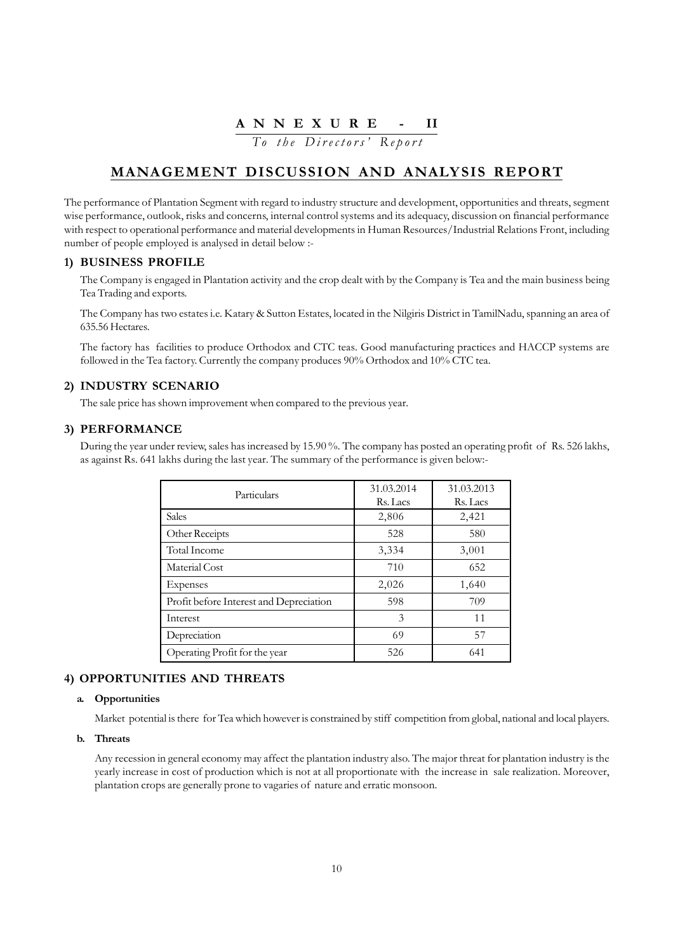### **A N N E X U R E - II**

*To the Directors' Report*

# **MANAGEMENT DISCUSSION AND ANALYSIS REPORT**

The performance of Plantation Segment with regard to industry structure and development, opportunities and threats, segment wise performance, outlook, risks and concerns, internal control systems and its adequacy, discussion on financial performance with respect to operational performance and material developments in Human Resources/Industrial Relations Front, including number of people employed is analysed in detail below :-

### **1) BUSINESS PROFILE**

The Company is engaged in Plantation activity and the crop dealt with by the Company is Tea and the main business being Tea Trading and exports.

The Company has two estates i.e. Katary & Sutton Estates, located in the Nilgiris District in TamilNadu, spanning an area of 635.56 Hectares.

The factory has facilities to produce Orthodox and CTC teas. Good manufacturing practices and HACCP systems are followed in the Tea factory. Currently the company produces 90% Orthodox and 10% CTC tea.

### **2) INDUSTRY SCENARIO**

The sale price has shown improvement when compared to the previous year.

### **3) PERFORMANCE**

During the year under review, sales has increased by 15.90 %. The company has posted an operating profit of Rs. 526 lakhs, as against Rs. 641 lakhs during the last year. The summary of the performance is given below:-

| Particulars                             | 31.03.2014<br>Rs. Lacs | 31.03.2013<br>Rs. Lacs |
|-----------------------------------------|------------------------|------------------------|
| <b>Sales</b>                            | 2,806                  | 2,421                  |
| Other Receipts                          | 528                    | 580                    |
| Total Income                            | 3,334                  | 3,001                  |
| Material Cost                           | 710                    | 652                    |
| Expenses                                | 2,026                  | 1,640                  |
| Profit before Interest and Depreciation | 598                    | 709                    |
| Interest                                | 3                      | 11                     |
| Depreciation                            | 69                     | 57                     |
| Operating Profit for the year           | 526                    | 641                    |

### **4) OPPORTUNITIES AND THREATS**

### **a. Opportunities**

Market potential is there for Tea which however is constrained by stiff competition from global, national and local players.

### **b. Threats**

Any recession in general economy may affect the plantation industry also. The major threat for plantation industry is the yearly increase in cost of production which is not at all proportionate with the increase in sale realization. Moreover, plantation crops are generally prone to vagaries of nature and erratic monsoon.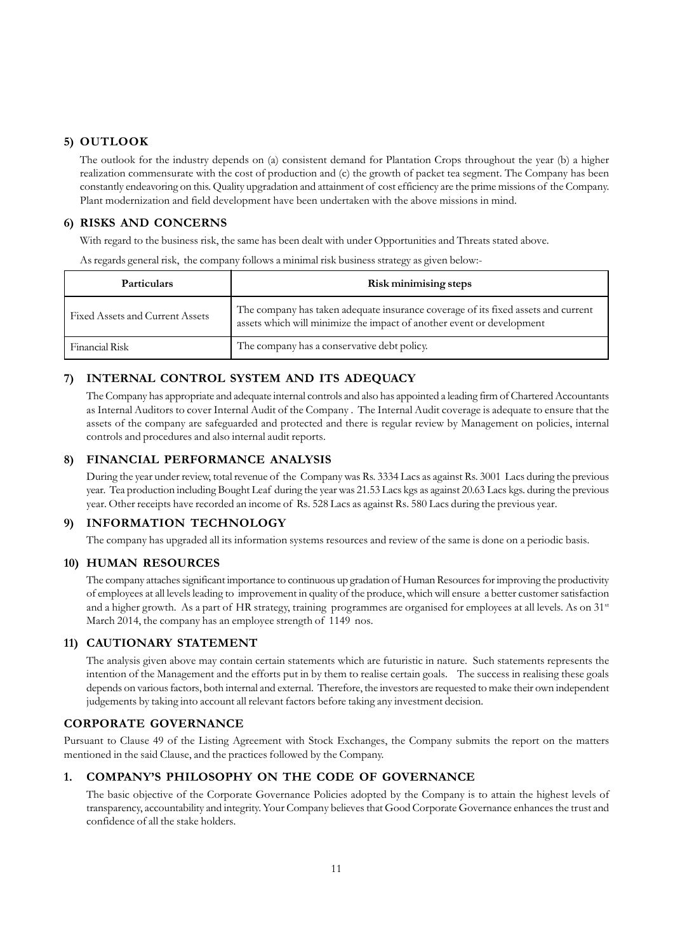### **5) OUTLOOK**

The outlook for the industry depends on (a) consistent demand for Plantation Crops throughout the year (b) a higher realization commensurate with the cost of production and (c) the growth of packet tea segment. The Company has been constantly endeavoring on this. Quality upgradation and attainment of cost efficiency are the prime missions of the Company. Plant modernization and field development have been undertaken with the above missions in mind.

### **6) RISKS AND CONCERNS**

With regard to the business risk, the same has been dealt with under Opportunities and Threats stated above.

As regards general risk, the company follows a minimal risk business strategy as given below:-

| <b>Particulars</b>              | Risk minimising steps                                                                                                                                      |
|---------------------------------|------------------------------------------------------------------------------------------------------------------------------------------------------------|
| Fixed Assets and Current Assets | The company has taken adequate insurance coverage of its fixed assets and current<br>assets which will minimize the impact of another event or development |
| <b>Financial Risk</b>           | The company has a conservative debt policy.                                                                                                                |

### **7) INTERNAL CONTROL SYSTEM AND ITS ADEQUACY**

The Company has appropriate and adequate internal controls and also has appointed a leading firm of Chartered Accountants as Internal Auditors to cover Internal Audit of the Company . The Internal Audit coverage is adequate to ensure that the assets of the company are safeguarded and protected and there is regular review by Management on policies, internal controls and procedures and also internal audit reports.

### **8) FINANCIAL PERFORMANCE ANALYSIS**

During the year under review, total revenue of the Company was Rs. 3334 Lacs as against Rs. 3001 Lacs during the previous year. Tea production including Bought Leaf during the year was 21.53 Lacs kgs as against 20.63 Lacs kgs. during the previous year. Other receipts have recorded an income of Rs. 528 Lacs as against Rs. 580 Lacs during the previous year.

### **9) INFORMATION TECHNOLOGY**

The company has upgraded all its information systems resources and review of the same is done on a periodic basis.

### **10) HUMAN RESOURCES**

The company attaches significant importance to continuous up gradation of Human Resources for improving the productivity of employees at all levels leading to improvement in quality of the produce, which will ensure a better customer satisfaction and a higher growth. As a part of HR strategy, training programmes are organised for employees at all levels. As on 31<sup>st</sup> March 2014, the company has an employee strength of 1149 nos.

### **11) CAUTIONARY STATEMENT**

The analysis given above may contain certain statements which are futuristic in nature. Such statements represents the intention of the Management and the efforts put in by them to realise certain goals. The success in realising these goals depends on various factors, both internal and external. Therefore, the investors are requested to make their own independent judgements by taking into account all relevant factors before taking any investment decision.

### **CORPORATE GOVERNANCE**

Pursuant to Clause 49 of the Listing Agreement with Stock Exchanges, the Company submits the report on the matters mentioned in the said Clause, and the practices followed by the Company.

### **1. COMPANY'S PHILOSOPHY ON THE CODE OF GOVERNANCE**

The basic objective of the Corporate Governance Policies adopted by the Company is to attain the highest levels of transparency, accountability and integrity. Your Company believes that Good Corporate Governance enhances the trust and confidence of all the stake holders.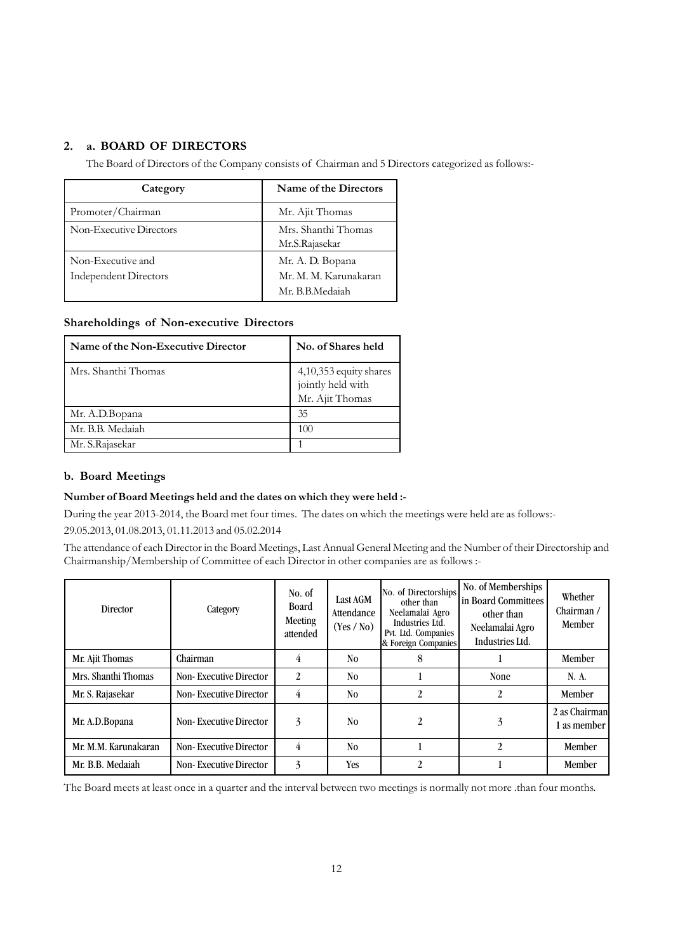### **2. a. BOARD OF DIRECTORS**

The Board of Directors of the Company consists of Chairman and 5 Directors categorized as follows:-

| Category                                          | Name of the Directors                                        |
|---------------------------------------------------|--------------------------------------------------------------|
| Promoter/Chairman                                 | Mr. Ajit Thomas                                              |
| Non-Executive Directors                           | Mrs. Shanthi Thomas<br>Mr.S.Rajasekar                        |
| Non-Executive and<br><b>Independent Directors</b> | Mr. A. D. Bopana<br>Mr. M. M. Karunakaran<br>Mr. B.B.Medaiah |

### **Shareholdings of Non-executive Directors**

| Name of the Non-Executive Director | No. of Shares held                                             |
|------------------------------------|----------------------------------------------------------------|
| Mrs. Shanthi Thomas                | 4,10,353 equity shares<br>jointly held with<br>Mr. Ajit Thomas |
| Mr. A.D.Bopana                     | 35                                                             |
| Mr. B.B. Medaiah                   | 100                                                            |
| Mr. S.Rajasekar                    |                                                                |

### **b. Board Meetings**

### **Number of Board Meetings held and the dates on which they were held :-**

During the year 2013-2014, the Board met four times. The dates on which the meetings were held are as follows:-

29.05.2013, 01.08.2013, 01.11.2013 and 05.02.2014

The attendance of each Director in the Board Meetings, Last Annual General Meeting and the Number of their Directorship and Chairmanship/Membership of Committee of each Director in other companies are as follows :-

| Director             | Category                      | No. of<br><b>Board</b><br><b>Meeting</b><br>attended | Last AGM<br>Attendance<br>(Yes / No) | No. of Directorships<br>other than<br>Neelamalai Agro<br>Industries Ltd.<br>Pvt. Ltd. Companies<br>& Foreign Companies | No. of Memberships<br>in Board Committees<br>other than<br>Neelamalai Agro<br>Industries Ltd. | Whether<br>Chairman /<br>Member |
|----------------------|-------------------------------|------------------------------------------------------|--------------------------------------|------------------------------------------------------------------------------------------------------------------------|-----------------------------------------------------------------------------------------------|---------------------------------|
| Mr. Ajit Thomas      | Chairman                      | 4                                                    | N <sub>0</sub>                       | 8                                                                                                                      |                                                                                               | Member                          |
| Mrs. Shanthi Thomas  | <b>Non-Executive Director</b> | 2                                                    | N <sub>0</sub>                       |                                                                                                                        | <b>None</b>                                                                                   | N. A.                           |
| Mr. S. Rajasekar     | <b>Non-Executive Director</b> | 4                                                    | N <sub>0</sub>                       | 2                                                                                                                      | 2                                                                                             | Member                          |
| Mr. A.D.Bopana       | <b>Non-Executive Director</b> | 3                                                    | N <sub>0</sub>                       | 2                                                                                                                      | 3                                                                                             | 2 as Chairman<br>1 as member    |
| Mr. M.M. Karunakaran | <b>Non-Executive Director</b> | 4                                                    | N <sub>0</sub>                       |                                                                                                                        | 2                                                                                             | Member                          |
| Mr. B.B. Medaiah     | <b>Non-Executive Director</b> | 3                                                    | Yes                                  | 2                                                                                                                      |                                                                                               | Member                          |

The Board meets at least once in a quarter and the interval between two meetings is normally not more .than four months.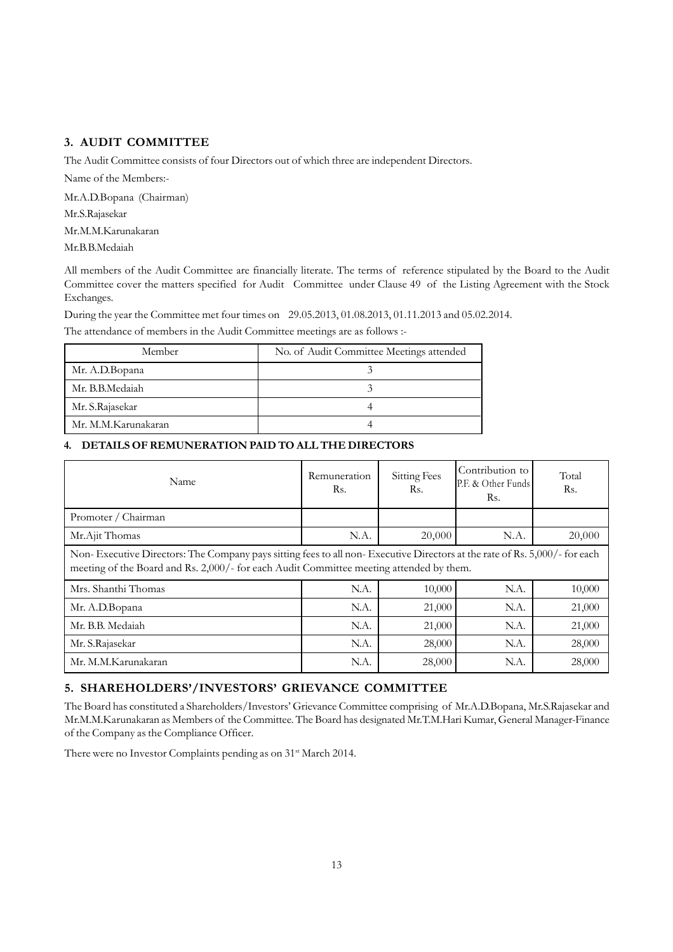### **3. AUDIT COMMITTEE**

The Audit Committee consists of four Directors out of which three are independent Directors.

Name of the Members:-

Mr.A.D.Bopana (Chairman) Mr.S.Rajasekar Mr.M.M.Karunakaran Mr.B.B.Medaiah

All members of the Audit Committee are financially literate. The terms of reference stipulated by the Board to the Audit Committee cover the matters specified for Audit Committee under Clause 49 of the Listing Agreement with the Stock Exchanges.

During the year the Committee met four times on 29.05.2013, 01.08.2013, 01.11.2013 and 05.02.2014.

The attendance of members in the Audit Committee meetings are as follows :-

| Member              | No. of Audit Committee Meetings attended |
|---------------------|------------------------------------------|
| Mr. A.D.Bopana      |                                          |
| Mr. B.B.Medaiah     |                                          |
| Mr. S.Rajasekar     |                                          |
| Mr. M.M.Karunakaran |                                          |

### **4. DETAILS OF REMUNERATION PAID TO ALL THE DIRECTORS**

| Name                | Remuneration<br>Rs.                                                                                                                                                                                                  | <b>Sitting Fees</b><br>Rs. | Contribution to<br>P.F. & Other Funds<br>Rs. | Total<br>Rs. |  |  |  |
|---------------------|----------------------------------------------------------------------------------------------------------------------------------------------------------------------------------------------------------------------|----------------------------|----------------------------------------------|--------------|--|--|--|
| Promoter / Chairman |                                                                                                                                                                                                                      |                            |                                              |              |  |  |  |
| Mr.Ajit Thomas      | N.A.                                                                                                                                                                                                                 | 20,000                     | N.A.                                         | 20,000       |  |  |  |
|                     | Non-Executive Directors: The Company pays sitting fees to all non-Executive Directors at the rate of Rs. 5,000/- for each<br>meeting of the Board and Rs. 2,000/- for each Audit Committee meeting attended by them. |                            |                                              |              |  |  |  |
| Mrs. Shanthi Thomas | N.A.                                                                                                                                                                                                                 | 10,000                     | N.A.                                         | 10,000       |  |  |  |
| Mr. A.D.Bopana      | N.A.                                                                                                                                                                                                                 | 21,000                     | N.A.                                         | 21,000       |  |  |  |
| Mr. B.B. Medaiah    | N.A.                                                                                                                                                                                                                 | 21,000                     | N.A.                                         | 21,000       |  |  |  |
| Mr. S.Rajasekar     | N.A.                                                                                                                                                                                                                 | 28,000                     | N.A.                                         | 28,000       |  |  |  |
| Mr. M.M.Karunakaran | N.A.                                                                                                                                                                                                                 | 28,000                     | N.A.                                         | 28,000       |  |  |  |

### **5. SHAREHOLDERS'/INVESTORS' GRIEVANCE COMMITTEE**

The Board has constituted a Shareholders/Investors' Grievance Committee comprising of Mr.A.D.Bopana, Mr.S.Rajasekar and Mr.M.M.Karunakaran as Members of the Committee. The Board has designated Mr.T.M.Hari Kumar, General Manager-Finance of the Company as the Compliance Officer.

There were no Investor Complaints pending as on 31<sup>st</sup> March 2014.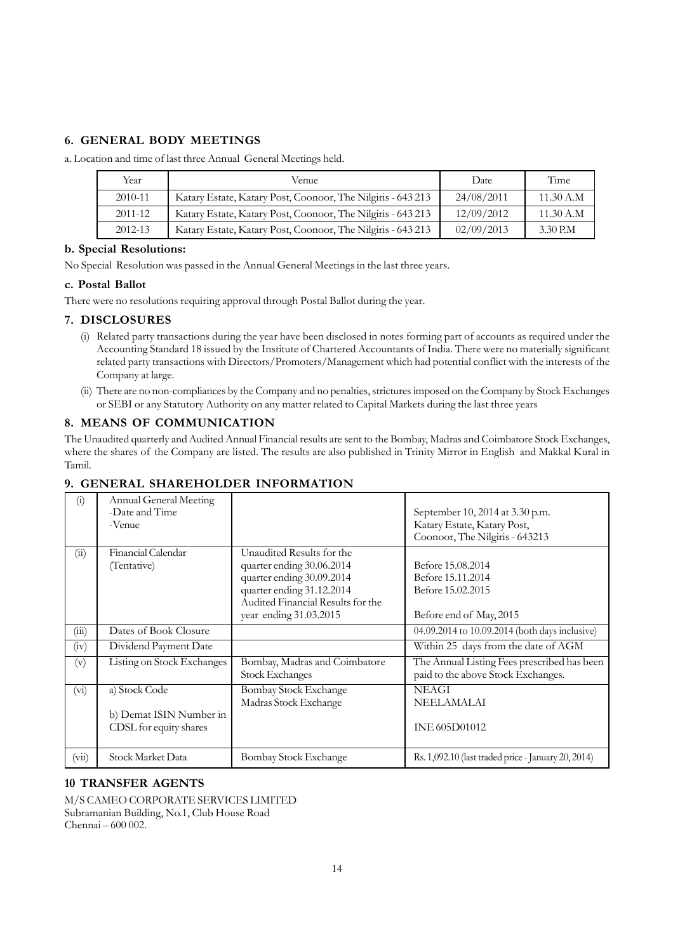# **6. GENERAL BODY MEETINGS**

a. Location and time of last three Annual General Meetings held.

| Year        | Venue                                                       | Date       | Time      |
|-------------|-------------------------------------------------------------|------------|-----------|
| $2010 - 11$ | Katary Estate, Katary Post, Coonoor, The Nilgiris - 643 213 | 24/08/2011 | 11.30 A.M |
| 2011-12     | Katary Estate, Katary Post, Coonoor, The Nilgiris - 643 213 | 12/09/2012 | 11.30 A.M |
| $2012 - 13$ | Katary Estate, Katary Post, Coonoor, The Nilgiris - 643 213 | 02/09/2013 | 3.30 P.M  |

### **b. Special Resolutions:**

No Special Resolution was passed in the Annual General Meetings in the last three years.

### **c. Postal Ballot**

There were no resolutions requiring approval through Postal Ballot during the year.

### **7. DISCLOSURES**

- (i) Related party transactions during the year have been disclosed in notes forming part of accounts as required under the Accounting Standard 18 issued by the Institute of Chartered Accountants of India. There were no materially significant related party transactions with Directors/Promoters/Management which had potential conflict with the interests of the Company at large.
- (ii) There are no non-compliances by the Company and no penalties, strictures imposed on the Company by Stock Exchanges or SEBI or any Statutory Authority on any matter related to Capital Markets during the last three years

### **8. MEANS OF COMMUNICATION**

The Unaudited quarterly and Audited Annual Financial results are sent to the Bombay, Madras and Coimbatore Stock Exchanges, where the shares of the Company are listed. The results are also published in Trinity Mirror in English and Makkal Kural in Tamil.

| $\left( 1 \right)$        | Annual General Meeting<br>-Date and Time<br>-Venue                 |                                                                                                                                                                                 | September 10, 2014 at 3.30 p.m.<br>Katary Estate, Katary Post,<br>Coonoor, The Nilgiris - 643213 |
|---------------------------|--------------------------------------------------------------------|---------------------------------------------------------------------------------------------------------------------------------------------------------------------------------|--------------------------------------------------------------------------------------------------|
| (ii)                      | Financial Calendar<br>(Tentative)                                  | Unaudited Results for the<br>quarter ending 30.06.2014<br>quarter ending 30.09.2014<br>quarter ending 31.12.2014<br>Audited Financial Results for the<br>year ending 31.03.2015 | Before 15.08.2014<br>Before 15.11.2014<br>Before 15.02.2015<br>Before end of May, 2015           |
| $\overline{\textrm{iii}}$ | Dates of Book Closure                                              |                                                                                                                                                                                 | 04.09.2014 to 10.09.2014 (both days inclusive)                                                   |
| (iv)                      | Dividend Payment Date                                              |                                                                                                                                                                                 | Within 25 days from the date of AGM                                                              |
| (v)                       | Listing on Stock Exchanges                                         | Bombay, Madras and Coimbatore<br><b>Stock Exchanges</b>                                                                                                                         | The Annual Listing Fees prescribed has been<br>paid to the above Stock Exchanges.                |
| $(v_i)$                   | a) Stock Code<br>b) Demat ISIN Number in<br>CDSL for equity shares | <b>Bombay Stock Exchange</b><br>Madras Stock Exchange                                                                                                                           | <b>NEAGI</b><br><b>NEELAMALAI</b><br>INE 605D01012                                               |
| (vii)                     | Stock Market Data                                                  | Bombay Stock Exchange                                                                                                                                                           | Rs. 1,092.10 (last traded price - January 20, 2014)                                              |

### **9. GENERAL SHAREHOLDER INFORMATION**

# **10 TRANSFER AGENTS**

M/S CAMEO CORPORATE SERVICES LIMITED Subramanian Building, No.1, Club House Road Chennai – 600 002.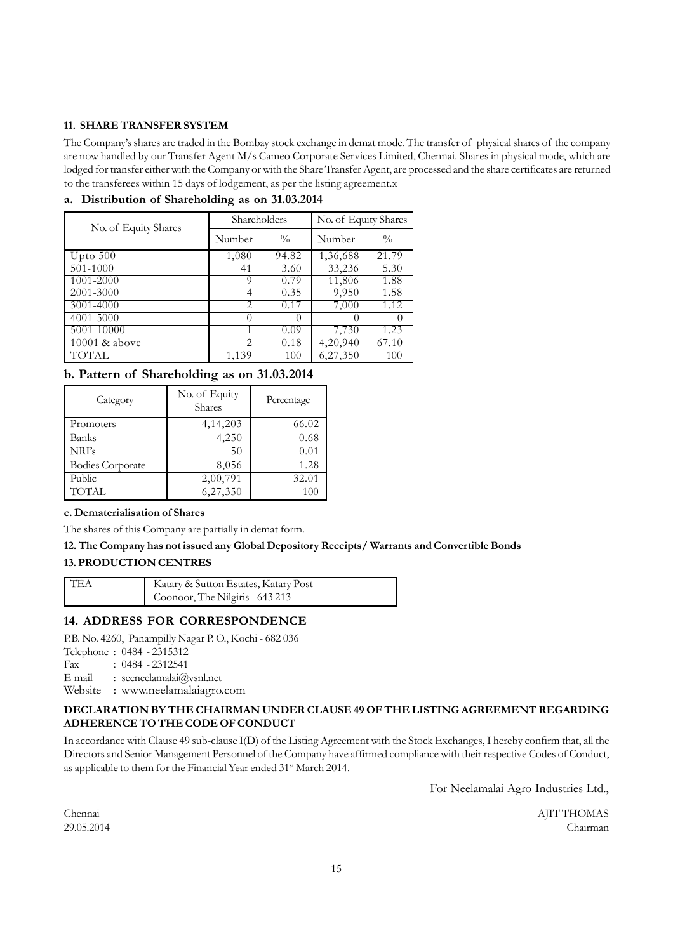### **11. SHARE TRANSFER SYSTEM**

The Company's shares are traded in the Bombay stock exchange in demat mode. The transfer of physical shares of the company are now handled by our Transfer Agent M/s Cameo Corporate Services Limited, Chennai. Shares in physical mode, which are lodged for transfer either with the Company or with the Share Transfer Agent, are processed and the share certificates are returned to the transferees within 15 days of lodgement, as per the listing agreement.x

|                      | Shareholders                  |               | No. of Equity Shares  |                  |  |
|----------------------|-------------------------------|---------------|-----------------------|------------------|--|
| No. of Equity Shares | Number                        | $\frac{0}{0}$ |                       | $\frac{0}{0}$    |  |
| Upto $500$           | 1,080                         | 94.82         | 1,36,688              | 21.79            |  |
| 501-1000             | 41                            | 3.60          | 33,236                | 5.30             |  |
| 1001-2000            | 9                             | 0.79          | 11,806                | 1.88             |  |
| 2001-3000            | 4                             | 0.35          | 9,950                 | 1.58             |  |
| 3001-4000            | 2                             | 0.17          | 7,000                 | 1.12             |  |
| 4001-5000            | $\theta$                      | $\theta$      |                       | $\left( \right)$ |  |
| 5001-10000           | 1                             | 0.09          | 7,730                 | 1.23             |  |
| 10001 & above        | $\mathfrak{D}_{\mathfrak{p}}$ | 0.18          | 4,20,940              | 67.10            |  |
| <b>TOTAL</b>         | 1,139                         | 100           | $\overline{6,27},350$ | 100              |  |

### **a. Distribution of Shareholding as on 31.03.2014**

# **b. Pattern of Shareholding as on 31.03.2014**

| Category                | No. of Equity<br><b>Shares</b> | Percentage |
|-------------------------|--------------------------------|------------|
| Promoters               | 4, 14, 203                     | 66.02      |
| Banks                   | 4,250                          | 0.68       |
| NRI's                   | 50                             | 0.01       |
| <b>Bodies Corporate</b> | 8,056                          | 1.28       |
| Public                  | 2,00,791                       | 32.01      |
| <b>TOTAL</b>            | 6,27,350                       | 100        |

### **c. Dematerialisation of Shares**

The shares of this Company are partially in demat form.

### **12. The Company has not issued any Global Depository Receipts/ Warrants and Convertible Bonds**

### **13. PRODUCTION CENTRES**

| l TEA | Katary & Sutton Estates, Katary Post |
|-------|--------------------------------------|
|       | Coonoor, The Nilgiris - 643 213      |

### **14. ADDRESS FOR CORRESPONDENCE**

P.B. No. 4260, Panampilly Nagar P. O., Kochi - 682 036

Telephone : 0484 - 2315312

Fax : 0484 - 2312541

E mail : secneelamalai $@$ vsnl.net

Website : www.neelamalaiagro.com

### **DECLARATION BY THE CHAIRMAN UNDER CLAUSE 49 OF THE LISTING AGREEMENT REGARDING ADHERENCE TO THE CODE OF CONDUCT**

In accordance with Clause 49 sub-clause I(D) of the Listing Agreement with the Stock Exchanges, I hereby confirm that, all the Directors and Senior Management Personnel of the Company have affirmed compliance with their respective Codes of Conduct, as applicable to them for the Financial Year ended 31<sup>st</sup> March 2014.

For Neelamalai Agro Industries Ltd.,

Chennai AJIT THOMAS 29.05.2014 Chairman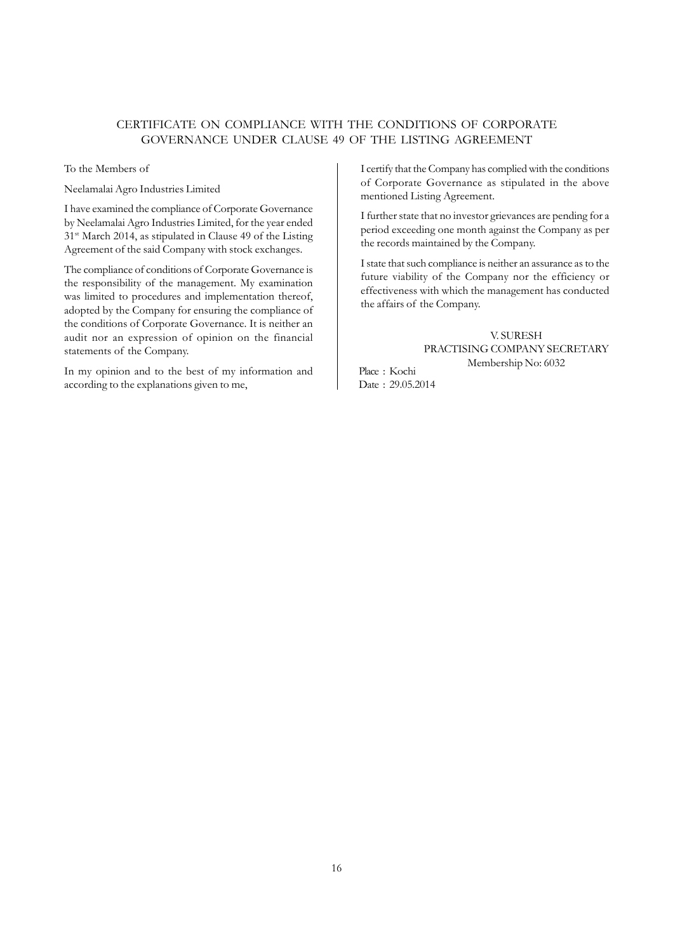### CERTIFICATE ON COMPLIANCE WITH THE CONDITIONS OF CORPORATE GOVERNANCE UNDER CLAUSE 49 OF THE LISTING AGREEMENT

To the Members of

Neelamalai Agro Industries Limited

I have examined the compliance of Corporate Governance by Neelamalai Agro Industries Limited, for the year ended 31st March 2014, as stipulated in Clause 49 of the Listing Agreement of the said Company with stock exchanges.

The compliance of conditions of Corporate Governance is the responsibility of the management. My examination was limited to procedures and implementation thereof, adopted by the Company for ensuring the compliance of the conditions of Corporate Governance. It is neither an audit nor an expression of opinion on the financial statements of the Company.

In my opinion and to the best of my information and according to the explanations given to me,

I certify that the Company has complied with the conditions of Corporate Governance as stipulated in the above mentioned Listing Agreement.

I further state that no investor grievances are pending for a period exceeding one month against the Company as per the records maintained by the Company.

I state that such compliance is neither an assurance as to the future viability of the Company nor the efficiency or effectiveness with which the management has conducted the affairs of the Company.

> V. SURESH PRACTISING COMPANY SECRETARY Membership No: 6032

Place : Kochi Date : 29.05.2014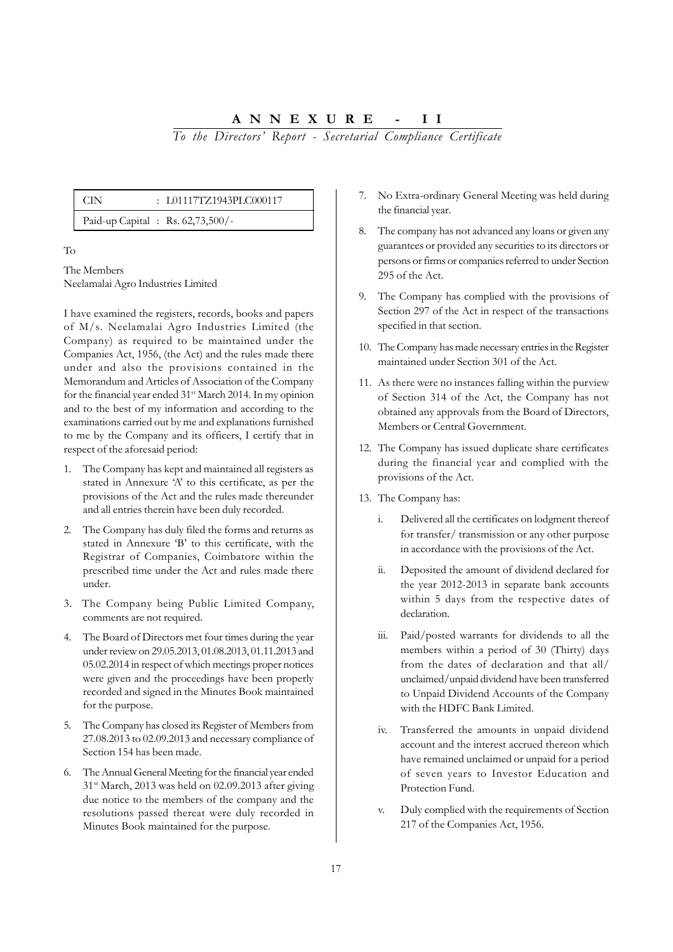### **ANNEXURE - II**

*To the Directors' Report - Secretarial Compliance Certificate*

### CIN : L01117TZ1943PLC000117

Paid-up Capital : Rs. 62,73,500/-

### To

The Members Neelamalai Agro Industries Limited

I have examined the registers, records, books and papers of M/s. Neelamalai Agro Industries Limited (the Company) as required to be maintained under the Companies Act, 1956, (the Act) and the rules made there under and also the provisions contained in the Memorandum and Articles of Association of the Company for the financial year ended 31<sup>st</sup> March 2014. In my opinion and to the best of my information and according to the examinations carried out by me and explanations furnished to me by the Company and its officers, I certify that in respect of the aforesaid period:

- 1. The Company has kept and maintained all registers as stated in Annexure 'A' to this certificate, as per the provisions of the Act and the rules made thereunder and all entries therein have been duly recorded.
- 2. The Company has duly filed the forms and returns as stated in Annexure 'B' to this certificate, with the Registrar of Companies, Coimbatore within the prescribed time under the Act and rules made there under.
- 3. The Company being Public Limited Company, comments are not required.
- 4. The Board of Directors met four times during the year under review on 29.05.2013, 01.08.2013, 01.11.2013 and 05.02.2014 in respect of which meetings proper notices were given and the proceedings have been properly recorded and signed in the Minutes Book maintained for the purpose.
- 5. The Company has closed its Register of Members from 27.08.2013 to 02.09.2013 and necessary compliance of Section 154 has been made.
- 6. The Annual General Meeting for the financial year ended 31st March, 2013 was held on 02.09.2013 after giving due notice to the members of the company and the resolutions passed thereat were duly recorded in Minutes Book maintained for the purpose.
- 7. No Extra-ordinary General Meeting was held during the financial year.
- The company has not advanced any loans or given any guarantees or provided any securities to its directors or persons or firms or companies referred to under Section 295 of the Act.
- 9. The Company has complied with the provisions of Section 297 of the Act in respect of the transactions specified in that section.
- 10. The Company has made necessary entries in the Register maintained under Section 301 of the Act.
- 11. As there were no instances falling within the purview of Section 314 of the Act, the Company has not obtained any approvals from the Board of Directors, Members or Central Government.
- 12. The Company has issued duplicate share certificates during the financial year and complied with the provisions of the Act.
- 13. The Company has:
	- i. Delivered all the certificates on lodgment thereof for transfer/ transmission or any other purpose in accordance with the provisions of the Act.
	- ii. Deposited the amount of dividend declared for the year 2012-2013 in separate bank accounts within 5 days from the respective dates of declaration.
	- iii. Paid/posted warrants for dividends to all the members within a period of 30 (Thirty) days from the dates of declaration and that all/ unclaimed/unpaid dividend have been transferred to Unpaid Dividend Accounts of the Company with the HDFC Bank Limited.
	- iv. Transferred the amounts in unpaid dividend account and the interest accrued thereon which have remained unclaimed or unpaid for a period of seven years to Investor Education and Protection Fund.
	- v. Duly complied with the requirements of Section 217 of the Companies Act, 1956.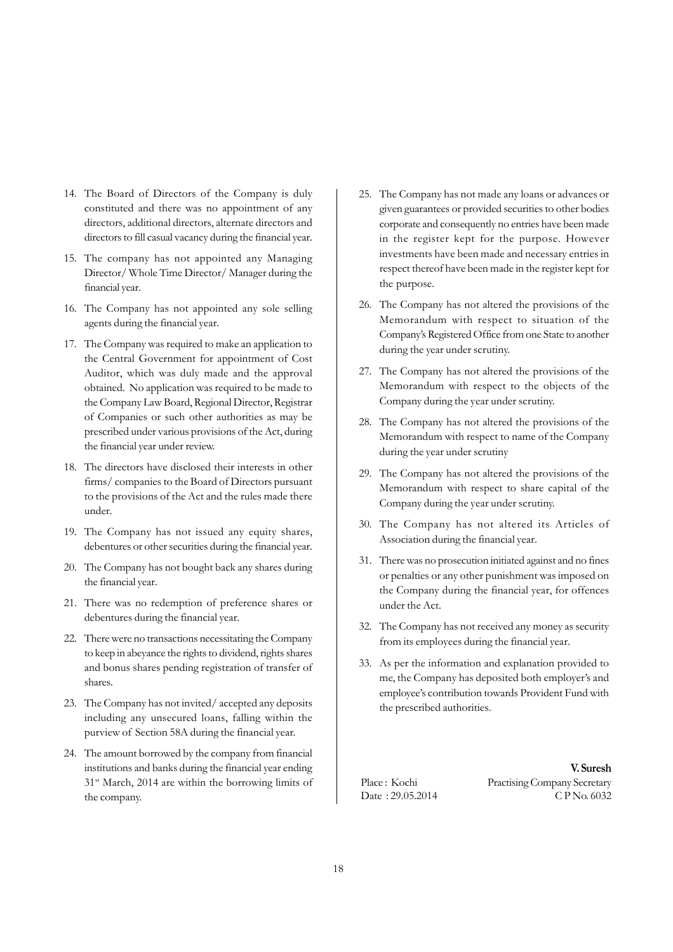- 14. The Board of Directors of the Company is duly constituted and there was no appointment of any directors, additional directors, alternate directors and directors to fill casual vacancy during the financial year.
- 15. The company has not appointed any Managing Director/ Whole Time Director/ Manager during the financial year.
- 16. The Company has not appointed any sole selling agents during the financial year.
- 17. The Company was required to make an application to the Central Government for appointment of Cost Auditor, which was duly made and the approval obtained. No application was required to be made to the Company Law Board, Regional Director, Registrar of Companies or such other authorities as may be prescribed under various provisions of the Act, during the financial year under review.
- 18. The directors have disclosed their interests in other firms/ companies to the Board of Directors pursuant to the provisions of the Act and the rules made there under.
- 19. The Company has not issued any equity shares, debentures or other securities during the financial year.
- 20. The Company has not bought back any shares during the financial year.
- 21. There was no redemption of preference shares or debentures during the financial year.
- 22. There were no transactions necessitating the Company to keep in abeyance the rights to dividend, rights shares and bonus shares pending registration of transfer of shares.
- 23. The Company has not invited/ accepted any deposits including any unsecured loans, falling within the purview of Section 58A during the financial year.
- 24. The amount borrowed by the company from financial institutions and banks during the financial year ending 31<sup>st</sup> March, 2014 are within the borrowing limits of the company.
- 25. The Company has not made any loans or advances or given guarantees or provided securities to other bodies corporate and consequently no entries have been made in the register kept for the purpose. However investments have been made and necessary entries in respect thereof have been made in the register kept for the purpose.
- 26. The Company has not altered the provisions of the Memorandum with respect to situation of the Company's Registered Office from one State to another during the year under scrutiny.
- 27. The Company has not altered the provisions of the Memorandum with respect to the objects of the Company during the year under scrutiny.
- 28. The Company has not altered the provisions of the Memorandum with respect to name of the Company during the year under scrutiny
- 29. The Company has not altered the provisions of the Memorandum with respect to share capital of the Company during the year under scrutiny.
- 30. The Company has not altered its Articles of Association during the financial year.
- 31. There was no prosecution initiated against and no fines or penalties or any other punishment was imposed on the Company during the financial year, for offences under the Act.
- 32. The Company has not received any money as security from its employees during the financial year.
- 33. As per the information and explanation provided to me, the Company has deposited both employer's and employee's contribution towards Provident Fund with the prescribed authorities.

**V. Suresh** Place : Kochi Practising Company Secretary Date : 29.05.2014 C P No. 6032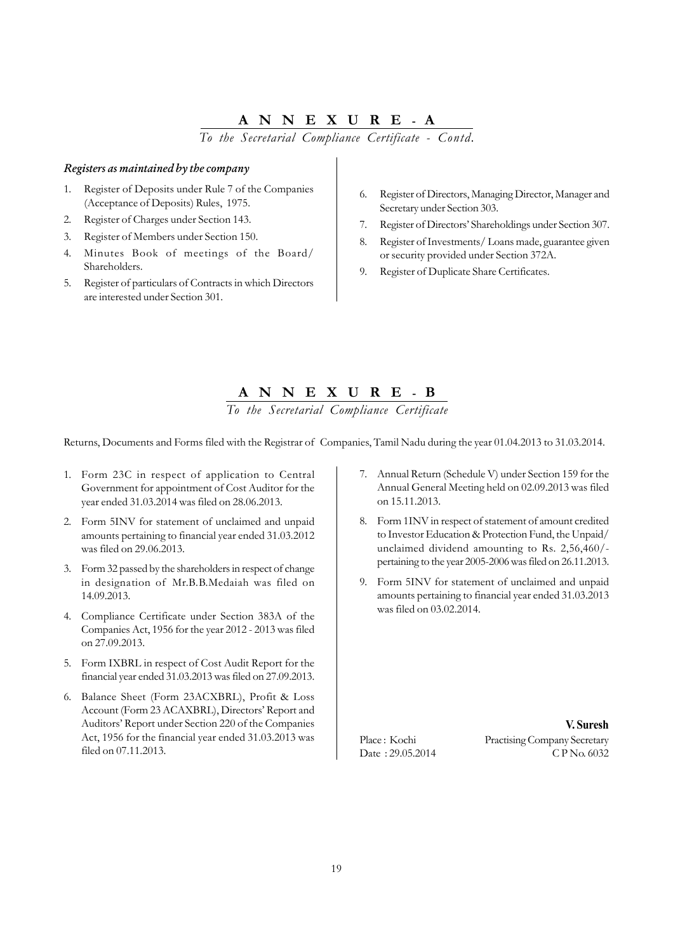# **ANNEXURE - A**

*To the Secretarial Compliance Certificate - Contd.*

### *Registers as maintained by the company*

- 1. Register of Deposits under Rule 7 of the Companies (Acceptance of Deposits) Rules, 1975.
- 2. Register of Charges under Section 143.
- 3. Register of Members under Section 150.
- 4. Minutes Book of meetings of the Board/ Shareholders.
- 5. Register of particulars of Contracts in which Directors are interested under Section 301.
- 6. Register of Directors, Managing Director, Manager and Secretary under Section 303.
- 7. Register of Directors' Shareholdings under Section 307.
- 8. Register of Investments/ Loans made, guarantee given or security provided under Section 372A.
- 9. Register of Duplicate Share Certificates.

# **ANNEXURE - B**

*To the Secretarial Compliance Certificate*

Returns, Documents and Forms filed with the Registrar of Companies, Tamil Nadu during the year 01.04.2013 to 31.03.2014.

- 1. Form 23C in respect of application to Central Government for appointment of Cost Auditor for the year ended 31.03.2014 was filed on 28.06.2013.
- 2. Form 5INV for statement of unclaimed and unpaid amounts pertaining to financial year ended 31.03.2012 was filed on 29.06.2013.
- 3. Form 32 passed by the shareholders in respect of change in designation of Mr.B.B.Medaiah was filed on 14.09.2013.
- 4. Compliance Certificate under Section 383A of the Companies Act, 1956 for the year 2012 - 2013 was filed on 27.09.2013.
- 5. Form IXBRL in respect of Cost Audit Report for the financial year ended 31.03.2013 was filed on 27.09.2013.
- 6. Balance Sheet (Form 23ACXBRL), Profit & Loss Account (Form 23 ACAXBRL), Directors' Report and Auditors' Report under Section 220 of the Companies Act, 1956 for the financial year ended 31.03.2013 was filed on 07.11.2013.
- 7. Annual Return (Schedule V) under Section 159 for the Annual General Meeting held on 02.09.2013 was filed on 15.11.2013.
- 8. Form 1INV in respect of statement of amount credited to Investor Education & Protection Fund, the Unpaid/ unclaimed dividend amounting to Rs. 2,56,460/ pertaining to the year 2005-2006 was filed on 26.11.2013.
- 9. Form 5INV for statement of unclaimed and unpaid amounts pertaining to financial year ended 31.03.2013 was filed on 03.02.2014.

**V. Suresh** Place : Kochi Practising Company Secretary Date : 29.05.2014 C P No. 6032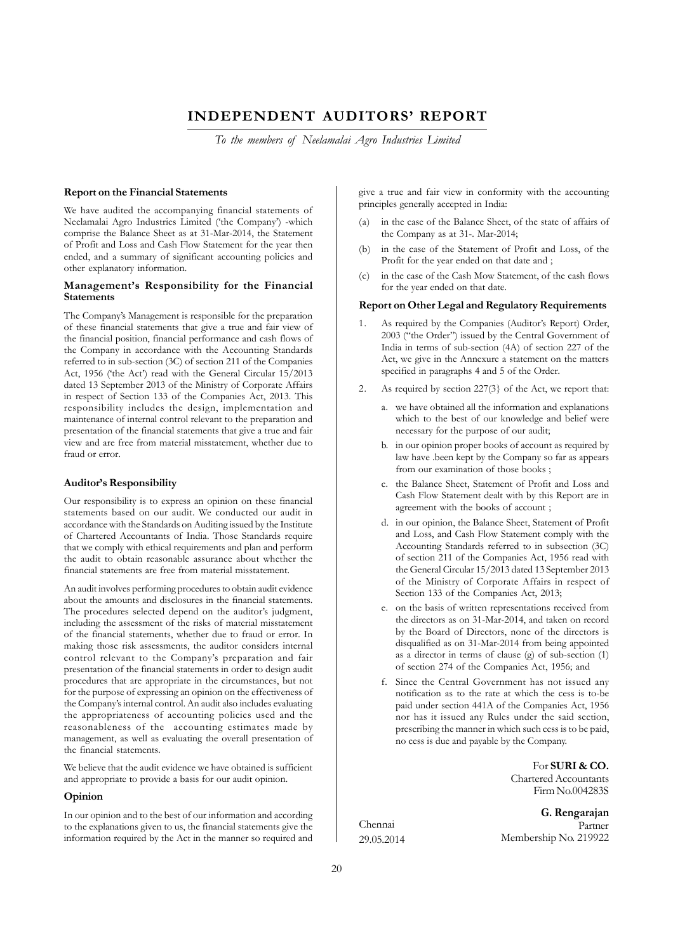# **INDEPENDENT AUDITORS' REPORT**

*To the members of Neelamalai Agro Industries Limited*

### **Report on the Financial Statements**

We have audited the accompanying financial statements of Neelamalai Agro Industries Limited ('the Company') -which comprise the Balance Sheet as at 31-Mar-2014, the Statement of Profit and Loss and Cash Flow Statement for the year then ended, and a summary of significant accounting policies and other explanatory information.

### **Management's Responsibility for the Financial Statements**

The Company's Management is responsible for the preparation of these financial statements that give a true and fair view of the financial position, financial performance and cash flows of the Company in accordance with the Accounting Standards referred to in sub-section (3C) of section 211 of the Companies Act, 1956 ('the Act') read with the General Circular 15/2013 dated 13 September 2013 of the Ministry of Corporate Affairs in respect of Section 133 of the Companies Act, 2013. This responsibility includes the design, implementation and maintenance of internal control relevant to the preparation and presentation of the financial statements that give a true and fair view and are free from material misstatement, whether due to fraud or error.

### **Auditor's Responsibility**

Our responsibility is to express an opinion on these financial statements based on our audit. We conducted our audit in accordance with the Standards on Auditing issued by the Institute of Chartered Accountants of India. Those Standards require that we comply with ethical requirements and plan and perform the audit to obtain reasonable assurance about whether the financial statements are free from material misstatement.

An audit involves performing procedures to obtain audit evidence about the amounts and disclosures in the financial statements. The procedures selected depend on the auditor's judgment, including the assessment of the risks of material misstatement of the financial statements, whether due to fraud or error. In making those risk assessments, the auditor considers internal control relevant to the Company's preparation and fair presentation of the financial statements in order to design audit procedures that are appropriate in the circumstances, but not for the purpose of expressing an opinion on the effectiveness of the Company's internal control. An audit also includes evaluating the appropriateness of accounting policies used and the reasonableness of the accounting estimates made by management, as well as evaluating the overall presentation of the financial statements.

We believe that the audit evidence we have obtained is sufficient and appropriate to provide a basis for our audit opinion.

### **Opinion**

In our opinion and to the best of our information and according to the explanations given to us, the financial statements give the information required by the Act in the manner so required and

give a true and fair view in conformity with the accounting principles generally accepted in India:

- (a) in the case of the Balance Sheet, of the state of affairs of the Company as at 31-. Mar-2014;
- (b) in the case of the Statement of Profit and Loss, of the Profit for the year ended on that date and ;
- (c) in the case of the Cash Mow Statement, of the cash flows for the year ended on that date.

### **Report on Other Legal and Regulatory Requirements**

- As required by the Companies (Auditor's Report) Order, 2003 ("the Order") issued by the Central Government of India in terms of sub-section (4A) of section 227 of the Act, we give in the Annexure a statement on the matters specified in paragraphs 4 and 5 of the Order.
- 2. As required by section 227(3} of the Act, we report that:
	- a. we have obtained all the information and explanations which to the best of our knowledge and belief were necessary for the purpose of our audit;
	- b. in our opinion proper books of account as required by law have .been kept by the Company so far as appears from our examination of those books ;
	- c. the Balance Sheet, Statement of Profit and Loss and Cash Flow Statement dealt with by this Report are in agreement with the books of account ;
	- d. in our opinion, the Balance Sheet, Statement of Profit and Loss, and Cash Flow Statement comply with the Accounting Standards referred to in subsection (3C) of section 211 of the Companies Act, 1956 read with the General Circular 15/2013 dated 13 September 2013 of the Ministry of Corporate Affairs in respect of Section 133 of the Companies Act, 2013;
	- e. on the basis of written representations received from the directors as on 31-Mar-2014, and taken on record by the Board of Directors, none of the directors is disqualified as on 31-Mar-2014 from being appointed as a director in terms of clause (g) of sub-section (1) of section 274 of the Companies Act, 1956; and
	- f. Since the Central Government has not issued any notification as to the rate at which the cess is to-be paid under section 441A of the Companies Act, 1956 nor has it issued any Rules under the said section, prescribing the manner in which such cess is to be paid, no cess is due and payable by the Company.

For **SURI & CO.** Chartered Accountants Firm No.004283S

 **G. Rengarajan** Partner Membership No. 219922

Chennai 29.05.2014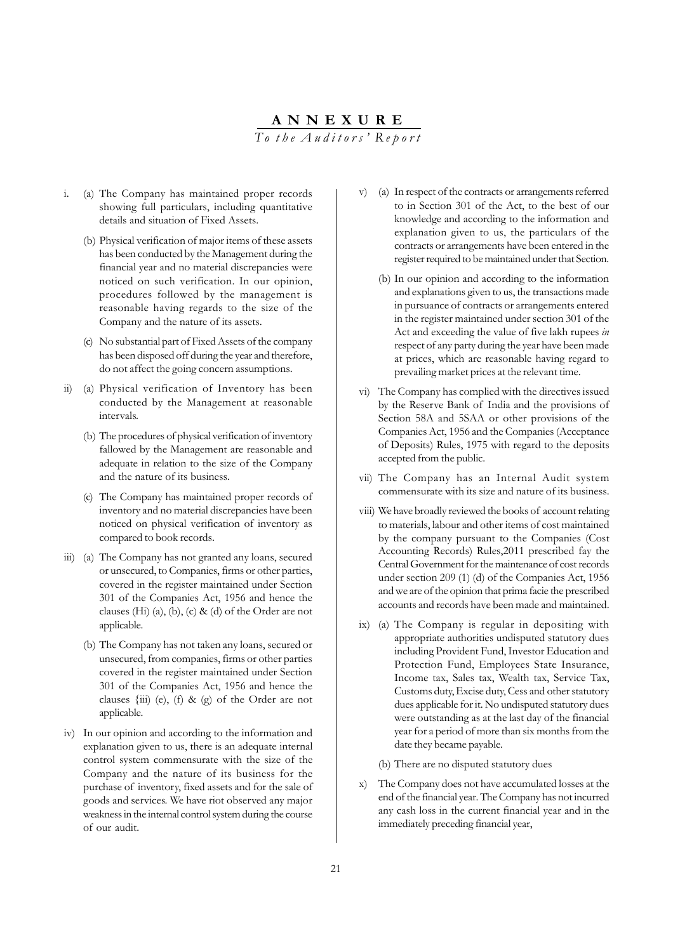# **ANNEXURE** *To the Auditors' Report*

i. (a) The Company has maintained proper records showing full particulars, including quantitative details and situation of Fixed Assets.

- (b) Physical verification of major items of these assets has been conducted by the Management during the financial year and no material discrepancies were noticed on such verification. In our opinion, procedures followed by the management is reasonable having regards to the size of the Company and the nature of its assets.
- (c) No substantial part of Fixed Assets of the company has been disposed off during the year and therefore, do not affect the going concern assumptions.
- ii) (a) Physical verification of Inventory has been conducted by the Management at reasonable intervals.
	- (b) The procedures of physical verification of inventory fallowed by the Management are reasonable and adequate in relation to the size of the Company and the nature of its business.
	- (c) The Company has maintained proper records of inventory and no material discrepancies have been noticed on physical verification of inventory as compared to book records.
- iii) (a) The Company has not granted any loans, secured or unsecured, to Companies, firms or other parties, covered in the register maintained under Section 301 of the Companies Act, 1956 and hence the clauses (Hi) (a), (b), (c) & (d) of the Order are not applicable.
	- (b) The Company has not taken any loans, secured or unsecured, from companies, firms or other parties covered in the register maintained under Section 301 of the Companies Act, 1956 and hence the clauses  $\{\text{iii}\}$  (e), (f) & (g) of the Order are not applicable.
- iv) In our opinion and according to the information and explanation given to us, there is an adequate internal control system commensurate with the size of the Company and the nature of its business for the purchase of inventory, fixed assets and for the sale of goods and services. We have riot observed any major weakness in the internal control system during the course of our audit.
- v) (a) In respect of the contracts or arrangements referred to in Section 301 of the Act, to the best of our knowledge and according to the information and explanation given to us, the particulars of the contracts or arrangements have been entered in the register required to be maintained under that Section.
	- (b) In our opinion and according to the information and explanations given to us, the transactions made in pursuance of contracts or arrangements entered in the register maintained under section 301 of the Act and exceeding the value of five lakh rupees *in* respect of any party during the year have been made at prices, which are reasonable having regard to prevailing market prices at the relevant time.
- vi) The Company has complied with the directives issued by the Reserve Bank of India and the provisions of Section 58A and 5SAA or other provisions of the Companies Act, 1956 and the Companies (Acceptance of Deposits) Rules, 1975 with regard to the deposits accepted from the public.
- vii) The Company has an Internal Audit system commensurate with its size and nature of its business.
- viii) We have broadly reviewed the books of account relating to materials, labour and other items of cost maintained by the company pursuant to the Companies (Cost Accounting Records) Rules,2011 prescribed fay the Central Government for the maintenance of cost records under section 209 (1) (d) of the Companies Act, 1956 and we are of the opinion that prima facie the prescribed accounts and records have been made and maintained.
- ix) (a) The Company is regular in depositing with appropriate authorities undisputed statutory dues including Provident Fund, Investor Education and Protection Fund, Employees State Insurance, Income tax, Sales tax, Wealth tax, Service Tax, Customs duty, Excise duty, Cess and other statutory dues applicable for it. No undisputed statutory dues were outstanding as at the last day of the financial year for a period of more than six months from the date they became payable.
	- (b) There are no disputed statutory dues
- x) The Company does not have accumulated losses at the end of the financial year. The Company has not incurred any cash loss in the current financial year and in the immediately preceding financial year,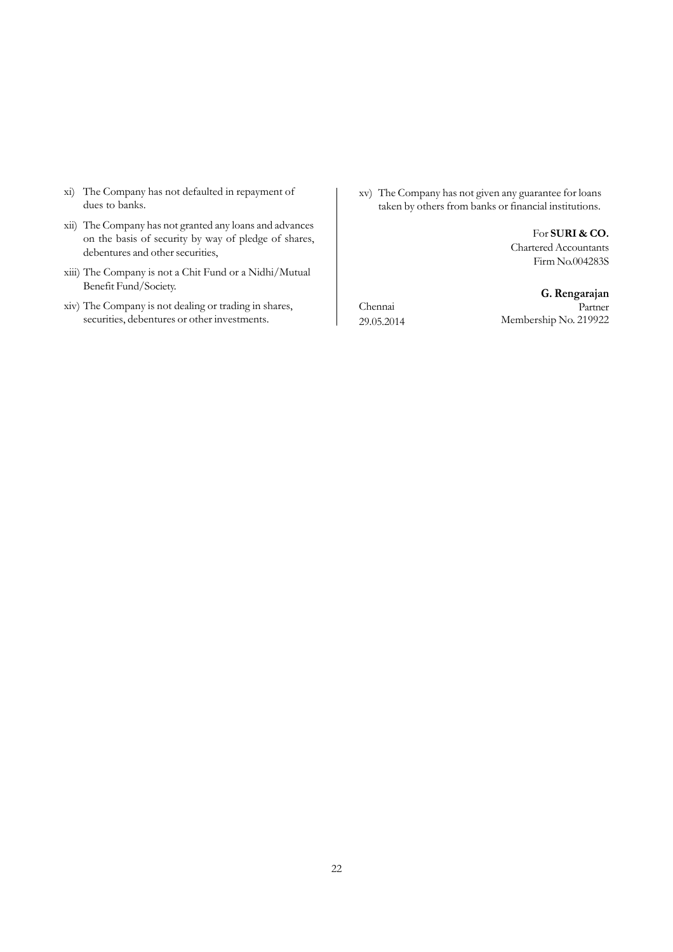- xi) The Company has not defaulted in repayment of dues to banks.
- xii) The Company has not granted any loans and advances on the basis of security by way of pledge of shares, debentures and other securities,
- xiii) The Company is not a Chit Fund or a Nidhi/Mutual Benefit Fund/Society.
- xiv) The Company is not dealing or trading in shares, securities, debentures or other investments.

xv) The Company has not given any guarantee for loans taken by others from banks or financial institutions.

> For **SURI & CO.** Chartered Accountants Firm No.004283S

Chennai 29.05.2014

 **G. Rengarajan** Partner Membership No. 219922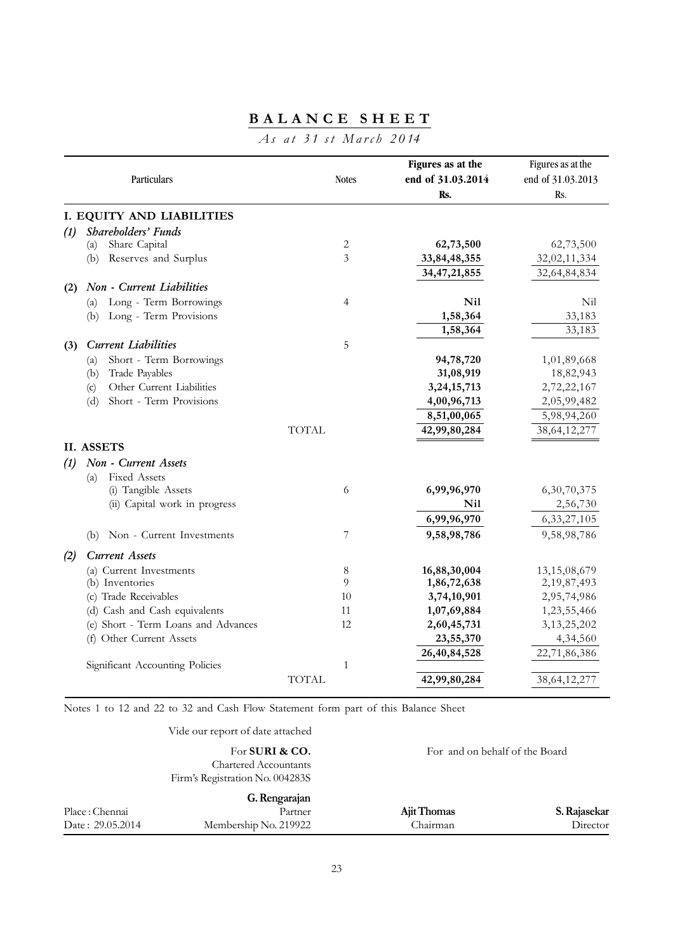# **BALANCE SHEET**

# *As at 31 st March 2014*

|     | Particulars                         | <b>Notes</b>   | Figures as at the<br>end of 31.03.2014<br>Rs. | Figures as at the<br>end of 31.03.2013<br>Rs. |
|-----|-------------------------------------|----------------|-----------------------------------------------|-----------------------------------------------|
|     | <b>I. EQUITY AND LIABILITIES</b>    |                |                                               |                                               |
| (1) | Shareholders' Funds                 |                |                                               |                                               |
|     | Share Capital<br>(a)                | $\overline{2}$ | 62,73,500                                     | 62,73,500                                     |
|     | Reserves and Surplus<br>(b)         | 3              | 33, 84, 48, 355                               | 32,02,11,334                                  |
|     |                                     |                | 34, 47, 21, 855                               | 32,64,84,834                                  |
| (2) | Non - Current Liabilities           |                |                                               |                                               |
|     | Long - Term Borrowings<br>(a)       | 4              | Nil                                           | Nil                                           |
|     | Long - Term Provisions<br>(b)       |                | 1,58,364                                      | 33,183                                        |
|     |                                     |                | 1,58,364                                      | 33,183                                        |
| (3) | <b>Current Liabilities</b>          | 5              |                                               |                                               |
|     | Short - Term Borrowings<br>(a)      |                | 94,78,720                                     | 1,01,89,668                                   |
|     | Trade Payables<br>(b)               |                | 31,08,919                                     | 18,82,943                                     |
|     | Other Current Liabilities<br>(c)    |                | 3, 24, 15, 713                                | 2,72,22,167                                   |
|     | Short - Term Provisions<br>(d)      |                | 4,00,96,713                                   | 2,05,99,482                                   |
|     |                                     |                | 8,51,00,065                                   | 5,98,94,260                                   |
|     |                                     | <b>TOTAL</b>   | 42,99,80,284                                  | 38, 64, 12, 277                               |
|     | II. ASSETS                          |                |                                               |                                               |
| (1) | Non - Current Assets                |                |                                               |                                               |
|     | Fixed Assets<br>(a)                 |                |                                               |                                               |
|     | (i) Tangible Assets                 | 6              | 6,99,96,970                                   | 6,30,70,375                                   |
|     | (ii) Capital work in progress       |                | Nil                                           | 2,56,730                                      |
|     |                                     |                | 6,99,96,970                                   | 6, 33, 27, 105                                |
|     | Non - Current Investments<br>(b)    | 7              | 9,58,98,786                                   | 9,58,98,786                                   |
| (2) | <b>Current Assets</b>               |                |                                               |                                               |
|     | (a) Current Investments             | 8              | 16,88,30,004                                  | 13,15,08,679                                  |
|     | (b) Inventories                     | 9              | 1,86,72,638                                   | 2,19,87,493                                   |
|     | (c) Trade Receivables               | 10             | 3,74,10,901                                   | 2,95,74,986                                   |
|     | (d) Cash and Cash equivalents       | 11             | 1,07,69,884                                   | 1,23,55,466                                   |
|     | (e) Short - Term Loans and Advances | 12             | 2,60,45,731                                   | 3, 13, 25, 202                                |
|     | (f) Other Current Assets            |                | 23,55,370                                     | 4,34,560                                      |
|     |                                     |                | 26,40,84,528                                  | 22,71,86,386                                  |
|     | Significant Accounting Policies     | $\mathbf{1}$   |                                               |                                               |
|     |                                     | <b>TOTAL</b>   | 42,99,80,284                                  | 38, 64, 12, 277                               |

Notes 1 to 12 and 22 to 32 and Cash Flow Statement form part of this Balance Sheet

Vide our report of date attached

 Chartered Accountants Firm's Registration No. 004283S

For **SURI & CO.** For and on behalf of the Board

|                  | G. Rengarajan         |             |              |
|------------------|-----------------------|-------------|--------------|
| Place: Chennai   | Partner               | Ajit Thomas | S. Rajasekar |
| Date: 29.05.2014 | Membership No. 219922 | Chairman    | Director     |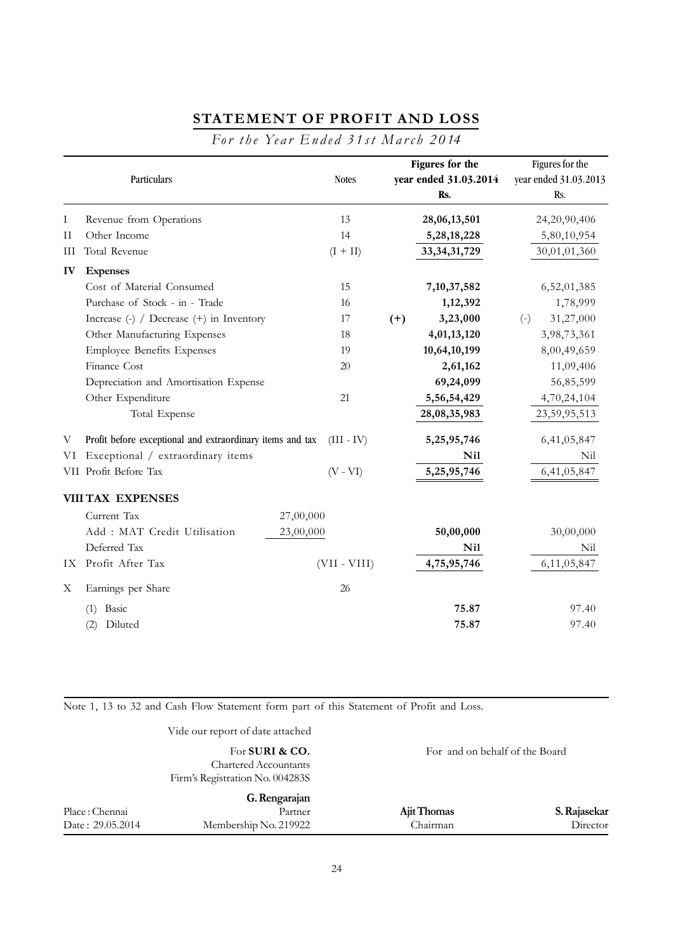# **STATEMENT OF PROFIT AND LOSS**

*For the Year Ended 31st March 2014* 

|              | Particulars                                                                      |           | <b>Notes</b>   |          | Figures for the<br>year ended 31.03.2014<br>Rs. |       | Figures for the<br>year ended 31.03.2013<br>Rs. |
|--------------|----------------------------------------------------------------------------------|-----------|----------------|----------|-------------------------------------------------|-------|-------------------------------------------------|
| Ι            | Revenue from Operations                                                          |           | 13             |          | 28,06,13,501                                    |       | 24,20,90,406                                    |
| $\mathbf{H}$ | Other Income                                                                     |           | 14             |          | 5,28,18,228                                     |       | 5,80,10,954                                     |
| Ш            | <b>Total Revenue</b>                                                             |           | $(I + II)$     |          | 33, 34, 31, 729                                 |       | 30,01,01,360                                    |
| IV           | <b>Expenses</b>                                                                  |           |                |          |                                                 |       |                                                 |
|              | Cost of Material Consumed                                                        |           | 15             |          | 7, 10, 37, 582                                  |       | 6,52,01,385                                     |
|              | Purchase of Stock - in - Trade                                                   |           | 16             |          | 1,12,392                                        |       | 1,78,999                                        |
|              | Increase $\left(\text{-}\right)$ / Decrease $\left(\text{+}\right)$ in Inventory |           | 17             | $^{(+)}$ | 3,23,000                                        | $(-)$ | 31,27,000                                       |
|              | Other Manufacturing Expenses                                                     |           | 18             |          | 4,01,13,120                                     |       | 3,98,73,361                                     |
|              | <b>Employee Benefits Expenses</b>                                                |           | 19             |          | 10,64,10,199                                    |       | 8,00,49,659                                     |
|              | Finance Cost                                                                     |           | 20             |          | 2,61,162                                        |       | 11,09,406                                       |
|              | Depreciation and Amortisation Expense                                            |           |                |          | 69,24,099                                       |       | 56,85,599                                       |
|              | Other Expenditure                                                                |           | 21             |          | 5,56,54,429                                     |       | 4,70,24,104                                     |
|              | Total Expense                                                                    |           |                |          | 28,08,35,983                                    |       | 23,59,95,513                                    |
| V            | Profit before exceptional and extraordinary items and tax                        |           | $(III - IV)$   |          | 5,25,95,746                                     |       | 6,41,05,847                                     |
| VI           | Exceptional / extraordinary items                                                |           |                |          | <b>Nil</b>                                      |       | Nil                                             |
|              | VII Profit Before Tax                                                            |           | $(V - VI)$     |          | 5,25,95,746                                     |       | 6,41,05,847                                     |
|              | <b>VIII TAX EXPENSES</b>                                                         |           |                |          |                                                 |       |                                                 |
|              | Current Tax                                                                      | 27,00,000 |                |          |                                                 |       |                                                 |
|              | Add : MAT Credit Utilisation                                                     | 23,00,000 |                |          | 50,00,000                                       |       | 30,00,000                                       |
|              | Deferred Tax                                                                     |           |                |          | Nil                                             |       | Nil                                             |
| IX           | Profit After Tax                                                                 |           | $(VII - VIII)$ |          | 4,75,95,746                                     |       | 6, 11, 05, 847                                  |
| Χ            | Earnings per Share                                                               |           | 26             |          |                                                 |       |                                                 |
|              | Basic<br>(1)                                                                     |           |                |          | 75.87                                           |       | 97.40                                           |
|              | Diluted<br>(2)                                                                   |           |                |          | 75.87                                           |       | 97.40                                           |

Note 1, 13 to 32 and Cash Flow Statement form part of this Statement of Profit and Loss.

Vide our report of date attached

|                  | For SURI & CO.<br><b>Chartered Accountants</b><br>Firm's Registration No. 004283S | For and on behalf of the Board |              |
|------------------|-----------------------------------------------------------------------------------|--------------------------------|--------------|
|                  | G. Rengarajan                                                                     |                                |              |
| Place: Chennai   | Partner                                                                           | Ajit Thomas                    | S. Rajasekar |
| Date: 29.05.2014 | Membership No. 219922                                                             | Chairman                       | Director     |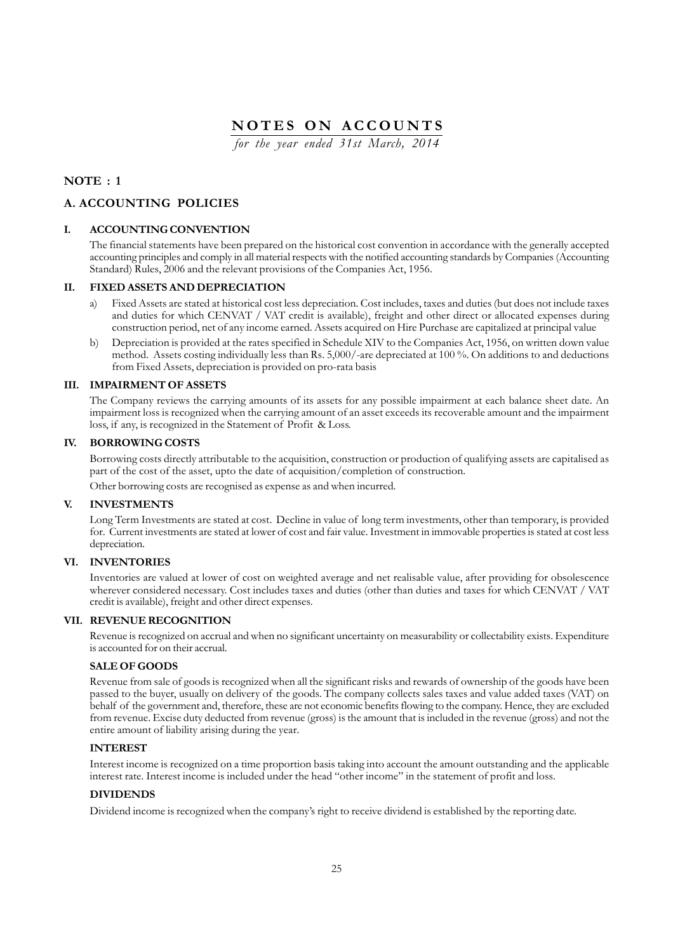*for the year ended 31st March, 2014*

### **NOTE : 1**

### **A. ACCOUNTING POLICIES**

### **I. ACCOUNTING CONVENTION**

The financial statements have been prepared on the historical cost convention in accordance with the generally accepted accounting principles and comply in all material respects with the notified accounting standards by Companies (Accounting Standard) Rules, 2006 and the relevant provisions of the Companies Act, 1956.

### **II. FIXED ASSETS AND DEPRECIATION**

- Fixed Assets are stated at historical cost less depreciation. Cost includes, taxes and duties (but does not include taxes and duties for which CENVAT / VAT credit is available), freight and other direct or allocated expenses during construction period, net of any income earned. Assets acquired on Hire Purchase are capitalized at principal value
- b) Depreciation is provided at the rates specified in Schedule XIV to the Companies Act, 1956, on written down value method. Assets costing individually less than Rs. 5,000/-are depreciated at 100 %. On additions to and deductions from Fixed Assets, depreciation is provided on pro-rata basis

### **III. IMPAIRMENT OF ASSETS**

The Company reviews the carrying amounts of its assets for any possible impairment at each balance sheet date. An impairment loss is recognized when the carrying amount of an asset exceeds its recoverable amount and the impairment loss, if any, is recognized in the Statement of Profit & Loss.

### **IV. BORROWING COSTS**

Borrowing costs directly attributable to the acquisition, construction or production of qualifying assets are capitalised as part of the cost of the asset, upto the date of acquisition/completion of construction.

Other borrowing costs are recognised as expense as and when incurred.

### **V. INVESTMENTS**

Long Term Investments are stated at cost. Decline in value of long term investments, other than temporary, is provided for. Current investments are stated at lower of cost and fair value. Investment in immovable properties is stated at cost less depreciation.

### **VI. INVENTORIES**

Inventories are valued at lower of cost on weighted average and net realisable value, after providing for obsolescence wherever considered necessary. Cost includes taxes and duties (other than duties and taxes for which CENVAT / VAT credit is available), freight and other direct expenses.

### **VII. REVENUE RECOGNITION**

Revenue is recognized on accrual and when no significant uncertainty on measurability or collectability exists. Expenditure is accounted for on their accrual.

### **SALE OF GOODS**

Revenue from sale of goods is recognized when all the significant risks and rewards of ownership of the goods have been passed to the buyer, usually on delivery of the goods. The company collects sales taxes and value added taxes (VAT) on behalf of the government and, therefore, these are not economic benefits flowing to the company. Hence, they are excluded from revenue. Excise duty deducted from revenue (gross) is the amount that is included in the revenue (gross) and not the entire amount of liability arising during the year.

### **INTEREST**

Interest income is recognized on a time proportion basis taking into account the amount outstanding and the applicable interest rate. Interest income is included under the head "other income" in the statement of profit and loss.

### **DIVIDENDS**

Dividend income is recognized when the company's right to receive dividend is established by the reporting date.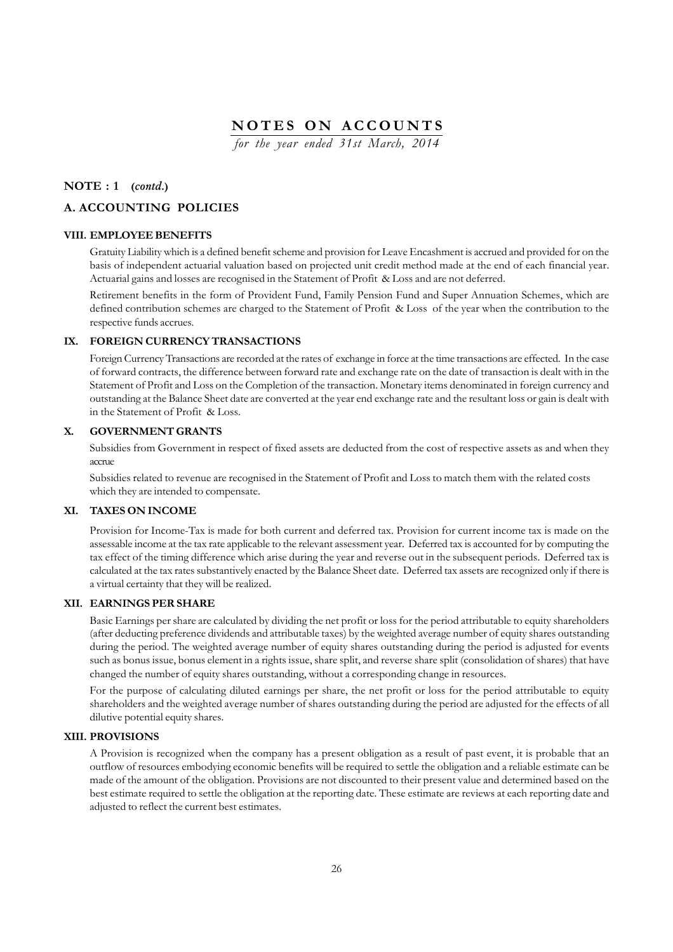*for the year ended 31st March, 2014*

### **NOTE : 1 (***contd.***)**

### **A. ACCOUNTING POLICIES**

### **VIII. EMPLOYEE BENEFITS**

Gratuity Liability which is a defined benefit scheme and provision for Leave Encashment is accrued and provided for on the basis of independent actuarial valuation based on projected unit credit method made at the end of each financial year. Actuarial gains and losses are recognised in the Statement of Profit & Loss and are not deferred.

Retirement benefits in the form of Provident Fund, Family Pension Fund and Super Annuation Schemes, which are defined contribution schemes are charged to the Statement of Profit & Loss of the year when the contribution to the respective funds accrues.

### **IX. FOREIGN CURRENCY TRANSACTIONS**

Foreign Currency Transactions are recorded at the rates of exchange in force at the time transactions are effected. In the case of forward contracts, the difference between forward rate and exchange rate on the date of transaction is dealt with in the Statement of Profit and Loss on the Completion of the transaction. Monetary items denominated in foreign currency and outstanding at the Balance Sheet date are converted at the year end exchange rate and the resultant loss or gain is dealt with in the Statement of Profit & Loss.

### **X. GOVERNMENT GRANTS**

Subsidies from Government in respect of fixed assets are deducted from the cost of respective assets as and when they accrue

Subsidies related to revenue are recognised in the Statement of Profit and Loss to match them with the related costs which they are intended to compensate.

### **XI. TAXES ON INCOME**

Provision for Income-Tax is made for both current and deferred tax. Provision for current income tax is made on the assessable income at the tax rate applicable to the relevant assessment year. Deferred tax is accounted for by computing the tax effect of the timing difference which arise during the year and reverse out in the subsequent periods. Deferred tax is calculated at the tax rates substantively enacted by the Balance Sheet date. Deferred tax assets are recognized only if there is a virtual certainty that they will be realized.

### **XII. EARNINGS PER SHARE**

Basic Earnings per share are calculated by dividing the net profit or loss for the period attributable to equity shareholders (after deducting preference dividends and attributable taxes) by the weighted average number of equity shares outstanding during the period. The weighted average number of equity shares outstanding during the period is adjusted for events such as bonus issue, bonus element in a rights issue, share split, and reverse share split (consolidation of shares) that have changed the number of equity shares outstanding, without a corresponding change in resources.

For the purpose of calculating diluted earnings per share, the net profit or loss for the period attributable to equity shareholders and the weighted average number of shares outstanding during the period are adjusted for the effects of all dilutive potential equity shares.

### **XIII. PROVISIONS**

A Provision is recognized when the company has a present obligation as a result of past event, it is probable that an outflow of resources embodying economic benefits will be required to settle the obligation and a reliable estimate can be made of the amount of the obligation. Provisions are not discounted to their present value and determined based on the best estimate required to settle the obligation at the reporting date. These estimate are reviews at each reporting date and adjusted to reflect the current best estimates.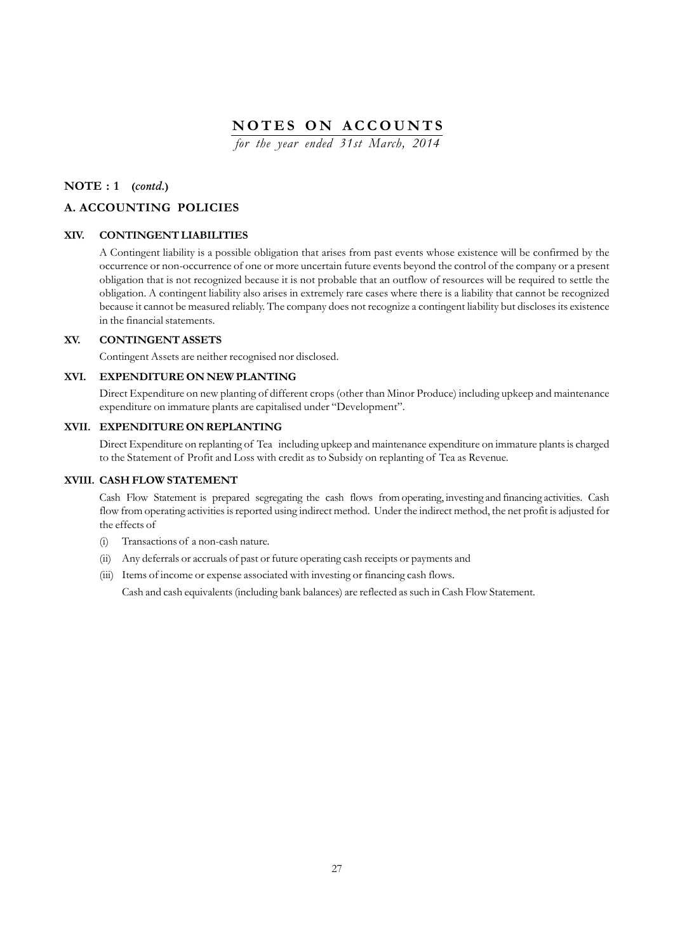*for the year ended 31st March, 2014*

### **NOTE : 1 (***contd.***)**

# **A. ACCOUNTING POLICIES**

### **XIV. CONTINGENT LIABILITIES**

A Contingent liability is a possible obligation that arises from past events whose existence will be confirmed by the occurrence or non-occurrence of one or more uncertain future events beyond the control of the company or a present obligation that is not recognized because it is not probable that an outflow of resources will be required to settle the obligation. A contingent liability also arises in extremely rare cases where there is a liability that cannot be recognized because it cannot be measured reliably. The company does not recognize a contingent liability but discloses its existence in the financial statements.

### **XV. CONTINGENT ASSETS**

Contingent Assets are neither recognised nor disclosed.

### **XVI. EXPENDITURE ON NEW PLANTING**

Direct Expenditure on new planting of different crops (other than Minor Produce) including upkeep and maintenance expenditure on immature plants are capitalised under "Development".

### **XVII. EXPENDITURE ON REPLANTING**

Direct Expenditure on replanting of Tea including upkeep and maintenance expenditure on immature plants is charged to the Statement of Profit and Loss with credit as to Subsidy on replanting of Tea as Revenue.

### **XVIII. CASH FLOW STATEMENT**

Cash Flow Statement is prepared segregating the cash flows from operating, investing and financing activities. Cash flow from operating activities is reported using indirect method. Under the indirect method, the net profit is adjusted for the effects of

- (i) Transactions of a non-cash nature.
- (ii) Any deferrals or accruals of past or future operating cash receipts or payments and
- (iii) Items of income or expense associated with investing or financing cash flows.

Cash and cash equivalents (including bank balances) are reflected as such in Cash Flow Statement.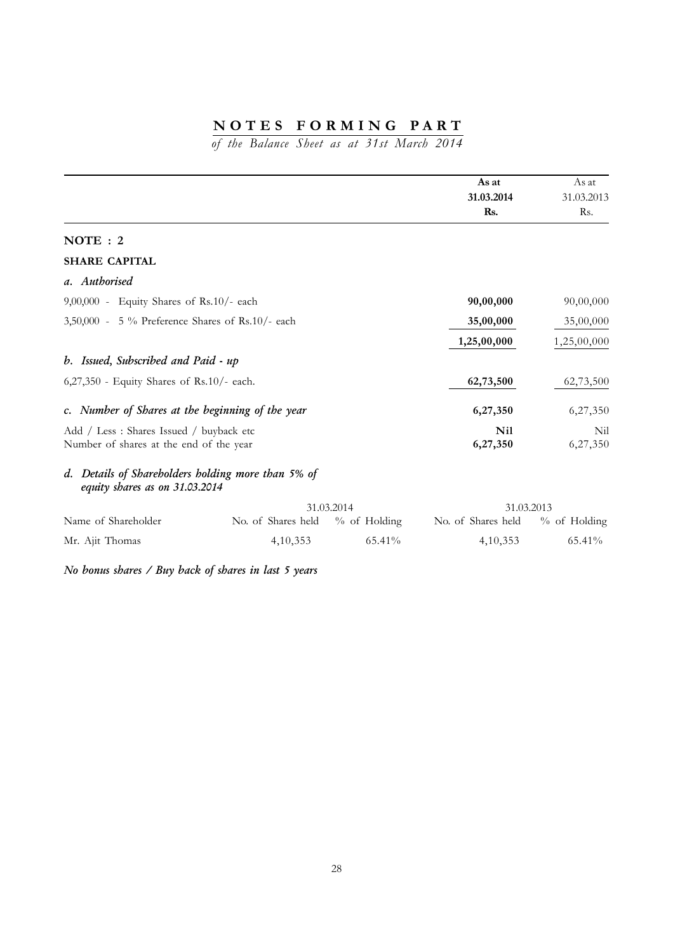*of the Balance Sheet as at 31st March 2014*

|                                                                                      |                                 |            | As at                           | As at       |
|--------------------------------------------------------------------------------------|---------------------------------|------------|---------------------------------|-------------|
|                                                                                      |                                 |            | 31.03.2014                      | 31.03.2013  |
|                                                                                      |                                 |            | Rs.                             | Rs.         |
| NOTE : 2                                                                             |                                 |            |                                 |             |
| <b>SHARE CAPITAL</b>                                                                 |                                 |            |                                 |             |
| a. Authorised                                                                        |                                 |            |                                 |             |
| 9,00,000 - Equity Shares of Rs.10/- each                                             |                                 |            | 90,00,000                       | 90,00,000   |
| 3,50,000 - 5 % Preference Shares of Rs.10/- each                                     |                                 |            | 35,00,000                       | 35,00,000   |
|                                                                                      |                                 |            | 1,25,00,000                     | 1,25,00,000 |
| b. Issued, Subscribed and Paid - up                                                  |                                 |            |                                 |             |
| 6,27,350 - Equity Shares of Rs.10/- each.                                            |                                 |            | 62,73,500                       | 62,73,500   |
| c. Number of Shares at the beginning of the year                                     |                                 |            | 6,27,350                        | 6,27,350    |
| Add / Less: Shares Issued / buyback etc                                              |                                 |            | <b>Nil</b>                      | Nil         |
| Number of shares at the end of the year                                              |                                 |            | 6,27,350                        | 6,27,350    |
| d. Details of Shareholders holding more than 5% of<br>equity shares as on 31.03.2014 |                                 |            |                                 |             |
|                                                                                      |                                 | 31.03.2014 | 31.03.2013                      |             |
| Name of Shareholder                                                                  | No. of Shares held % of Holding |            | No. of Shares held % of Holding |             |
| Mr. Ajit Thomas                                                                      | 4,10,353                        | 65.41%     | 4,10,353                        | 65.41%      |

*No bonus shares / Buy back of shares in last 5 years*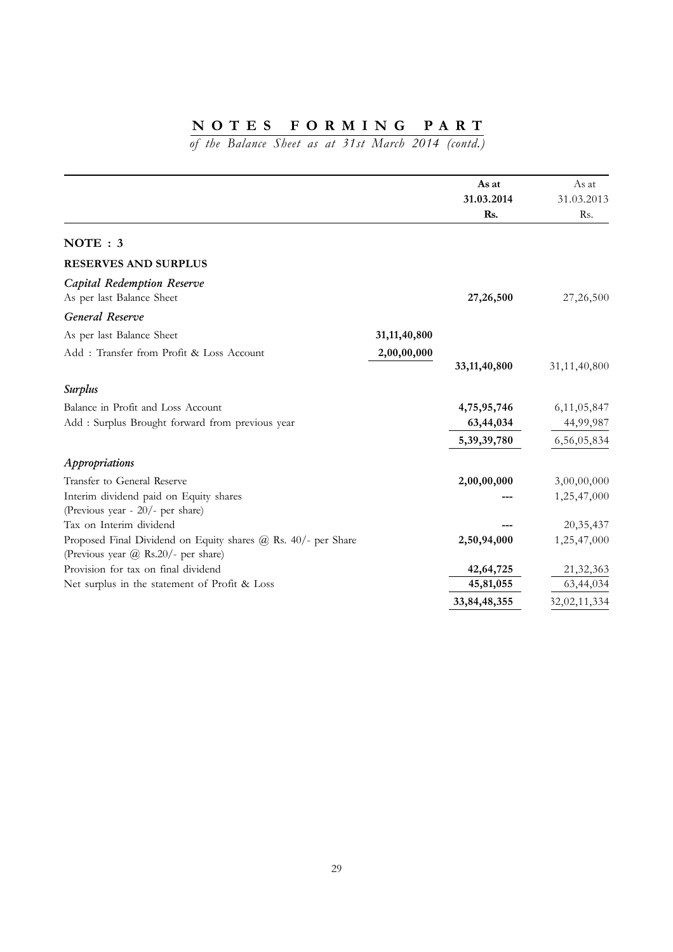|                                                                                                      |                 | As at           | As at        |
|------------------------------------------------------------------------------------------------------|-----------------|-----------------|--------------|
|                                                                                                      |                 | 31.03.2014      | 31.03.2013   |
|                                                                                                      |                 | Rs.             | Rs.          |
| NOTE: 3                                                                                              |                 |                 |              |
| <b>RESERVES AND SURPLUS</b>                                                                          |                 |                 |              |
| Capital Redemption Reserve<br>As per last Balance Sheet                                              |                 | 27,26,500       | 27,26,500    |
| General Reserve                                                                                      |                 |                 |              |
| As per last Balance Sheet                                                                            | 31, 11, 40, 800 |                 |              |
| Add: Transfer from Profit & Loss Account                                                             | 2,00,00,000     | 33, 11, 40, 800 | 31,11,40,800 |
| <b>Surplus</b>                                                                                       |                 |                 |              |
| Balance in Profit and Loss Account                                                                   |                 | 4,75,95,746     | 6,11,05,847  |
| Add : Surplus Brought forward from previous year                                                     |                 | 63,44,034       | 44,99,987    |
|                                                                                                      |                 | 5,39,39,780     | 6,56,05,834  |
| Appropriations                                                                                       |                 |                 |              |
| Transfer to General Reserve                                                                          |                 | 2,00,00,000     | 3,00,00,000  |
| Interim dividend paid on Equity shares<br>(Previous year - 20/- per share)                           |                 |                 | 1,25,47,000  |
| Tax on Interim dividend                                                                              |                 |                 | 20, 35, 437  |
| Proposed Final Dividend on Equity shares @ Rs. 40/- per Share<br>(Previous year @ Rs.20/- per share) |                 | 2,50,94,000     | 1,25,47,000  |
| Provision for tax on final dividend                                                                  |                 | 42,64,725       | 21,32,363    |
| Net surplus in the statement of Profit & Loss                                                        |                 | 45,81,055       | 63,44,034    |
|                                                                                                      |                 | 33,84,48,355    | 32,02,11,334 |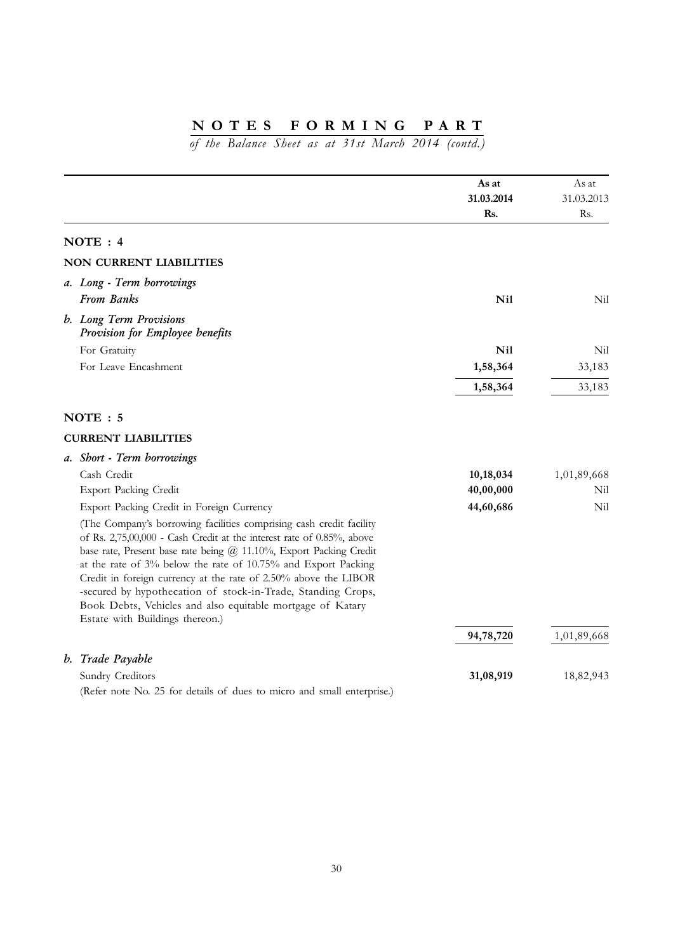|                                                                                                                                             | As at<br>31.03.2014<br>Rs. | As at<br>31.03.2013<br>Rs. |
|---------------------------------------------------------------------------------------------------------------------------------------------|----------------------------|----------------------------|
| NOTE: 4                                                                                                                                     |                            |                            |
| <b>NON CURRENT LIABILITIES</b>                                                                                                              |                            |                            |
| a. Long - Term borrowings                                                                                                                   |                            |                            |
| From Banks                                                                                                                                  | Nil                        | Nil                        |
| b. Long Term Provisions<br>Provision for Employee benefits                                                                                  |                            |                            |
| For Gratuity                                                                                                                                | Nil                        | Nil                        |
| For Leave Encashment                                                                                                                        | 1,58,364                   | 33,183                     |
|                                                                                                                                             | 1,58,364                   | 33,183                     |
| NOTE: 5                                                                                                                                     |                            |                            |
| <b>CURRENT LIABILITIES</b>                                                                                                                  |                            |                            |
| a. Short - Term borrowings                                                                                                                  |                            |                            |
| Cash Credit                                                                                                                                 | 10,18,034                  | 1,01,89,668                |
| <b>Export Packing Credit</b>                                                                                                                | 40,00,000                  | Nil                        |
| Export Packing Credit in Foreign Currency                                                                                                   | 44,60,686                  | Nil                        |
| (The Company's borrowing facilities comprising cash credit facility                                                                         |                            |                            |
| of Rs. 2,75,00,000 - Cash Credit at the interest rate of 0.85%, above<br>base rate, Present base rate being @ 11.10%, Export Packing Credit |                            |                            |
| at the rate of 3% below the rate of 10.75% and Export Packing                                                                               |                            |                            |
| Credit in foreign currency at the rate of 2.50% above the LIBOR                                                                             |                            |                            |
| -secured by hypothecation of stock-in-Trade, Standing Crops,                                                                                |                            |                            |
| Book Debts, Vehicles and also equitable mortgage of Katary<br>Estate with Buildings thereon.)                                               |                            |                            |
|                                                                                                                                             | 94,78,720                  | 1,01,89,668                |
| b. Trade Payable                                                                                                                            |                            |                            |
| Sundry Creditors                                                                                                                            | 31,08,919                  | 18,82,943                  |
| (Refer note No. 25 for details of dues to micro and small enterprise.)                                                                      |                            |                            |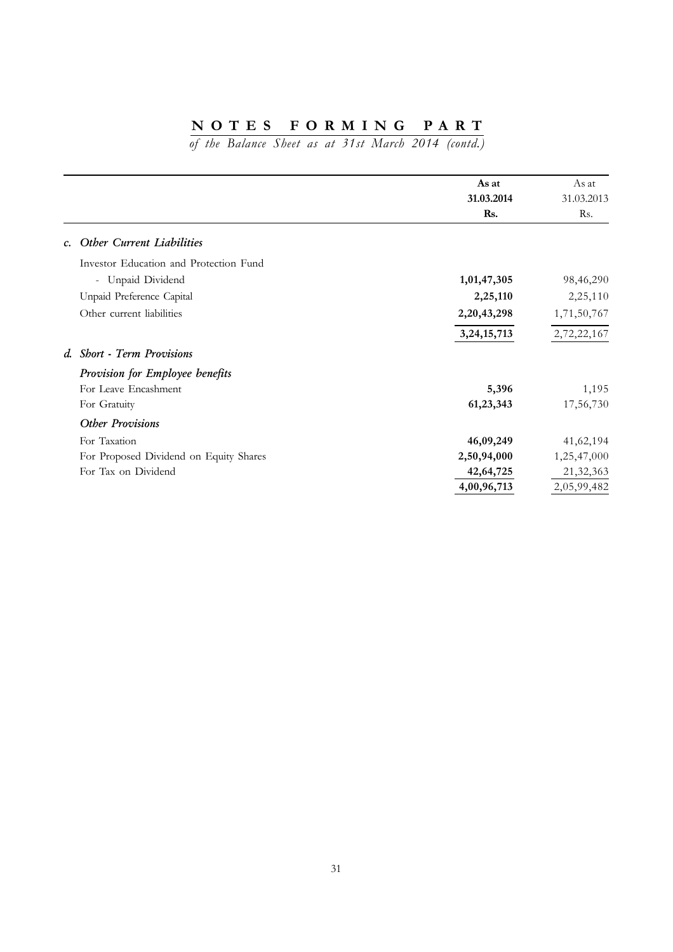|                                        | As at          | As at            |
|----------------------------------------|----------------|------------------|
|                                        | 31.03.2014     | 31.03.2013       |
|                                        | Rs.            | R <sub>s</sub> . |
| c. Other Current Liabilities           |                |                  |
| Investor Education and Protection Fund |                |                  |
| - Unpaid Dividend                      | 1,01,47,305    | 98,46,290        |
| Unpaid Preference Capital              | 2,25,110       | 2,25,110         |
| Other current liabilities              | 2,20,43,298    | 1,71,50,767      |
|                                        | 3, 24, 15, 713 | 2,72,22,167      |
| d. Short - Term Provisions             |                |                  |
| Provision for Employee benefits        |                |                  |
| For Leave Encashment                   | 5,396          | 1,195            |
| For Gratuity                           | 61,23,343      | 17,56,730        |
| <b>Other Provisions</b>                |                |                  |
| For Taxation                           | 46,09,249      | 41,62,194        |
| For Proposed Dividend on Equity Shares | 2,50,94,000    | 1,25,47,000      |
| For Tax on Dividend                    | 42,64,725      | 21,32,363        |
|                                        | 4,00,96,713    | 2,05,99,482      |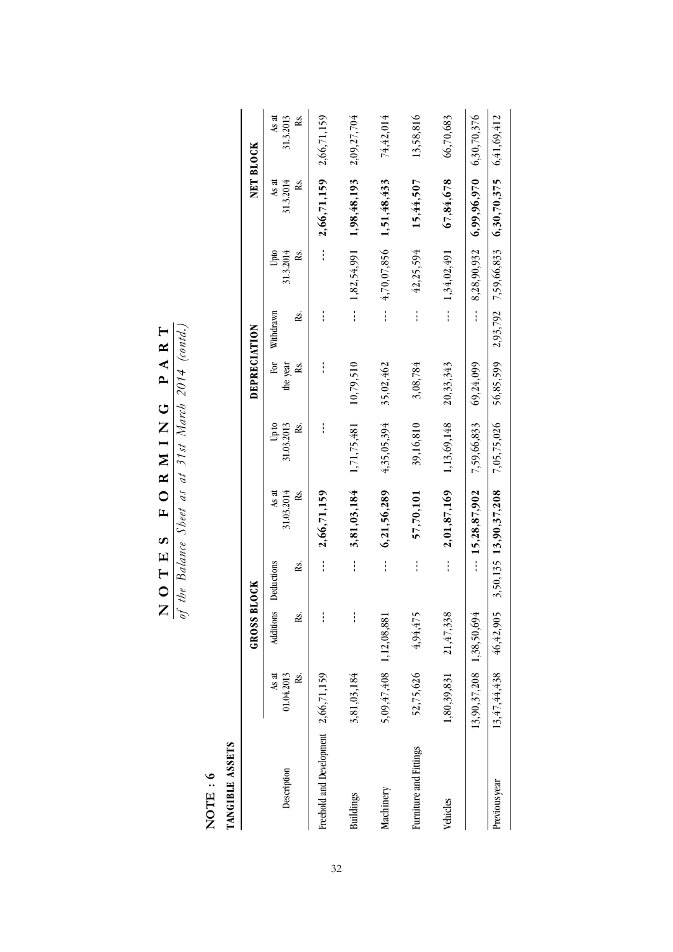| ŀ<br>٦<br>P A R | 201.         |
|-----------------|--------------|
|                 |              |
| C<br>Z          | March        |
|                 |              |
| ⊠               | 31st         |
| $\mathbb{R}$    | as at        |
|                 |              |
| $\mathbf{L}$    | <i>Sheet</i> |
| $E$ S           |              |
|                 | Balance      |
| $\vdash$        |              |
| $\frac{1}{2}$   | the          |
|                 | r            |

**NOTE : 6**

NOTE : 6<br>TANGIBLE ASSETS **TANGIBLE ASSETS**

|                                      |                            | GR <sub>OSS</sub> | <b>BLOCK</b> |                            |                  | DEPRECIATION    |           |                  |                                                                  | NET BLOCK        |
|--------------------------------------|----------------------------|-------------------|--------------|----------------------------|------------------|-----------------|-----------|------------------|------------------------------------------------------------------|------------------|
|                                      | As at                      | Additions         | Deductions   | As at                      | Up to            | For             | Withdrawn | 31.3.2014<br>٥tū | As at                                                            | As at            |
| Description                          | 01.04.2013<br>Ŕs.          | Rs.               | Rs.          | 31.03.2014<br>Rs.          | 31.03.2013<br>Ř. | the year<br>Rs. | Rs.       | ŘS.              | 31.3.2014<br>Rs.                                                 | 31.3.2013<br>Rs. |
| Freehold and Development 2,66,71,159 |                            |                   |              | 2,66,71,159                |                  |                 | i         |                  | $2,66,71,159$ $2,66,71,159$                                      |                  |
| <b>Buildings</b>                     | 3,81,03,184                |                   |              | 3,81,03,184                | 1,71,75,481      | 10,79,510       |           | 1,82,54,991      | 1,98,48,193                                                      | 2,09,27,704      |
| Machinery                            | 5,09,47,408 1,12,08,88     |                   |              | 6,21,56,289                | 4,35,05,394      | 35,02,462       |           | 4,70,07,856      | 1,51,48,433                                                      | 74,42,014        |
| Furniture and Fittings               | 52,75,626                  | 4.94.47           |              | 57,70,101                  | 39,16,810        | 3,08,784        |           | 42,25,594        | 15,44,507                                                        | 13,58,816        |
| Vehicles                             | 1,80,39,831                | 21,47,33          |              | 2,01,87,169                | 1,13,69,148      | 20,33,343       |           | $-1,34,02,491$   | 67,84,678                                                        | 66,70,683        |
|                                      | $13,90,37,208$ 1,38,50,694 |                   |              | $-15,28,87,902$            | 7,59,66,833      | 69,24,099       |           |                  | $8,28,90,932$ 6,99,96,970 6,30,70,376                            |                  |
| Previous year                        | 13,47,44,438               | 46,42,90          |              | $3,50,135$ 13, 90, 37, 208 | 7,05,75,026      |                 |           |                  | $56,85,599$ $2,93,792$ $7,59,66,833$ $6,30,70,375$ $6,41,69,412$ |                  |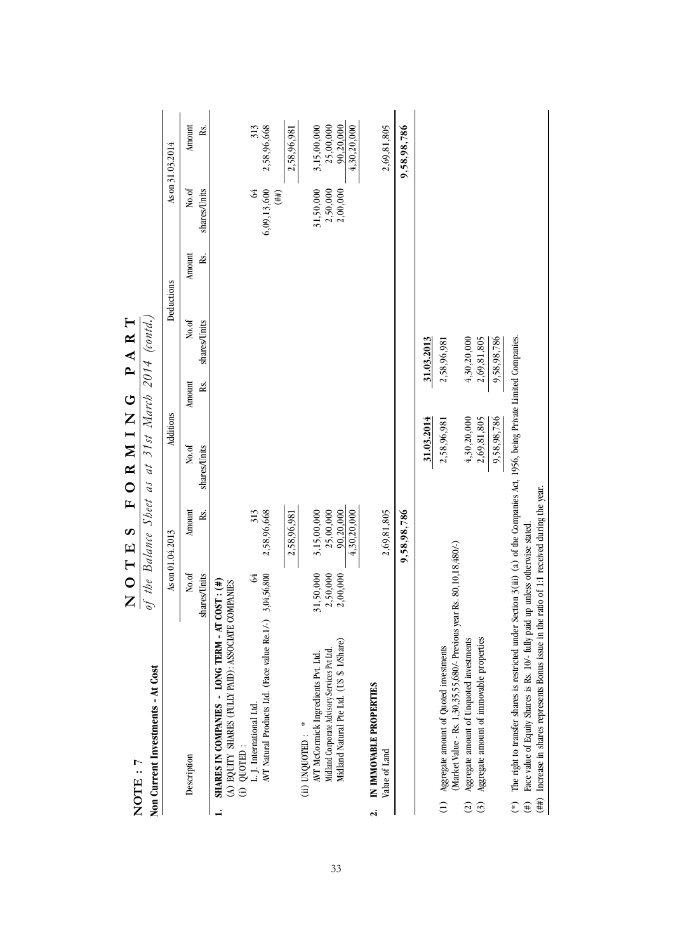| $\frac{\text{As on } 31.03.2014}{\text{S}}$<br>6,09,13,600<br>No.of<br>shares/Units<br>31,50,000<br>$\Im$<br>2,00,000<br>2,50,000<br>$($ ## $)$<br>Amount<br>Rs.<br>Deductions<br>$31st$ March $2014$ (contd.)<br>No.of<br>shares/Units<br>4,30,20,000<br>2,69,81,805<br>9,58,98,786<br>The right to transfer shares is restricted under Section $3(iii)$ (a) of the Companies Act, 1956, being Private Limited Companies.<br>31.03.2013<br>2,58,96,981<br>Rs.<br>Amount<br>Additions<br>9,58,98,786<br>31.03.2014<br>4,30,20,000<br>2,69,81,805<br>2,58,96,981<br>No.of<br>shares/Units<br>of the Balance Sheet as at<br>Increase in shares represents Bonus issue in the ratio of 1:1 received during the year.<br>90.20.000<br>313<br>2,58,96,668<br>3,15,00,000<br>25,00,000<br>4,30,20,000<br>2,69,81,805<br>9,58,98,786<br>Amount<br>2,58,96,981<br>Rs.<br>up unless otherwise stated.<br>As on 01.04.2013<br>(Market Value - Rs. 1,30,35,55,680/- Previous year Rs. 80,10,18,480/-)<br>3,04,56,800<br>$\Im$<br>31,50,000<br>2,00,000<br>No.of<br>shares/Units<br>2,50,000<br>(4) : 1500<br>(A) EQUITY SHARES (FULLY PAID): ASSOCIATE COMPANIES<br>Face value of Equity Shares is Rs. 10/- fully paid<br>AVT Natural Products Ltd. (Face value Re. 1/-)<br>SHARES IN COMPANIES - LONG TERM - AT<br>Aggregate amount of immovable properties<br>Midland Natural Pte Ltd. (US \$ 1/Share)<br>Aggregate amount of Unquoted investments<br>Aggregate amount of Quoted investments<br>Midland Corporate Advisory Services Pvt Ltd.<br>AVT McCormick Ingredients Pvt. Ltd.<br>Non Current Investments - At Cost<br>IN IMMOVABLE PROPERTIES<br>L. J. International Ltd.<br>(ii) $UNQUOTED:$<br>$(i)$ QUOTED:<br>Value of Land<br>Description<br>$(\ast)$<br>$(\ddot{H}$<br>$(\ddot{t})$<br>$\widehat{\omega}$<br>$\odot$<br>$\ddot{\mathbf{a}}$ | NOTE:7 | NOTE | $\bullet$ | FORMING | PART |  |                          |  |
|------------------------------------------------------------------------------------------------------------------------------------------------------------------------------------------------------------------------------------------------------------------------------------------------------------------------------------------------------------------------------------------------------------------------------------------------------------------------------------------------------------------------------------------------------------------------------------------------------------------------------------------------------------------------------------------------------------------------------------------------------------------------------------------------------------------------------------------------------------------------------------------------------------------------------------------------------------------------------------------------------------------------------------------------------------------------------------------------------------------------------------------------------------------------------------------------------------------------------------------------------------------------------------------------------------------------------------------------------------------------------------------------------------------------------------------------------------------------------------------------------------------------------------------------------------------------------------------------------------------------------------------------------------------------------------------------------------------------------------------------------------------------------------------------------------------------------------------------|--------|------|-----------|---------|------|--|--------------------------|--|
|                                                                                                                                                                                                                                                                                                                                                                                                                                                                                                                                                                                                                                                                                                                                                                                                                                                                                                                                                                                                                                                                                                                                                                                                                                                                                                                                                                                                                                                                                                                                                                                                                                                                                                                                                                                                                                                |        |      |           |         |      |  |                          |  |
|                                                                                                                                                                                                                                                                                                                                                                                                                                                                                                                                                                                                                                                                                                                                                                                                                                                                                                                                                                                                                                                                                                                                                                                                                                                                                                                                                                                                                                                                                                                                                                                                                                                                                                                                                                                                                                                |        |      |           |         |      |  |                          |  |
|                                                                                                                                                                                                                                                                                                                                                                                                                                                                                                                                                                                                                                                                                                                                                                                                                                                                                                                                                                                                                                                                                                                                                                                                                                                                                                                                                                                                                                                                                                                                                                                                                                                                                                                                                                                                                                                |        |      |           |         |      |  | Amount<br>Rs.            |  |
|                                                                                                                                                                                                                                                                                                                                                                                                                                                                                                                                                                                                                                                                                                                                                                                                                                                                                                                                                                                                                                                                                                                                                                                                                                                                                                                                                                                                                                                                                                                                                                                                                                                                                                                                                                                                                                                |        |      |           |         |      |  |                          |  |
|                                                                                                                                                                                                                                                                                                                                                                                                                                                                                                                                                                                                                                                                                                                                                                                                                                                                                                                                                                                                                                                                                                                                                                                                                                                                                                                                                                                                                                                                                                                                                                                                                                                                                                                                                                                                                                                |        |      |           |         |      |  |                          |  |
|                                                                                                                                                                                                                                                                                                                                                                                                                                                                                                                                                                                                                                                                                                                                                                                                                                                                                                                                                                                                                                                                                                                                                                                                                                                                                                                                                                                                                                                                                                                                                                                                                                                                                                                                                                                                                                                |        |      |           |         |      |  | 2,58,96,668<br>313       |  |
|                                                                                                                                                                                                                                                                                                                                                                                                                                                                                                                                                                                                                                                                                                                                                                                                                                                                                                                                                                                                                                                                                                                                                                                                                                                                                                                                                                                                                                                                                                                                                                                                                                                                                                                                                                                                                                                |        |      |           |         |      |  |                          |  |
|                                                                                                                                                                                                                                                                                                                                                                                                                                                                                                                                                                                                                                                                                                                                                                                                                                                                                                                                                                                                                                                                                                                                                                                                                                                                                                                                                                                                                                                                                                                                                                                                                                                                                                                                                                                                                                                |        |      |           |         |      |  | 2,58,96,981              |  |
|                                                                                                                                                                                                                                                                                                                                                                                                                                                                                                                                                                                                                                                                                                                                                                                                                                                                                                                                                                                                                                                                                                                                                                                                                                                                                                                                                                                                                                                                                                                                                                                                                                                                                                                                                                                                                                                |        |      |           |         |      |  | 3,15,00,000              |  |
|                                                                                                                                                                                                                                                                                                                                                                                                                                                                                                                                                                                                                                                                                                                                                                                                                                                                                                                                                                                                                                                                                                                                                                                                                                                                                                                                                                                                                                                                                                                                                                                                                                                                                                                                                                                                                                                |        |      |           |         |      |  | 25,00,000                |  |
|                                                                                                                                                                                                                                                                                                                                                                                                                                                                                                                                                                                                                                                                                                                                                                                                                                                                                                                                                                                                                                                                                                                                                                                                                                                                                                                                                                                                                                                                                                                                                                                                                                                                                                                                                                                                                                                |        |      |           |         |      |  | 90,20,000<br>4,30,20,000 |  |
|                                                                                                                                                                                                                                                                                                                                                                                                                                                                                                                                                                                                                                                                                                                                                                                                                                                                                                                                                                                                                                                                                                                                                                                                                                                                                                                                                                                                                                                                                                                                                                                                                                                                                                                                                                                                                                                |        |      |           |         |      |  |                          |  |
|                                                                                                                                                                                                                                                                                                                                                                                                                                                                                                                                                                                                                                                                                                                                                                                                                                                                                                                                                                                                                                                                                                                                                                                                                                                                                                                                                                                                                                                                                                                                                                                                                                                                                                                                                                                                                                                |        |      |           |         |      |  | 2,69,81,805              |  |
|                                                                                                                                                                                                                                                                                                                                                                                                                                                                                                                                                                                                                                                                                                                                                                                                                                                                                                                                                                                                                                                                                                                                                                                                                                                                                                                                                                                                                                                                                                                                                                                                                                                                                                                                                                                                                                                |        |      |           |         |      |  | 9,58,98,786              |  |
|                                                                                                                                                                                                                                                                                                                                                                                                                                                                                                                                                                                                                                                                                                                                                                                                                                                                                                                                                                                                                                                                                                                                                                                                                                                                                                                                                                                                                                                                                                                                                                                                                                                                                                                                                                                                                                                |        |      |           |         |      |  |                          |  |
|                                                                                                                                                                                                                                                                                                                                                                                                                                                                                                                                                                                                                                                                                                                                                                                                                                                                                                                                                                                                                                                                                                                                                                                                                                                                                                                                                                                                                                                                                                                                                                                                                                                                                                                                                                                                                                                |        |      |           |         |      |  |                          |  |
|                                                                                                                                                                                                                                                                                                                                                                                                                                                                                                                                                                                                                                                                                                                                                                                                                                                                                                                                                                                                                                                                                                                                                                                                                                                                                                                                                                                                                                                                                                                                                                                                                                                                                                                                                                                                                                                |        |      |           |         |      |  |                          |  |
|                                                                                                                                                                                                                                                                                                                                                                                                                                                                                                                                                                                                                                                                                                                                                                                                                                                                                                                                                                                                                                                                                                                                                                                                                                                                                                                                                                                                                                                                                                                                                                                                                                                                                                                                                                                                                                                |        |      |           |         |      |  |                          |  |
|                                                                                                                                                                                                                                                                                                                                                                                                                                                                                                                                                                                                                                                                                                                                                                                                                                                                                                                                                                                                                                                                                                                                                                                                                                                                                                                                                                                                                                                                                                                                                                                                                                                                                                                                                                                                                                                |        |      |           |         |      |  |                          |  |
|                                                                                                                                                                                                                                                                                                                                                                                                                                                                                                                                                                                                                                                                                                                                                                                                                                                                                                                                                                                                                                                                                                                                                                                                                                                                                                                                                                                                                                                                                                                                                                                                                                                                                                                                                                                                                                                |        |      |           |         |      |  |                          |  |
|                                                                                                                                                                                                                                                                                                                                                                                                                                                                                                                                                                                                                                                                                                                                                                                                                                                                                                                                                                                                                                                                                                                                                                                                                                                                                                                                                                                                                                                                                                                                                                                                                                                                                                                                                                                                                                                |        |      |           |         |      |  |                          |  |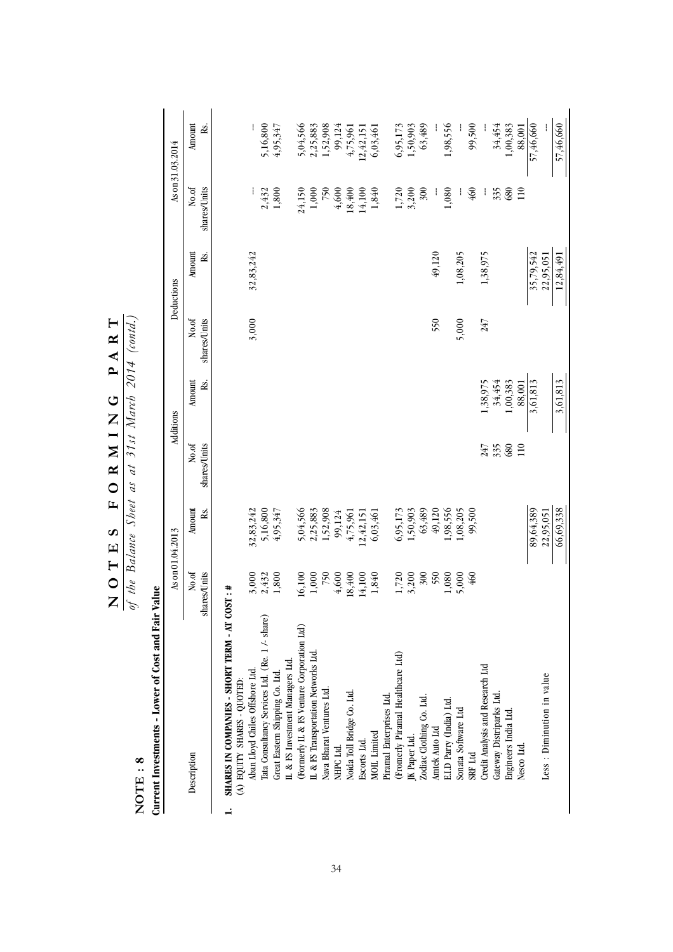| NOTE:8                                             |                       |                  | of the Balance Sheet as at 51 st March 2014 (conta.) |              |                       |               |                       |                  |
|----------------------------------------------------|-----------------------|------------------|------------------------------------------------------|--------------|-----------------------|---------------|-----------------------|------------------|
| Current Investments - Lower of Cost and Fair Value |                       |                  |                                                      |              |                       |               |                       |                  |
|                                                    |                       | As on 01.04.2013 |                                                      | Additions    |                       | Deductions    |                       | As on 31.03.2014 |
| Description                                        | No.of<br>shares/Units | Amount<br>Rs.    | No.of<br>shares/Units                                | Amount<br>ž. | No.of<br>shares/Units | Amount<br>Rs. | No.of<br>shares/Units | Amount<br>Rs.    |
| SHARES IN COMPANIES - SHORT TERM - AT COST:#       |                       |                  |                                                      |              |                       |               |                       |                  |
| (A) EQUITY SHARES - QUOTED:                        |                       |                  |                                                      |              |                       |               |                       |                  |
| Aban Lloyd Chiles Offshore Ltd.                    | 3,000                 | 32,83,242        |                                                      |              | 3,000                 | 32,83,242     |                       |                  |
| Tata Consultancy Services Ltd. (Re. 1/- share)     | 2,432                 | 5,16,800         |                                                      |              |                       |               | 2,432                 | 5,16,800         |
| Great Eastern Shipping Co. Ltd.                    | 1,800                 | 4,95,347         |                                                      |              |                       |               | 1,800                 | 4,95,347         |
| IL & FS Investment Managers Ltd.                   |                       |                  |                                                      |              |                       |               |                       |                  |
| (Formerly IL & FS Venture Corporation Ltd)         | 16,100                | 5,04,566         |                                                      |              |                       |               | 24,150                | 5,04,566         |
| IL & FS Transportation Networks Ltd                | 1,000                 | 2,25,883         |                                                      |              |                       |               | 1,000                 | 2,25,883         |
| Nava Bharat Ventures Ltd.                          | 750                   | 1,52,908         |                                                      |              |                       |               | 750                   | 1,52,908         |
| NHPC Ltd.                                          | 4,600                 | 99,124           |                                                      |              |                       |               | 4,600                 | 99,124           |
| Noida Toll Bridge Co. Ltd.                         | 18,400                | 4,75,961         |                                                      |              |                       |               | 18,400                | 4,75,961         |
| Escorts Ltd.                                       | 14,100                | 12,42,151        |                                                      |              |                       |               | 14,100                | 12,42,151        |
| <b>MOLL</b> Limited                                | 1,840                 | 6,03,461         |                                                      |              |                       |               | 1,840                 | 6,03,461         |
| Piramal Enterprises Ltd                            |                       |                  |                                                      |              |                       |               |                       |                  |
| (Fromerly Piramal Healthcare Ltd)                  | 1,720                 | 6,95,173         |                                                      |              |                       |               | 1,720                 | 6,95,173         |
| JK Paper Ltd.                                      | 3,200                 | 1,50,903         |                                                      |              |                       |               | 3,200                 | 1,50,903         |
| Zodiac Clothing Co. Ltd.                           | 300                   | 63,489           |                                                      |              |                       |               | 300                   | 63,489           |
| Amtek Auto Ltd                                     | 550                   | 49,120           |                                                      |              | 550                   | 49,120        |                       |                  |
| E.I.D Parry (India) Ltd.                           | 1,080                 | 1,98,556         |                                                      |              |                       |               | 1,080                 | 1,98,556         |
| Sonata Software Ltd                                | 5,000                 | 1,08,205         |                                                      |              | 5,000                 | 1,08,205      |                       |                  |
| SRF Ltd                                            | 460                   | 99,500           |                                                      |              |                       |               | 460                   | 99,500           |
| Credit Analysis and Research Ltd                   |                       |                  | 247                                                  | 1,38,975     | 247                   | 1,38,975      |                       |                  |
| Gateway Distriparks Ltd.                           |                       |                  | 335                                                  | 34,454       |                       |               | 335                   | 34,454           |
| Engineers India Ltd.                               |                       |                  | 680                                                  | 1,00,383     |                       |               | 680                   | 1,00,383         |
| Nesco Ltd.                                         |                       |                  | $\Xi$                                                | 88,001       |                       |               | 110                   | 88,001           |
|                                                    |                       | 89,64,389        |                                                      | 3,61,813     |                       | 35,79,542     |                       | 57,46,660        |
| Less : Diminution in value                         |                       | 22,95,051        |                                                      |              |                       | 22,95,051     |                       |                  |
|                                                    |                       | 66,69,338        |                                                      | 3,61,813     |                       | 12,84,491     |                       | 57,46,660        |

# $N$  O T E S FORMING PART<br>of the Balance Sheet as at 31st March 2014 (contd.) **NOTES FORMING PART**

*of the Balance Sheet as at 31st March 2014 (contd.)*

34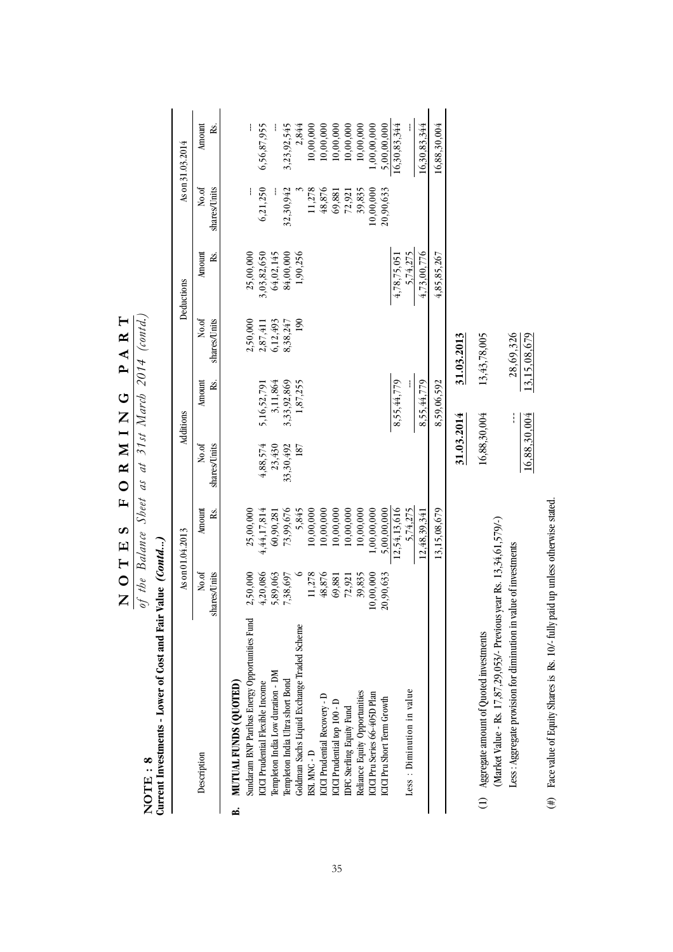|   | Current Investments - Lower of Cost and Fair<br>NOTE:8                                                             | Value (Contd)         |                  |                       |             | of the Balance Sheet as at 31st March 2014 (contd.) |             |                       |                  |
|---|--------------------------------------------------------------------------------------------------------------------|-----------------------|------------------|-----------------------|-------------|-----------------------------------------------------|-------------|-----------------------|------------------|
|   |                                                                                                                    |                       | As on 01.04.2013 |                       | Additions   |                                                     | Deductions  |                       | As on 31.03.2014 |
|   | Description                                                                                                        | No.of<br>shares/Units | Amount           | No.of<br>shares/Units | Amount      | No.of<br>shares/Units                               | Amount      | No.of<br>shares/Units | Amount           |
|   |                                                                                                                    |                       | Rs.              |                       | Ŕ.          |                                                     | Rs.         |                       | Rs.              |
| Ä | <b>MUTUAL FUNDS (QUOTED)</b>                                                                                       |                       |                  |                       |             |                                                     |             |                       |                  |
|   | Sundaram BNP Paribas Energy Opportunities Fund                                                                     | 2,50,000              | 25,00,000        |                       |             | 2,50,000                                            | 25,00,000   |                       |                  |
|   | ICICI Prudential Flexible Income                                                                                   | 4,20,086              | 4,44,17,814      | 4,88,574              | 5,16,52,791 | 2,87,411                                            | 3,03,82,650 | 6,21,250              | 6,56,87,955      |
|   | Templeton India Low duration - DM                                                                                  | 5,89,063              | 60,90,281        | 23,430                | 3,11,864    | 6,12,493                                            | 64,02,145   |                       |                  |
|   | Templeton India Ultra short Bond                                                                                   | 7,38,697              | 73,99,676        | 33,30,492             | 3,33,92,869 | 8,38,247                                            | 84,00,000   | 32,30,942             | 3,23,92,545      |
|   | Goldman Sachs Liquid Exchange Traded Scheme                                                                        |                       | 5,845            | 187                   | 1,87,255    | 190                                                 | 1,90,256    |                       | 2,844            |
|   | BSL MNC - D                                                                                                        | 11,278                | 10,00,000        |                       |             |                                                     |             | 11,278                | 10,00,000        |
|   | ICICI Prudential Recovery - D                                                                                      | 48,876                | 10,00,000        |                       |             |                                                     |             | 48,876                | 10,00,000        |
|   | ICICI Prudential top 100 - D                                                                                       | 69,881                | 10,00,000        |                       |             |                                                     |             | 69,881                | 10,00,000        |
|   | IDFC Sterling Equity Fund                                                                                          | 72,921                | 10,00,000        |                       |             |                                                     |             | 72,921                | 10,00,000        |
|   | Reliance Equity Opportunities                                                                                      | 39,835                | 10,00,000        |                       |             |                                                     |             | 39,835                | 10,00,000        |
|   | ICICI Pru Series 66-405D Plan                                                                                      | 10,00,000             | 1,00,00,000      |                       |             |                                                     |             | 10,00,000             | 1,00,00,000      |
|   | ICICI Pru Short Term Growth                                                                                        | 20,90,633             | 5,00,00,000      |                       |             |                                                     |             | 20,90,633             | 5,00,00,000      |
|   |                                                                                                                    |                       | 12,54,13,616     |                       | 8,55,44,779 |                                                     | 4,78,75,051 |                       | 16,30,83,344     |
|   | Less : Diminution in value                                                                                         |                       | 5.74.275         |                       |             |                                                     | 5,74,275    |                       |                  |
|   |                                                                                                                    |                       | 12,48,39,341     |                       | 8,55,44,779 |                                                     | 4.73.00.776 |                       | 16,30,83,344     |
|   |                                                                                                                    |                       | 13,15,08,679     |                       | 8,59,06,592 |                                                     | 4,85,85,267 |                       | 16,88,30,004     |
|   |                                                                                                                    |                       |                  | 31.03.2014            |             | 31.03.2013                                          |             |                       |                  |
|   | (Market Value - Rs. 17,87,29,053/- Previous year Rs. 13,34,61,579/-)<br>(1) Aggregate amount of Quoted investments |                       |                  | 16,88,30,004          |             | 13,43,78,005                                        |             |                       |                  |
|   | Less: Aggregate provision for diminution in value of investments                                                   |                       |                  | 16,88,30,004          |             | 28,69,326<br>13,15,08,679                           |             |                       |                  |

(#) Face value of Equity Shares is Rs. 10/- fully paid up unless otherwise stated.

(#) Face value of Equity Shares is Rs. 10/- fully paid up unless otherwise stated.

 $\frac{N}{\omega f}$  ihe Balance Sheet as at 31st March 2014 (contd.) **NOTES FORMING PART**

*of the Balance Sheet as at 31st March 2014 (contd.)*

35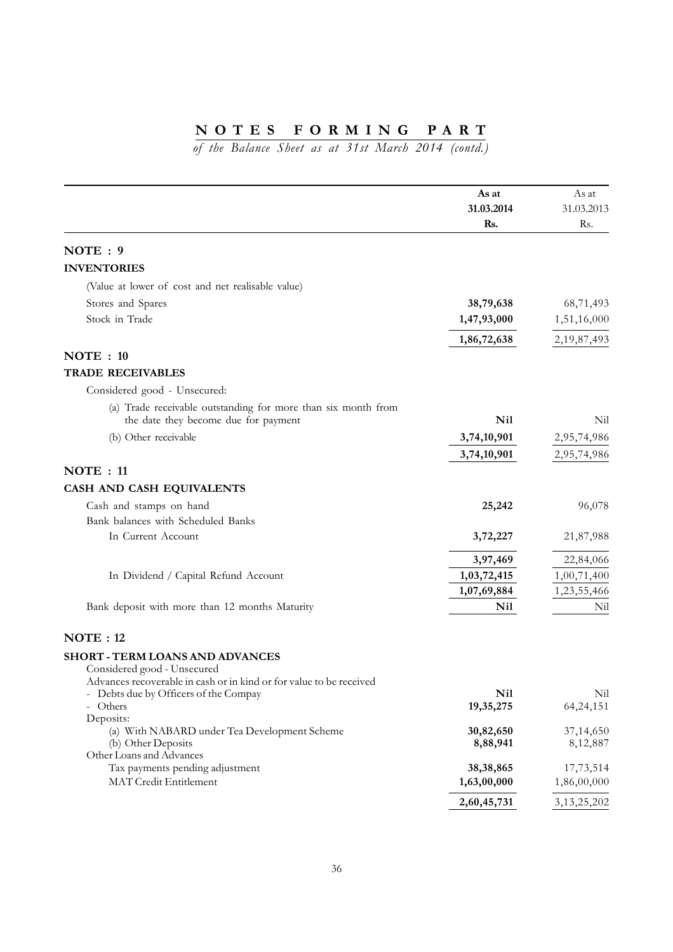|                                                                                                    | As at<br>31.03.2014<br>Rs. | As at<br>31.03.2013<br>Rs. |
|----------------------------------------------------------------------------------------------------|----------------------------|----------------------------|
| NOTE: 9                                                                                            |                            |                            |
| <b>INVENTORIES</b>                                                                                 |                            |                            |
| (Value at lower of cost and net realisable value)                                                  |                            |                            |
| Stores and Spares                                                                                  | 38,79,638                  | 68,71,493                  |
| Stock in Trade                                                                                     | 1,47,93,000                | 1,51,16,000                |
|                                                                                                    | 1,86,72,638                | 2, 19, 87, 493             |
| NOTE: 10                                                                                           |                            |                            |
| <b>TRADE RECEIVABLES</b>                                                                           |                            |                            |
| Considered good - Unsecured:                                                                       |                            |                            |
| (a) Trade receivable outstanding for more than six month from                                      |                            |                            |
| the date they become due for payment                                                               | <b>Nil</b>                 | Nil                        |
| (b) Other receivable                                                                               | 3,74,10,901                | 2,95,74,986                |
|                                                                                                    | 3,74,10,901                | 2,95,74,986                |
| <b>NOTE</b> : 11                                                                                   |                            |                            |
| CASH AND CASH EQUIVALENTS                                                                          |                            |                            |
| Cash and stamps on hand                                                                            | 25,242                     | 96,078                     |
| Bank balances with Scheduled Banks                                                                 |                            |                            |
| In Current Account                                                                                 | 3,72,227                   | 21,87,988                  |
|                                                                                                    | 3,97,469                   | 22,84,066                  |
| In Dividend / Capital Refund Account                                                               | 1,03,72,415                | 1,00,71,400                |
|                                                                                                    | 1,07,69,884                | 1,23,55,466                |
| Bank deposit with more than 12 months Maturity                                                     | <b>Nil</b>                 | Nil                        |
| NOTE : 12                                                                                          |                            |                            |
| <b>SHORT - TERM LOANS AND ADVANCES</b>                                                             |                            |                            |
| Considered good - Unsecured<br>Advances recoverable in cash or in kind or for value to be received |                            |                            |
| Debts due by Officers of the Compay                                                                | <b>Nil</b>                 | Nil                        |
| Others                                                                                             | 19,35,275                  | 64,24,151                  |
| Deposits:<br>(a) With NABARD under Tea Development Scheme                                          | 30,82,650                  | 37,14,650                  |
| (b) Other Deposits                                                                                 | 8,88,941                   | 8,12,887                   |
| Other Loans and Advances                                                                           |                            |                            |
| Tax payments pending adjustment<br>MAT Credit Entitlement                                          | 38, 38, 865<br>1,63,00,000 | 17,73,514<br>1,86,00,000   |
|                                                                                                    | 2,60,45,731                | 3, 13, 25, 202             |
|                                                                                                    |                            |                            |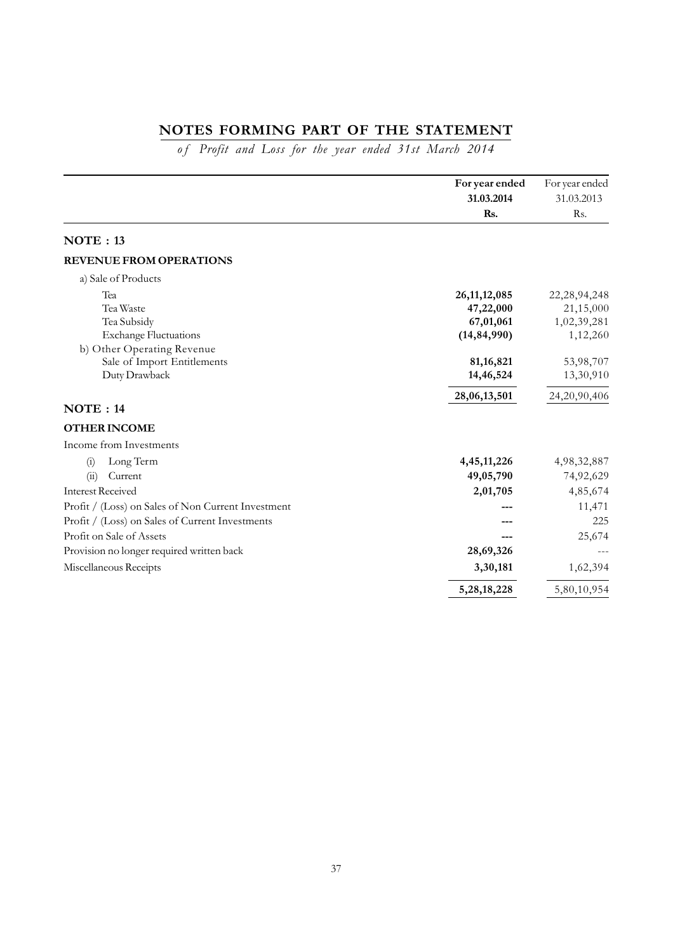# **NOTES FORMING PART OF THE STATEMENT**

*o f Profit and Loss for the year ended 31st March 2014*

|                                                                                                            | For year ended<br>31.03.2014              | For year ended<br>31.03.2013             |
|------------------------------------------------------------------------------------------------------------|-------------------------------------------|------------------------------------------|
|                                                                                                            | Rs.                                       | Rs.                                      |
| <b>NOTE: 13</b>                                                                                            |                                           |                                          |
| <b>REVENUE FROM OPERATIONS</b>                                                                             |                                           |                                          |
| a) Sale of Products                                                                                        |                                           |                                          |
| Tea<br>Tea Waste<br>Tea Subsidy                                                                            | 26, 11, 12, 085<br>47,22,000<br>67,01,061 | 22,28,94,248<br>21,15,000<br>1,02,39,281 |
| <b>Exchange Fluctuations</b><br>b) Other Operating Revenue<br>Sale of Import Entitlements<br>Duty Drawback | (14, 84, 990)<br>81, 16, 821<br>14,46,524 | 1,12,260<br>53,98,707<br>13,30,910       |
| NOTE : 14                                                                                                  | 28,06,13,501                              | 24,20,90,406                             |
| <b>OTHER INCOME</b>                                                                                        |                                           |                                          |
| Income from Investments                                                                                    |                                           |                                          |
| Long Term<br>(i)<br>Current<br>(ii)<br><b>Interest Received</b>                                            | 4, 45, 11, 226<br>49,05,790<br>2,01,705   | 4,98,32,887<br>74,92,629<br>4,85,674     |
| Profit / (Loss) on Sales of Non Current Investment                                                         |                                           | 11,471                                   |
| Profit / (Loss) on Sales of Current Investments<br>Profit on Sale of Assets                                |                                           | 225<br>25,674                            |
| Provision no longer required written back<br>Miscellaneous Receipts                                        | 28,69,326<br>3,30,181                     | 1,62,394                                 |
|                                                                                                            | 5,28,18,228                               | 5,80,10,954                              |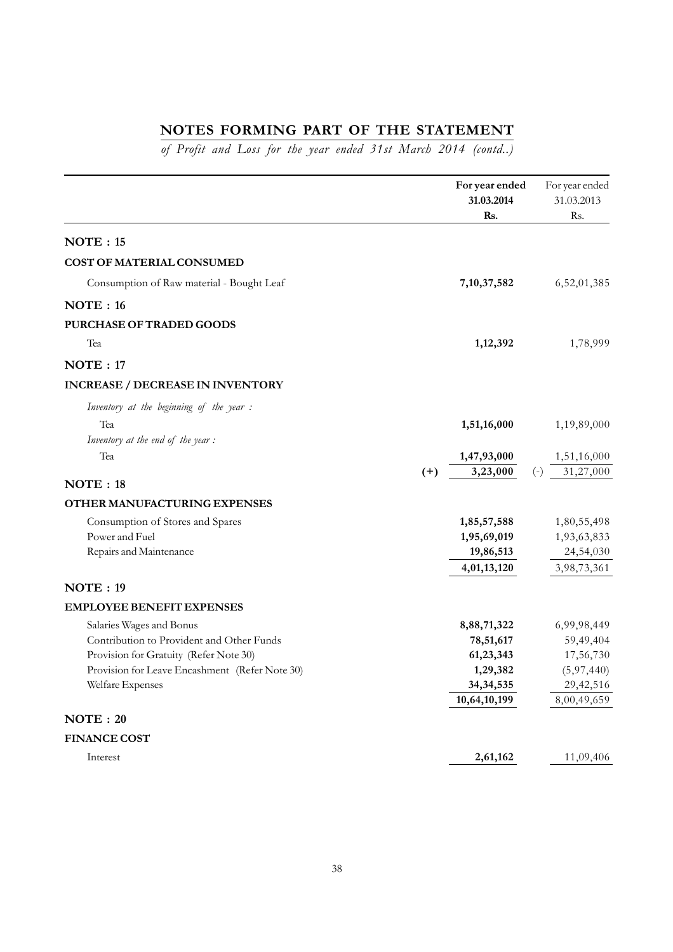# **NOTES FORMING PART OF THE STATEMENT**

*of Profit and Loss for the year ended 31st March 2014 (contd..)*

|                                                | For year ended<br>31.03.2014<br>Rs. | For year ended<br>31.03.2013<br>Rs. |
|------------------------------------------------|-------------------------------------|-------------------------------------|
| NOTE : 15                                      |                                     |                                     |
| COST OF MATERIAL CONSUMED                      |                                     |                                     |
| Consumption of Raw material - Bought Leaf      | 7, 10, 37, 582                      | 6,52,01,385                         |
| <b>NOTE: 16</b>                                |                                     |                                     |
| PURCHASE OF TRADED GOODS                       |                                     |                                     |
| Tea                                            | 1,12,392                            | 1,78,999                            |
| <b>NOTE: 17</b>                                |                                     |                                     |
| <b>INCREASE / DECREASE IN INVENTORY</b>        |                                     |                                     |
| Inventory at the beginning of the year:        |                                     |                                     |
| Tea                                            | 1,51,16,000                         | 1,19,89,000                         |
| Inventory at the end of the year:              |                                     |                                     |
| Tea                                            | 1,47,93,000                         | 1,51,16,000                         |
| $(+)$<br>NOTE : 18                             | 3,23,000                            | 31,27,000<br>$(\text{-})$           |
| OTHER MANUFACTURING EXPENSES                   |                                     |                                     |
| Consumption of Stores and Spares               | 1,85,57,588                         | 1,80,55,498                         |
| Power and Fuel                                 | 1,95,69,019                         | 1,93,63,833                         |
| Repairs and Maintenance                        | 19,86,513                           | 24,54,030                           |
|                                                | 4,01,13,120                         | 3,98,73,361                         |
| NOTE: 19                                       |                                     |                                     |
| <b>EMPLOYEE BENEFIT EXPENSES</b>               |                                     |                                     |
| Salaries Wages and Bonus                       | 8, 88, 71, 322                      | 6,99,98,449                         |
| Contribution to Provident and Other Funds      | 78,51,617                           | 59,49,404                           |
| Provision for Gratuity (Refer Note 30)         | 61,23,343                           | 17,56,730                           |
| Provision for Leave Encashment (Refer Note 30) | 1,29,382                            | (5,97,440)                          |
| Welfare Expenses                               | 34, 34, 535                         | 29,42,516                           |
|                                                | 10,64,10,199                        | 8,00,49,659                         |
| <b>NOTE: 20</b>                                |                                     |                                     |
| <b>FINANCE COST</b>                            |                                     |                                     |
| Interest                                       | 2,61,162                            | 11,09,406                           |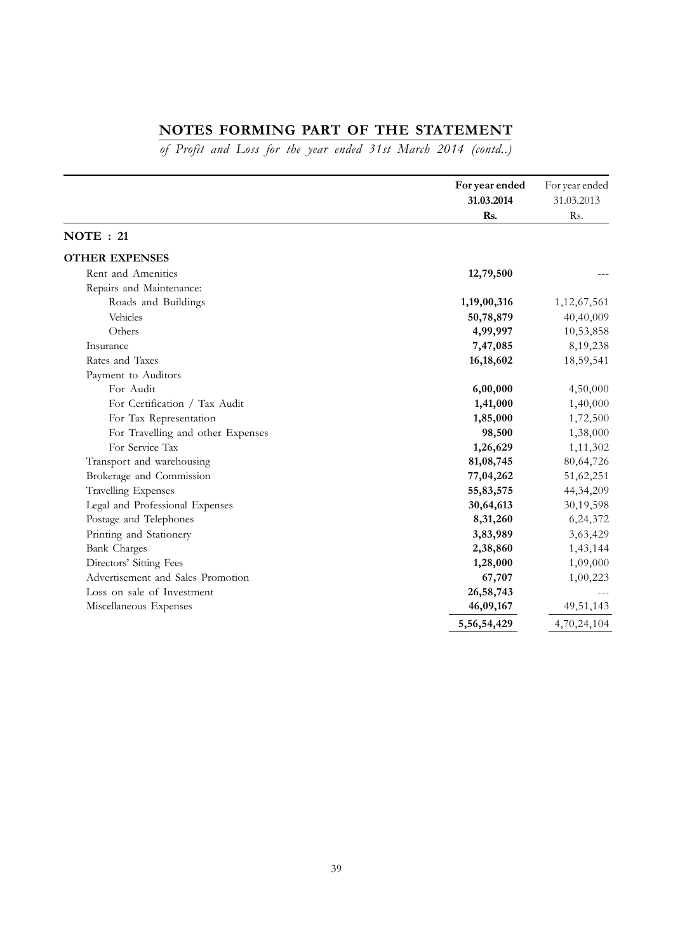# **NOTES FORMING PART OF THE STATEMENT**

*of Profit and Loss for the year ended 31st March 2014 (contd..)*

|                                   | For year ended | For year ended   |  |
|-----------------------------------|----------------|------------------|--|
|                                   | 31.03.2014     | 31.03.2013       |  |
|                                   | Rs.            | R <sub>s</sub> . |  |
| NOTE : 21                         |                |                  |  |
| <b>OTHER EXPENSES</b>             |                |                  |  |
| Rent and Amenities                | 12,79,500      |                  |  |
| Repairs and Maintenance:          |                |                  |  |
| Roads and Buildings               | 1,19,00,316    | 1,12,67,561      |  |
| Vehicles                          | 50,78,879      | 40,40,009        |  |
| Others                            | 4,99,997       | 10,53,858        |  |
| Insurance                         | 7,47,085       | 8,19,238         |  |
| Rates and Taxes                   | 16,18,602      | 18,59,541        |  |
| Payment to Auditors               |                |                  |  |
| For Audit                         | 6,00,000       | 4,50,000         |  |
| For Certification / Tax Audit     | 1,41,000       | 1,40,000         |  |
| For Tax Representation            | 1,85,000       | 1,72,500         |  |
| For Travelling and other Expenses | 98,500         | 1,38,000         |  |
| For Service Tax                   | 1,26,629       | 1,11,302         |  |
| Transport and warehousing         | 81,08,745      | 80,64,726        |  |
| Brokerage and Commission          | 77,04,262      | 51,62,251        |  |
| Travelling Expenses               | 55,83,575      | 44,34,209        |  |
| Legal and Professional Expenses   | 30,64,613      | 30,19,598        |  |
| Postage and Telephones            | 8,31,260       | 6,24,372         |  |
| Printing and Stationery           | 3,83,989       | 3,63,429         |  |
| <b>Bank Charges</b>               | 2,38,860       | 1,43,144         |  |
| Directors' Sitting Fees           | 1,28,000       | 1,09,000         |  |
| Advertisement and Sales Promotion | 67,707         | 1,00,223         |  |
| Loss on sale of Investment        | 26,58,743      |                  |  |
| Miscellaneous Expenses            | 46,09,167      | 49, 51, 143      |  |
|                                   | 5,56,54,429    | 4,70,24,104      |  |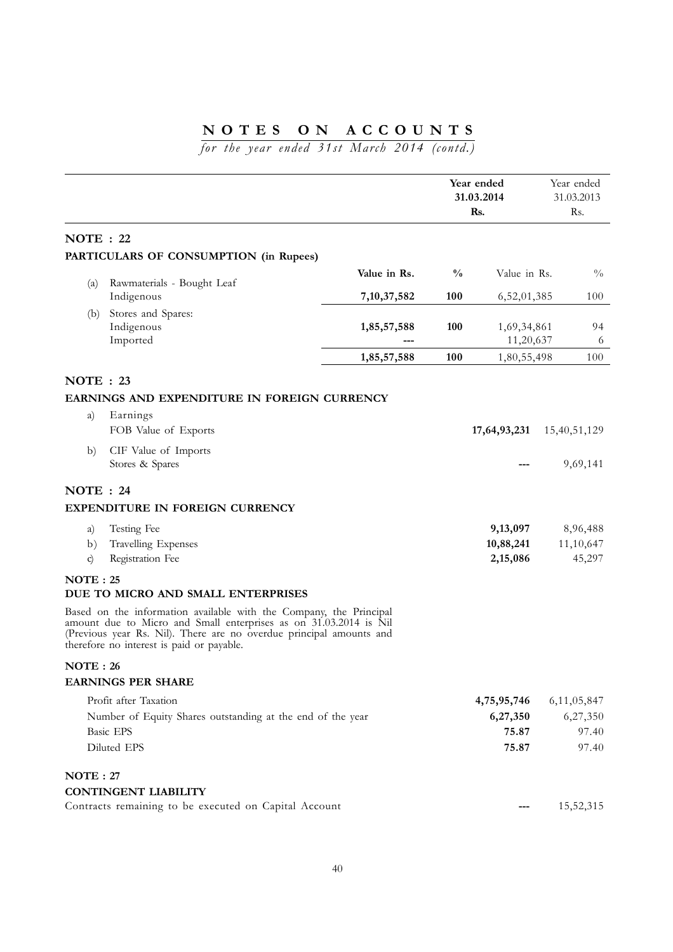*for the year ended 31st March 2014 (contd.)*

|                  |                                                                                                                                                                                                                                                             |                | Year ended<br>31.03.2014<br>Rs. |                          | Year ended<br>31.03.2013<br>Rs. |                |
|------------------|-------------------------------------------------------------------------------------------------------------------------------------------------------------------------------------------------------------------------------------------------------------|----------------|---------------------------------|--------------------------|---------------------------------|----------------|
|                  |                                                                                                                                                                                                                                                             |                |                                 |                          |                                 |                |
| <b>NOTE</b> : 22 |                                                                                                                                                                                                                                                             |                |                                 |                          |                                 |                |
|                  | PARTICULARS OF CONSUMPTION (in Rupees)                                                                                                                                                                                                                      |                |                                 |                          |                                 |                |
| (a)              | Rawmaterials - Bought Leaf                                                                                                                                                                                                                                  | Value in Rs.   | $\frac{0}{0}$                   | Value in Rs.             |                                 | $\frac{0}{0}$  |
|                  | Indigenous                                                                                                                                                                                                                                                  | 7, 10, 37, 582 | 100                             | 6,52,01,385              |                                 | 100            |
| (b)              | Stores and Spares:                                                                                                                                                                                                                                          |                |                                 |                          |                                 |                |
|                  | Indigenous                                                                                                                                                                                                                                                  | 1,85,57,588    | 100                             | 1,69,34,861              |                                 | 94             |
|                  | Imported                                                                                                                                                                                                                                                    | 1,85,57,588    | 100                             | 11,20,637<br>1,80,55,498 |                                 | 6<br>100       |
|                  |                                                                                                                                                                                                                                                             |                |                                 |                          |                                 |                |
| <b>NOTE</b> : 23 |                                                                                                                                                                                                                                                             |                |                                 |                          |                                 |                |
|                  | EARNINGS AND EXPENDITURE IN FOREIGN CURRENCY                                                                                                                                                                                                                |                |                                 |                          |                                 |                |
| a)               | Earnings<br>FOB Value of Exports                                                                                                                                                                                                                            |                |                                 | 17,64,93,231             |                                 | 15,40,51,129   |
| b)               | CIF Value of Imports<br>Stores & Spares                                                                                                                                                                                                                     |                |                                 |                          |                                 | 9,69,141       |
| NOTE : 24        |                                                                                                                                                                                                                                                             |                |                                 |                          |                                 |                |
|                  | <b>EXPENDITURE IN FOREIGN CURRENCY</b>                                                                                                                                                                                                                      |                |                                 |                          |                                 |                |
| a)               | Testing Fee                                                                                                                                                                                                                                                 |                |                                 | 9,13,097                 |                                 | 8,96,488       |
| $\mathbf{b}$ )   | Travelling Expenses                                                                                                                                                                                                                                         |                |                                 | 10,88,241                |                                 | 11,10,647      |
| $\mathbf{c}$     | Registration Fee                                                                                                                                                                                                                                            |                |                                 | 2,15,086                 |                                 | 45,297         |
| NOTE: 25         | DUE TO MICRO AND SMALL ENTERPRISES                                                                                                                                                                                                                          |                |                                 |                          |                                 |                |
|                  | Based on the information available with the Company, the Principal<br>amount due to Micro and Small enterprises as on 31.03.2014 is Nil<br>(Previous year Rs. Nil). There are no overdue principal amounts and<br>therefore no interest is paid or payable. |                |                                 |                          |                                 |                |
| NOTE: 26         |                                                                                                                                                                                                                                                             |                |                                 |                          |                                 |                |
|                  | <b>EARNINGS PER SHARE</b>                                                                                                                                                                                                                                   |                |                                 |                          |                                 |                |
|                  | Profit after Taxation                                                                                                                                                                                                                                       |                |                                 | 4,75,95,746              |                                 | 6, 11, 05, 847 |
|                  | Number of Equity Shares outstanding at the end of the year                                                                                                                                                                                                  |                |                                 | 6,27,350                 |                                 | 6,27,350       |
|                  | Basic EPS                                                                                                                                                                                                                                                   |                |                                 | 75.87                    |                                 | 97.40          |
|                  | Diluted EPS                                                                                                                                                                                                                                                 |                |                                 | 75.87                    |                                 | 97.40          |
| NOTE: 27         |                                                                                                                                                                                                                                                             |                |                                 |                          |                                 |                |
|                  | <b>CONTINGENT LIABILITY</b>                                                                                                                                                                                                                                 |                |                                 |                          |                                 |                |
|                  | Contracts remaining to be executed on Capital Account                                                                                                                                                                                                       |                |                                 |                          |                                 | 15,52,315      |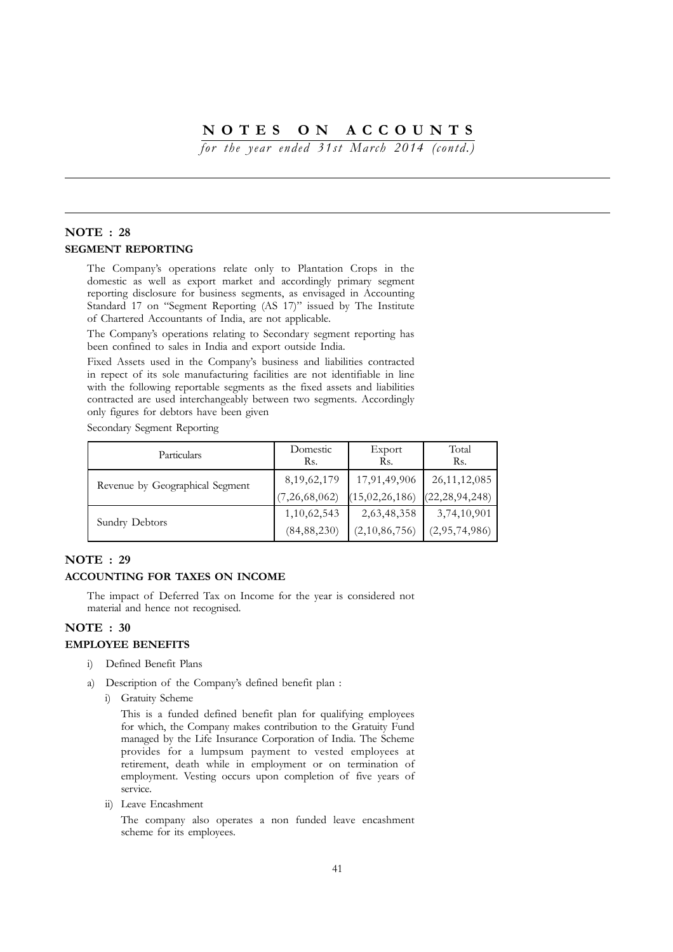*for the year ended 31st March 2014 (contd.)*

### **NOTE : 28 SEGMENT REPORTING**

The Company's operations relate only to Plantation Crops in the domestic as well as export market and accordingly primary segment reporting disclosure for business segments, as envisaged in Accounting Standard 17 on "Segment Reporting (AS 17)" issued by The Institute of Chartered Accountants of India, are not applicable.

The Company's operations relating to Secondary segment reporting has been confined to sales in India and export outside India.

Fixed Assets used in the Company's business and liabilities contracted in repect of its sole manufacturing facilities are not identifiable in line with the following reportable segments as the fixed assets and liabilities contracted are used interchangeably between two segments. Accordingly only figures for debtors have been given

Secondary Segment Reporting

| Particulars                     | Domestic<br>Rs. | Export<br>Rs.     | Total<br>Rs.      |
|---------------------------------|-----------------|-------------------|-------------------|
| Revenue by Geographical Segment | 8, 19, 62, 179  | 17,91,49,906      | 26, 11, 12, 085   |
|                                 | (7,26,68,062)   | (15, 02, 26, 186) | (22, 28, 94, 248) |
| Sundry Debtors                  | 1,10,62,543     | 2,63,48,358       | 3,74,10,901       |
|                                 | (84, 88, 230)   | (2,10,86,756)     | (2, 95, 74, 986)  |

### **NOTE : 29**

### **ACCOUNTING FOR TAXES ON INCOME**

The impact of Deferred Tax on Income for the year is considered not material and hence not recognised.

### **NOTE : 30**

### **EMPLOYEE BENEFITS**

- i) Defined Benefit Plans
- a) Description of the Company's defined benefit plan :
	- i) Gratuity Scheme

This is a funded defined benefit plan for qualifying employees for which, the Company makes contribution to the Gratuity Fund managed by the Life Insurance Corporation of India. The Scheme provides for a lumpsum payment to vested employees at retirement, death while in employment or on termination of employment. Vesting occurs upon completion of five years of service.

ii) Leave Encashment

The company also operates a non funded leave encashment scheme for its employees.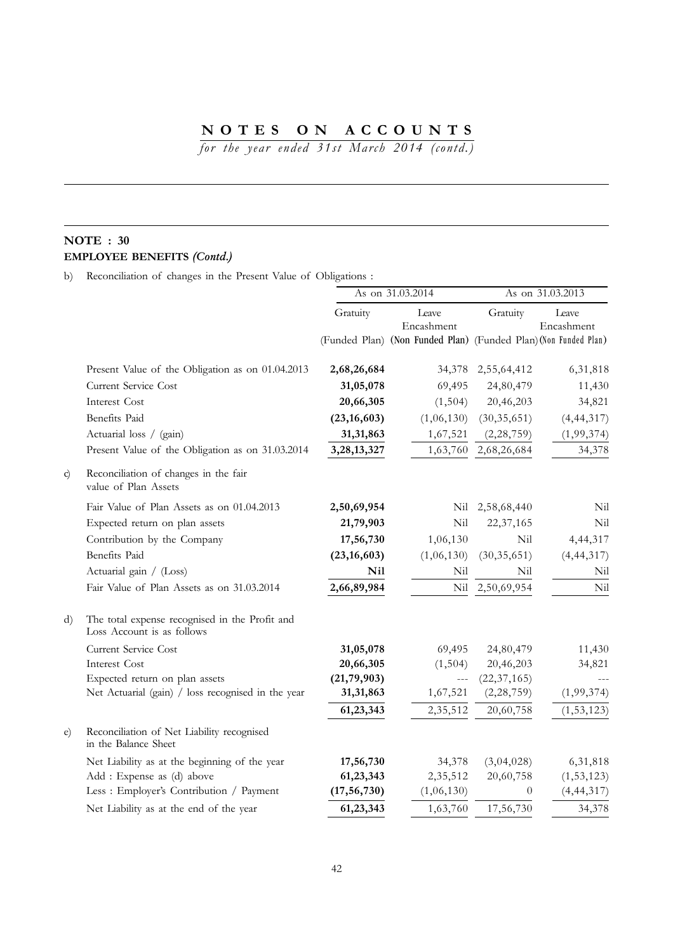*for the year ended 31st March 2014 (contd.)*

# **NOTE : 30 EMPLOYEE BENEFITS** *(Contd.)*

b) Reconciliation of changes in the Present Value of Obligations :

|    |                                                                              | As on 31.03.2014 |                                                                                        | As on 31.03.2013 |                     |
|----|------------------------------------------------------------------------------|------------------|----------------------------------------------------------------------------------------|------------------|---------------------|
|    |                                                                              | Gratuity         | Leave<br>Encashment<br>(Funded Plan) (Non Funded Plan) (Funded Plan) (Non Funded Plan) | Gratuity         | Leave<br>Encashment |
|    |                                                                              |                  |                                                                                        |                  |                     |
|    | Present Value of the Obligation as on 01.04.2013                             | 2,68,26,684      | 34,378                                                                                 | 2,55,64,412      | 6,31,818            |
|    | Current Service Cost                                                         | 31,05,078        | 69,495                                                                                 | 24,80,479        | 11,430              |
|    | Interest Cost                                                                | 20,66,305        | (1,504)                                                                                | 20,46,203        | 34,821              |
|    | Benefits Paid                                                                | (23, 16, 603)    | (1,06,130)                                                                             | (30, 35, 651)    | (4, 44, 317)        |
|    | Actuarial loss / (gain)                                                      | 31,31,863        | 1,67,521                                                                               | (2, 28, 759)     | (1, 99, 374)        |
|    | Present Value of the Obligation as on 31.03.2014                             | 3,28,13,327      | 1,63,760                                                                               | 2,68,26,684      | 34,378              |
| c) | Reconciliation of changes in the fair<br>value of Plan Assets                |                  |                                                                                        |                  |                     |
|    | Fair Value of Plan Assets as on 01.04.2013                                   | 2,50,69,954      | Nil                                                                                    | 2,58,68,440      | Nil                 |
|    | Expected return on plan assets                                               | 21,79,903        | Nil                                                                                    | 22, 37, 165      | Nil                 |
|    | Contribution by the Company                                                  | 17,56,730        | 1,06,130                                                                               | Nil              | 4,44,317            |
|    | Benefits Paid                                                                | (23, 16, 603)    | (1,06,130)                                                                             | (30, 35, 651)    | (4, 44, 317)        |
|    | Actuarial gain / (Loss)                                                      | <b>Nil</b>       | Nil                                                                                    | Nil              | Nil                 |
|    | Fair Value of Plan Assets as on 31.03.2014                                   | 2,66,89,984      | Nil                                                                                    | 2,50,69,954      | Nil                 |
| d) | The total expense recognised in the Profit and<br>Loss Account is as follows |                  |                                                                                        |                  |                     |
|    | Current Service Cost                                                         | 31,05,078        | 69,495                                                                                 | 24,80,479        | 11,430              |
|    | Interest Cost                                                                | 20,66,305        | (1, 504)                                                                               | 20,46,203        | 34,821              |
|    | Expected return on plan assets                                               | (21,79,903)      | $---$                                                                                  | (22, 37, 165)    |                     |
|    | Net Actuarial (gain) / loss recognised in the year                           | 31, 31, 863      | 1,67,521                                                                               | (2, 28, 759)     | (1, 99, 374)        |
|    |                                                                              | 61,23,343        | 2,35,512                                                                               | 20,60,758        | (1, 53, 123)        |
| e) | Reconciliation of Net Liability recognised<br>in the Balance Sheet           |                  |                                                                                        |                  |                     |
|    | Net Liability as at the beginning of the year                                | 17,56,730        | 34,378                                                                                 | (3,04,028)       | 6,31,818            |
|    | Add : Expense as (d) above                                                   | 61,23,343        | 2,35,512                                                                               | 20,60,758        | (1, 53, 123)        |
|    | Less : Employer's Contribution / Payment                                     | (17, 56, 730)    | (1,06,130)                                                                             | $\theta$         | (4, 44, 317)        |
|    | Net Liability as at the end of the year                                      | 61,23,343        | 1,63,760                                                                               | 17,56,730        | 34,378              |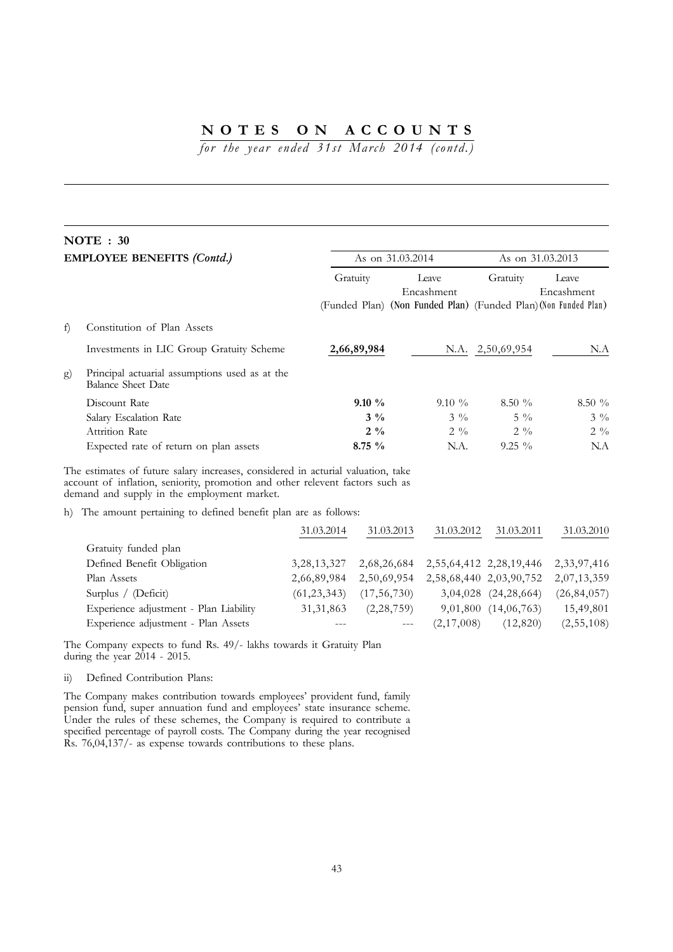*for the year ended 31st March 2014 (contd.)*

# **NOTE : 30**

|    | <b>EMPLOYEE BENEFITS (Contd.)</b>                                                                                                                                                                                | As on 31.03.2014 |                | As on 31.03.2013                                                |                  |                     |
|----|------------------------------------------------------------------------------------------------------------------------------------------------------------------------------------------------------------------|------------------|----------------|-----------------------------------------------------------------|------------------|---------------------|
|    |                                                                                                                                                                                                                  | Gratuity         |                | Leave<br>Encashment                                             | Gratuity         | Leave<br>Encashment |
|    |                                                                                                                                                                                                                  |                  |                | (Funded Plan) (Non Funded Plan) (Funded Plan) (Non Funded Plan) |                  |                     |
| f) | Constitution of Plan Assets                                                                                                                                                                                      |                  |                |                                                                 |                  |                     |
|    | Investments in LIC Group Gratuity Scheme                                                                                                                                                                         |                  | 2,66,89,984    |                                                                 | N.A. 2,50,69,954 | N.A                 |
| g) | Principal actuarial assumptions used as at the<br><b>Balance Sheet Date</b>                                                                                                                                      |                  |                |                                                                 |                  |                     |
|    | Discount Rate                                                                                                                                                                                                    |                  | $9.10 \%$      | $9.10\%$                                                        | $8.50\%$         | $8.50\%$            |
|    | Salary Escalation Rate                                                                                                                                                                                           |                  | $3\frac{9}{6}$ | $3\frac{9}{6}$                                                  | $5\%$            | $3\frac{9}{6}$      |
|    | Attrition Rate                                                                                                                                                                                                   |                  | $2\frac{9}{6}$ | $2\frac{0}{6}$                                                  | $2\frac{9}{6}$   | $2\frac{0}{6}$      |
|    | Expected rate of return on plan assets                                                                                                                                                                           |                  | $8.75 \%$      | N.A.                                                            | $9.25\%$         | N.A                 |
|    | The estimates of future salary increases, considered in acturial valuation, take<br>account of inflation, seniority, promotion and other relevent factors such as<br>demand and supply in the employment market. |                  |                |                                                                 |                  |                     |
|    | h) The amount pertaining to defined benefit plan are as follows:                                                                                                                                                 |                  |                |                                                                 |                  |                     |
|    |                                                                                                                                                                                                                  | 31.03.2014       |                | 31.03.2012<br>31.03.2013                                        | 31.03.2011       | 31.03.2010          |
|    | Gratuity funded plan                                                                                                                                                                                             |                  |                |                                                                 |                  |                     |

| Defined Benefit Obligation             |       | 3,28,13,327 2,68,26,684 2,55,64,412 2,28,19,446 2,33,97,416 |                                        |            |
|----------------------------------------|-------|-------------------------------------------------------------|----------------------------------------|------------|
| Plan Assets                            |       | 2,66,89,984 2,50,69,954 2,58,68,440 2,03,90,752 2,07,13,359 |                                        |            |
| Surplus / (Deficit)                    |       | $(61, 23, 343)$ $(17, 56, 730)$                             | $3,04,028$ $(24,28,664)$ $(26,84,057)$ |            |
| Experience adjustment - Plan Liability |       | $31,31,863$ $(2,28,759)$                                    | $9,01,800$ $(14,06,763)$               | 15,49,801  |
| Experience adjustment - Plan Assets    | $---$ |                                                             | $(2,17,008)$ $(12,820)$                | (2,55,108) |

The Company expects to fund Rs. 49/- lakhs towards it Gratuity Plan during the year 2014 - 2015.

ii) Defined Contribution Plans:

The Company makes contribution towards employees' provident fund, family pension fund, super annuation fund and employees' state insurance scheme. Under the rules of these schemes, the Company is required to contribute a specified percentage of payroll costs. The Company during the year recognised Rs. 76,04,137/- as expense towards contributions to these plans.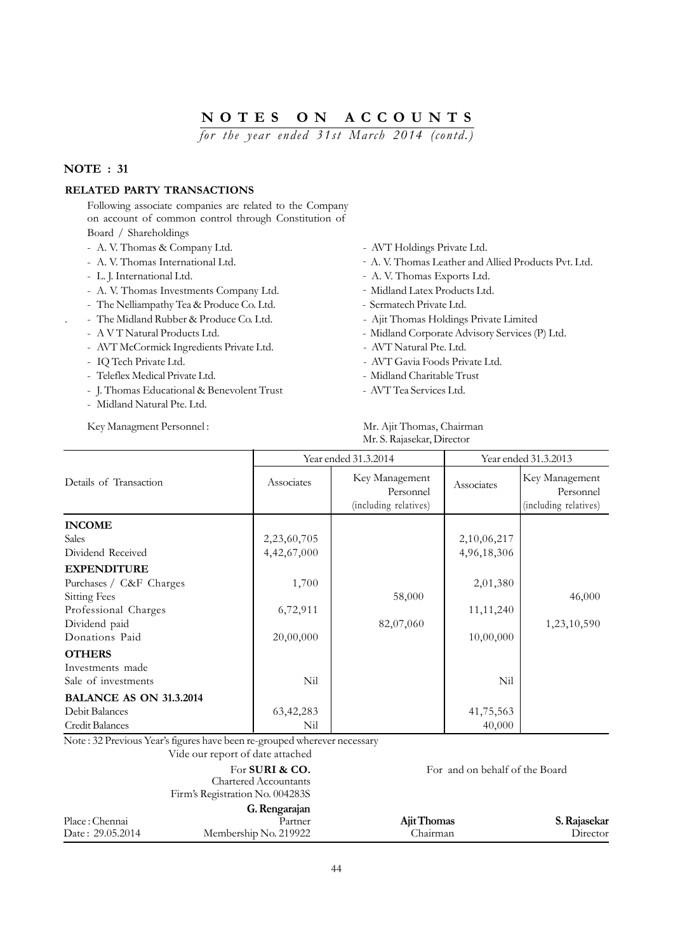*for the year ended 31st March 2014 (contd.)*

### **NOTE : 31**

### **RELATED PARTY TRANSACTIONS**

Following associate companies are related to the Company on account of common control through Constitution of Board / Shareholdings

- 
- 
- 
- A. V. Thomas Investments Company Ltd. Midland Latex Products Ltd.
- The Nelliampathy Tea & Produce Co. Ltd. Sermatech Private Ltd.
- The Midland Rubber & Produce Co. Ltd. - Ajit Thomas Holdings Private Limited
- 
- AVT McCormick Ingredients Private Ltd. AVT Natural Pte. Ltd.
- 
- Teleflex Medical Private Ltd. Midland Charitable Trust
- J. Thomas Educational & Benevolent Trust AVT Tea Services Ltd.
- Midland Natural Pte. Ltd.

Key Managment Personnel : Mr. Ajit Thomas, Chairman

- A. V. Thomas & Company Ltd.  $\blacksquare$
- A. V. Thomas International Ltd.  $\qquad \qquad A.$  V. Thomas Leather and Allied Products Pvt. Ltd.
- L. J. International Ltd.  $\qquad \qquad A. V.$  Thomas Exports Ltd.
	-
	-
	-
- A V T Natural Products Ltd.  $\blacksquare$  Midland Corporate Advisory Services (P) Ltd.
	-
- IQ Tech Private Ltd.  $\blacksquare$  AVT Gavia Foods Private Ltd.
	-
	-

Mr. S. Rajasekar, Director

|                                                          |             | Year ended 31.3.2014                                 |             | Year ended 31.3.2013                                 |  |
|----------------------------------------------------------|-------------|------------------------------------------------------|-------------|------------------------------------------------------|--|
| Details of Transaction                                   | Associates  | Key Management<br>Personnel<br>(including relatives) | Associates  | Key Management<br>Personnel<br>(including relatives) |  |
| <b>INCOME</b><br><b>Sales</b>                            | 2,23,60,705 |                                                      | 2,10,06,217 |                                                      |  |
| Dividend Received<br><b>EXPENDITURE</b>                  | 4,42,67,000 |                                                      | 4,96,18,306 |                                                      |  |
| Purchases / C&F Charges<br><b>Sitting Fees</b>           | 1,700       | 58,000                                               | 2,01,380    | 46,000                                               |  |
| Professional Charges<br>Dividend paid                    | 6,72,911    | 82,07,060                                            | 11,11,240   | 1,23,10,590                                          |  |
| Donations Paid                                           | 20,00,000   |                                                      | 10,00,000   |                                                      |  |
| <b>OTHERS</b><br>Investments made<br>Sale of investments | Nil         |                                                      | Nil         |                                                      |  |
| <b>BALANCE AS ON 31.3.2014</b>                           |             |                                                      |             |                                                      |  |
| Debit Balances                                           | 63, 42, 283 |                                                      | 41,75,563   |                                                      |  |
| Credit Balances                                          | Nil         |                                                      | 40,000      |                                                      |  |

Note : 32 Previous Year's figures have been re-grouped wherever necessary

Vide our report of date attached

### For **SURI & CO.** For and on behalf of the Board Chartered Accountants

# Firm's Registration No. 004283S

|                  | G. Rengarajan         |             |              |
|------------------|-----------------------|-------------|--------------|
| Place: Chennai   | Partner               | Ajit Thomas | S. Rajasekar |
| Date: 29.05.2014 | Membership No. 219922 | Chairman    | Director     |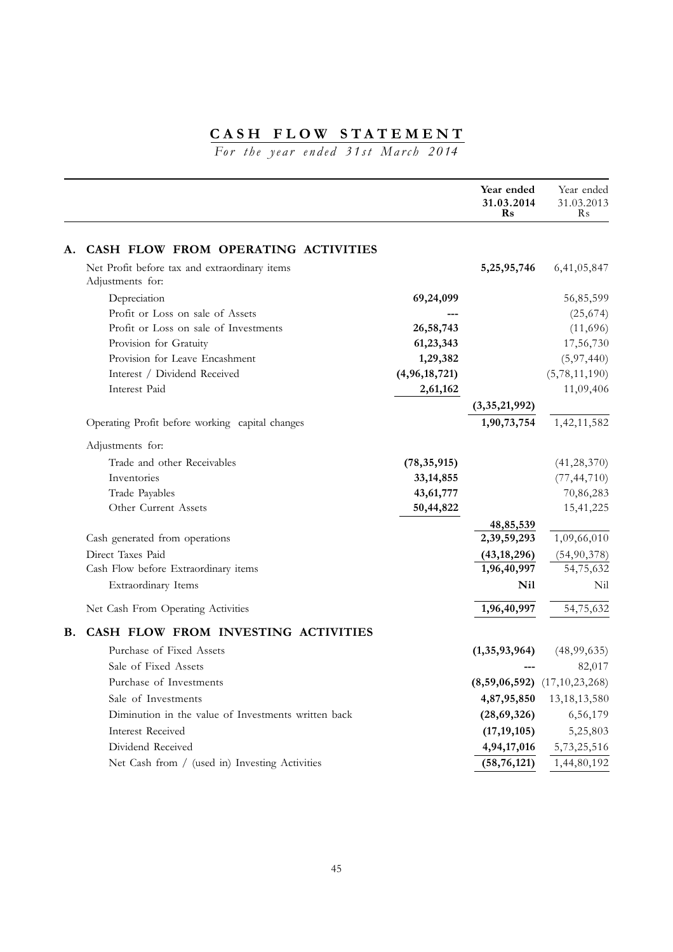# **CASH FLOW STATEMENT**

*For the year ended 31st March 2014*

|           |                                                     |               | Year ended<br>31.03.2014<br>Rs | Year ended<br>31.03.2013<br><b>R</b> s |
|-----------|-----------------------------------------------------|---------------|--------------------------------|----------------------------------------|
| Α.        | CASH FLOW FROM OPERATING ACTIVITIES                 |               |                                |                                        |
|           | Net Profit before tax and extraordinary items       |               | 5, 25, 95, 746                 | 6,41,05,847                            |
|           | Adjustments for:                                    |               |                                |                                        |
|           | Depreciation                                        | 69,24,099     |                                | 56,85,599                              |
|           | Profit or Loss on sale of Assets                    |               |                                | (25, 674)                              |
|           | Profit or Loss on sale of Investments               | 26,58,743     |                                | (11,696)                               |
|           | Provision for Gratuity                              | 61,23,343     |                                | 17,56,730                              |
|           | Provision for Leave Encashment                      | 1,29,382      |                                | (5,97,440)                             |
|           | Interest / Dividend Received                        | (4,96,18,721) |                                | (5,78,11,190)                          |
|           | Interest Paid                                       | 2,61,162      |                                | 11,09,406                              |
|           |                                                     |               | (3,35,21,992)                  |                                        |
|           | Operating Profit before working capital changes     |               | 1,90,73,754                    | 1,42,11,582                            |
|           | Adjustments for:                                    |               |                                |                                        |
|           | Trade and other Receivables                         | (78, 35, 915) |                                | (41, 28, 370)                          |
|           | Inventories                                         | 33, 14, 855   |                                | (77, 44, 710)                          |
|           | Trade Payables                                      | 43,61,777     |                                | 70,86,283                              |
|           | Other Current Assets                                | 50,44,822     |                                | 15,41,225                              |
|           |                                                     |               | 48,85,539                      |                                        |
|           | Cash generated from operations                      |               | 2,39,59,293                    | 1,09,66,010                            |
|           | Direct Taxes Paid                                   |               | (43, 18, 296)                  | (54, 90, 378)                          |
|           | Cash Flow before Extraordinary items                |               | 1,96,40,997                    | 54,75,632                              |
|           | Extraordinary Items                                 |               | Nil                            | Nil                                    |
|           | Net Cash From Operating Activities                  |               | 1,96,40,997                    | 54,75,632                              |
| <b>B.</b> | CASH FLOW FROM INVESTING ACTIVITIES                 |               |                                |                                        |
|           | Purchase of Fixed Assets                            |               | (1,35,93,964)                  | (48, 99, 635)                          |
|           | Sale of Fixed Assets                                |               |                                | 82,017                                 |
|           | Purchase of Investments                             |               |                                | $(8,59,06,592)$ $(17,10,23,268)$       |
|           | Sale of Investments                                 |               | 4,87,95,850                    | 13, 18, 13, 580                        |
|           | Diminution in the value of Investments written back |               | (28, 69, 326)                  | 6,56,179                               |
|           | <b>Interest Received</b>                            |               | (17, 19, 105)                  | 5,25,803                               |
|           | Dividend Received                                   |               | 4,94,17,016                    | 5,73,25,516                            |
|           | Net Cash from / (used in) Investing Activities      |               | (58, 76, 121)                  | 1,44,80,192                            |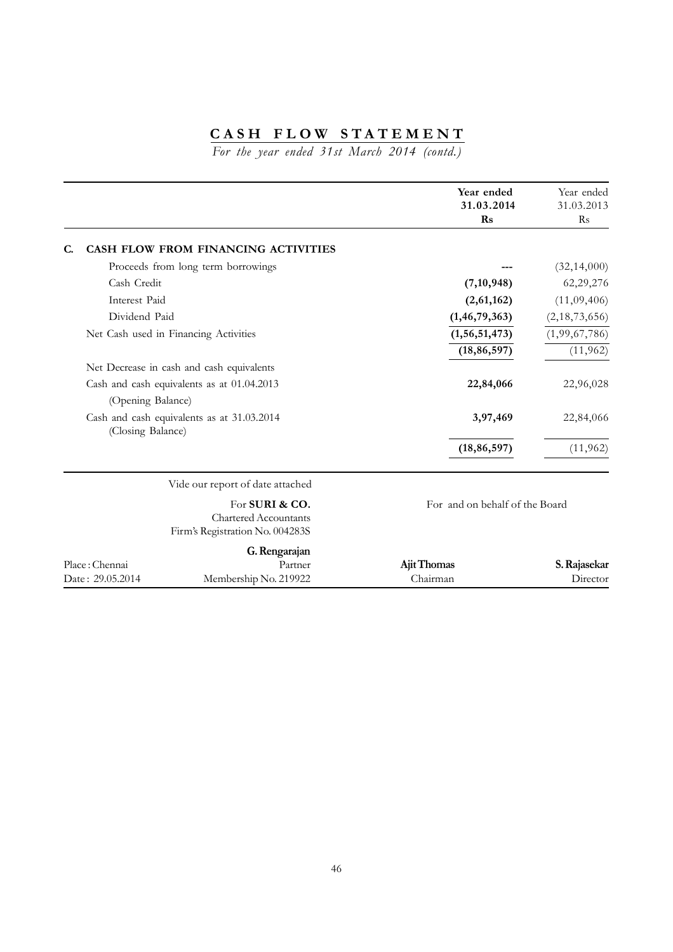# **CASH FLOW STATEMENT**

*For the year ended 31st March 2014 (contd.)*

|                   |                                                                            | Year ended<br>31.03.2014<br>R <sub>s</sub> | Year ended<br>31.03.2013<br>$\operatorname{Rs}$ |
|-------------------|----------------------------------------------------------------------------|--------------------------------------------|-------------------------------------------------|
| C.                | CASH FLOW FROM FINANCING ACTIVITIES                                        |                                            |                                                 |
|                   | Proceeds from long term borrowings                                         |                                            | (32, 14, 000)                                   |
| Cash Credit       |                                                                            | (7,10,948)                                 | 62,29,276                                       |
| Interest Paid     |                                                                            | (2,61,162)                                 | (11,09,406)                                     |
| Dividend Paid     |                                                                            | (1, 46, 79, 363)                           | (2,18,73,656)                                   |
|                   | Net Cash used in Financing Activities                                      | (1, 56, 51, 473)                           | (1, 99, 67, 786)                                |
|                   |                                                                            | (18, 86, 597)                              | (11, 962)                                       |
|                   | Net Decrease in cash and cash equivalents                                  |                                            |                                                 |
|                   | Cash and cash equivalents as at 01.04.2013                                 | 22,84,066                                  | 22,96,028                                       |
| (Opening Balance) |                                                                            |                                            |                                                 |
| (Closing Balance) | Cash and cash equivalents as at 31.03.2014                                 | 3,97,469                                   | 22,84,066                                       |
|                   |                                                                            | (18, 86, 597)                              | (11, 962)                                       |
|                   | Vide our report of date attached                                           |                                            |                                                 |
|                   | For SURI & CO.<br>Chartered Accountants<br>Firm's Registration No. 004283S | For and on behalf of the Board             |                                                 |
| Place: Chennai    | G. Rengarajan<br>Partner                                                   | <b>Ajit Thomas</b>                         | S. Rajasekar<br>Director                        |
| Date: 29.05.2014  | Membership No. 219922                                                      | Chairman                                   |                                                 |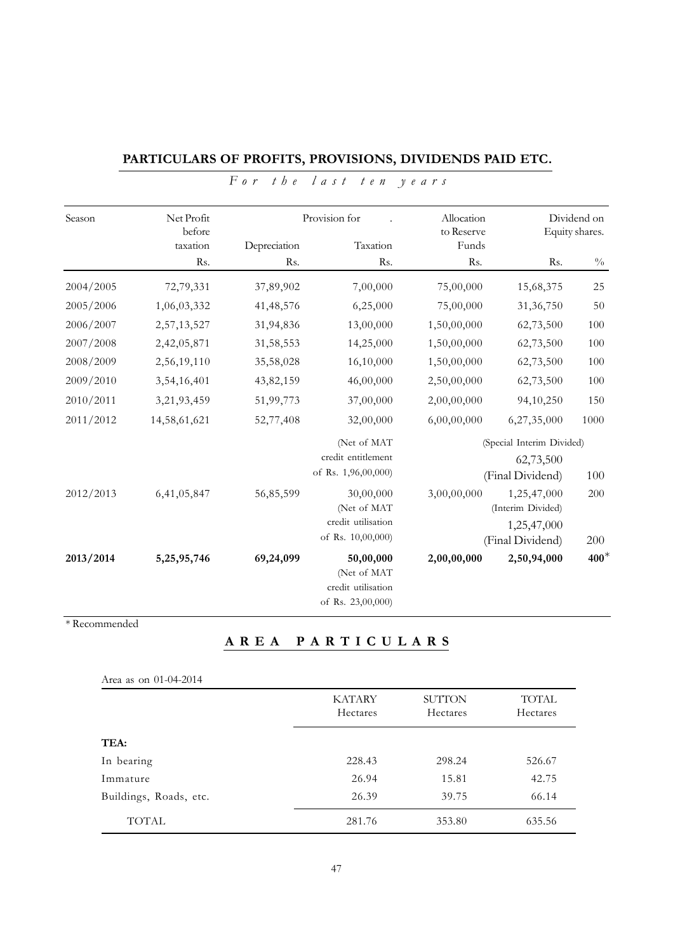| Season    | Net Profit<br>before |              | Provision for                                                       |             | Dividend on<br>Equity shares. |                           |
|-----------|----------------------|--------------|---------------------------------------------------------------------|-------------|-------------------------------|---------------------------|
|           | taxation             | Depreciation | Taxation                                                            | Funds       |                               |                           |
|           | Rs.                  | Rs.          | Rs.                                                                 | Rs.         | Rs.                           | $\sqrt[0]{\phantom{.}}_0$ |
| 2004/2005 | 72,79,331            | 37,89,902    | 7,00,000                                                            | 75,00,000   | 15,68,375                     | 25                        |
| 2005/2006 | 1,06,03,332          | 41,48,576    | 6,25,000                                                            | 75,00,000   | 31, 36, 750                   | 50                        |
| 2006/2007 | 2,57,13,527          | 31,94,836    | 13,00,000                                                           | 1,50,00,000 | 62,73,500                     | 100                       |
| 2007/2008 | 2,42,05,871          | 31,58,553    | 14,25,000                                                           | 1,50,00,000 | 62,73,500                     | 100                       |
| 2008/2009 | 2,56,19,110          | 35,58,028    | 16,10,000                                                           | 1,50,00,000 | 62,73,500                     | 100                       |
| 2009/2010 | 3,54,16,401          | 43,82,159    | 46,00,000                                                           | 2,50,00,000 | 62,73,500                     | 100                       |
| 2010/2011 | 3,21,93,459          | 51,99,773    | 37,00,000                                                           | 2,00,00,000 | 94,10,250                     | 150                       |
| 2011/2012 | 14,58,61,621         | 52,77,408    | 32,00,000                                                           | 6,00,00,000 | 6,27,35,000                   | 1000                      |
|           |                      |              | (Net of MAT                                                         |             | (Special Interim Divided)     |                           |
|           |                      |              | credit entitlement                                                  |             | 62,73,500                     |                           |
|           |                      |              | of Rs. 1,96,00,000)                                                 |             | (Final Dividend)              | 100                       |
| 2012/2013 | 6,41,05,847          | 56,85,599    | 30,00,000                                                           | 3,00,00,000 | 1,25,47,000                   | 200                       |
|           |                      |              | (Net of MAT                                                         |             | (Interim Divided)             |                           |
|           |                      |              | credit utilisation                                                  |             | 1,25,47,000                   |                           |
|           |                      |              | of Rs. 10,00,000)                                                   |             | (Final Dividend)              | 200                       |
| 2013/2014 | 5,25,95,746          | 69,24,099    | 50,00,000<br>(Net of MAT<br>credit utilisation<br>of Rs. 23,00,000) | 2,00,00,000 | 2,50,94,000                   | $400*$                    |

# **PARTICULARS OF PROFITS, PROVISIONS, DIVIDENDS PAID ETC.** *For the last ten years*

\* Recommended

# **AREA PARTICULARS**

 $\overline{\phantom{0}}$ 

 $\overline{\phantom{a}}$ 

| AICA AS OII UI-04-2014 |                           |                           |                          |  |  |  |  |
|------------------------|---------------------------|---------------------------|--------------------------|--|--|--|--|
|                        | <b>KATARY</b><br>Hectares | <b>SUTTON</b><br>Hectares | <b>TOTAL</b><br>Hectares |  |  |  |  |
| TEA:                   |                           |                           |                          |  |  |  |  |
| In bearing             | 228.43                    | 298.24                    | 526.67                   |  |  |  |  |
| Immature               | 26.94                     | 15.81                     | 42.75                    |  |  |  |  |
| Buildings, Roads, etc. | 26.39                     | 39.75                     | 66.14                    |  |  |  |  |
| <b>TOTAL</b>           | 281.76                    | 353.80                    | 635.56                   |  |  |  |  |

Area as on 01-04-2014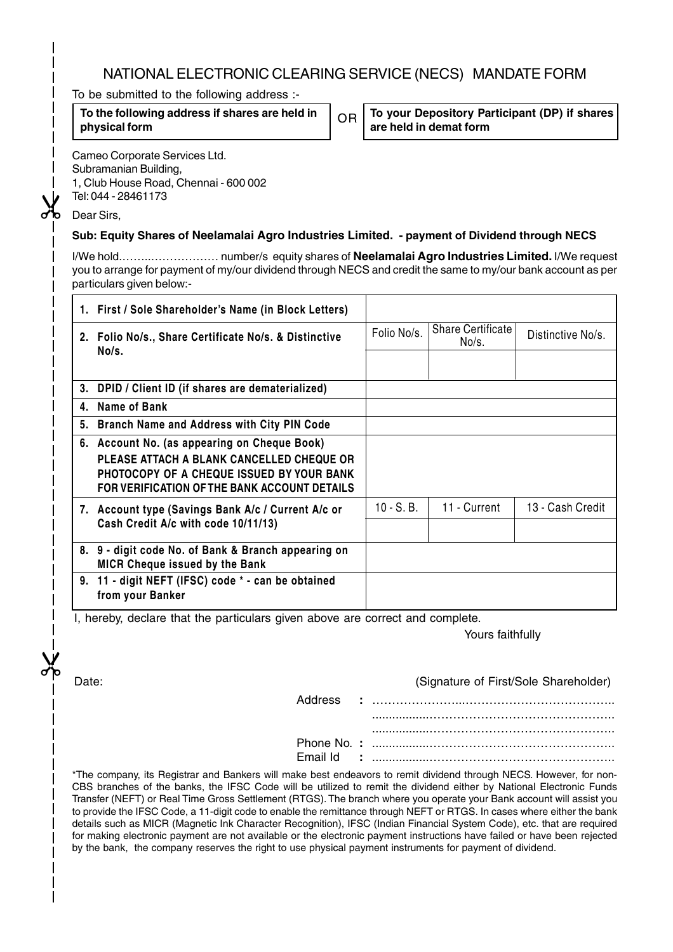# NATIONAL ELECTRONIC CLEARING SERVICE (NECS) MANDATE FORM

To be submitted to the following address :-

**To the following address if shares are held in physical form**

**To your Depository Participant (DP) if shares DR** | **10 your Depository Pa**<br>| are held in demat form

Subramanian Building, 1, Club House Road, Chennai - 600 002

Cameo Corporate Services Ltd.

Tel: 044 - 28461173

Dear Sirs,

 $\chi$ 

# **Sub: Equity Shares of Neelamalai Agro Industries Limited. - payment of Dividend through NECS**

I/We hold.……..……………… number/s equity shares of **Neelamalai Agro Industries Limited.** I/We request you to arrange for payment of my/our dividend through NECS and credit the same to my/our bank account as per particulars given below:-

|                                                                                           | 1. First / Sole Shareholder's Name (in Block Letters)                                                                                  |             |                                   |                   |  |  |
|-------------------------------------------------------------------------------------------|----------------------------------------------------------------------------------------------------------------------------------------|-------------|-----------------------------------|-------------------|--|--|
| 2. Folio No/s., Share Certificate No/s. & Distinctive                                     |                                                                                                                                        | Folio No/s. | <b>Share Certificate</b><br>No/s. | Distinctive No/s. |  |  |
|                                                                                           | No/s.                                                                                                                                  |             |                                   |                   |  |  |
| 3.                                                                                        | DPID / Client ID (if shares are dematerialized)                                                                                        |             |                                   |                   |  |  |
| 4.                                                                                        | Name of Bank                                                                                                                           |             |                                   |                   |  |  |
| 5.                                                                                        | <b>Branch Name and Address with City PIN Code</b>                                                                                      |             |                                   |                   |  |  |
| 6.                                                                                        | Account No. (as appearing on Cheque Book)                                                                                              |             |                                   |                   |  |  |
|                                                                                           | PLEASE ATTACH A BLANK CANCELLED CHEQUE OR<br>PHOTOCOPY OF A CHEQUE ISSUED BY YOUR BANK<br>FOR VERIFICATION OF THE BANK ACCOUNT DETAILS |             |                                   |                   |  |  |
| 7. Account type (Savings Bank A/c / Current A/c or<br>Cash Credit A/c with code 10/11/13) |                                                                                                                                        | 10 - S.B.   | 11 - Current                      | 13 - Cash Credit  |  |  |
|                                                                                           |                                                                                                                                        |             |                                   |                   |  |  |
| 8.                                                                                        | 9 - digit code No. of Bank & Branch appearing on<br><b>MICR Cheque issued by the Bank</b>                                              |             |                                   |                   |  |  |
|                                                                                           | 9. 11 - digit NEFT (IFSC) code * - can be obtained<br>from your Banker                                                                 |             |                                   |                   |  |  |

I, hereby, declare that the particulars given above are correct and complete.

Yours faithfully

 $\chi$ 

Address **:** …………………...……………………………….. Date:<br>
Containing the Containst Company of Company (Signature of First/Sole Shareholder)

> .................……………………………………….. .................……………………………………….. Phone No. **:** .................……………………………………….. Email Id **:** .................………………………………………..

\*The company, its Registrar and Bankers will make best endeavors to remit dividend through NECS. However, for non-CBS branches of the banks, the IFSC Code will be utilized to remit the dividend either by National Electronic Funds Transfer (NEFT) or Real Time Gross Settlement (RTGS). The branch where you operate your Bank account will assist you to provide the IFSC Code, a 11-digit code to enable the remittance through NEFT or RTGS. In cases where either the bank details such as MICR (Magnetic Ink Character Recognition), IFSC (Indian Financial System Code), etc. that are required for making electronic payment are not available or the electronic payment instructions have failed or have been rejected by the bank, the company reserves the right to use physical payment instruments for payment of dividend.